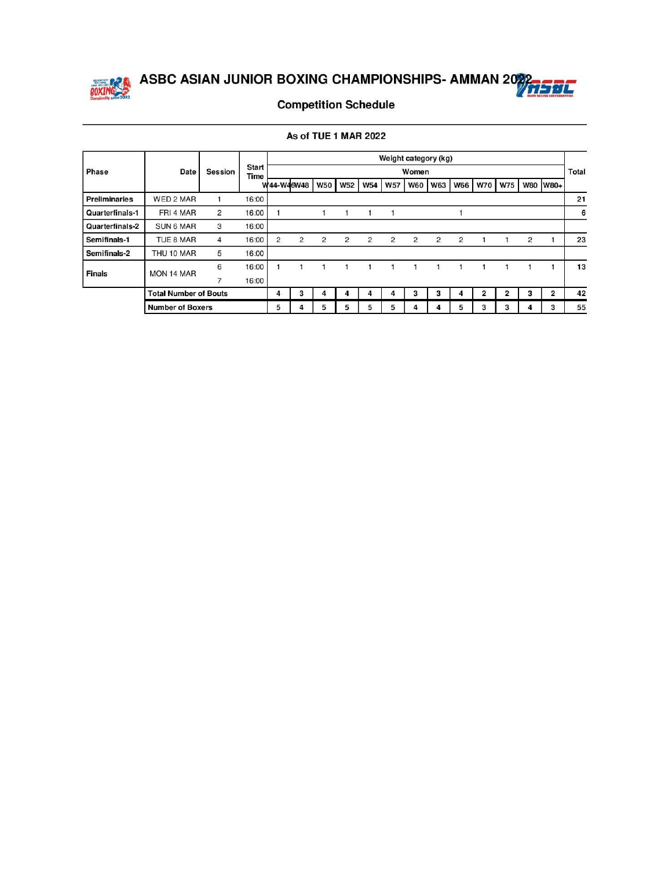

### **Competition Schedule**

|  |  | As of TUE 1 MAR 2022 |
|--|--|----------------------|

|                      |                              |                |                      |                |   |            |                |            | Weight category (kg) |                |                |                |                |            |                |                |              |
|----------------------|------------------------------|----------------|----------------------|----------------|---|------------|----------------|------------|----------------------|----------------|----------------|----------------|----------------|------------|----------------|----------------|--------------|
| Phase                | Date                         | Session        | <b>Start</b><br>Time |                |   |            |                |            |                      | Women          |                |                |                |            |                |                | <b>Total</b> |
|                      |                              |                |                      | W44-W46W48     |   | <b>W50</b> | <b>W52</b>     | <b>W54</b> | <b>W57</b>           | <b>W60</b>     | <b>W63</b>     | <b>W66</b>     | <b>W70</b>     | <b>W75</b> |                | W80 W80+       |              |
| <b>Preliminaries</b> | WED 2 MAR                    |                | 16:00                |                |   |            |                |            |                      |                |                |                |                |            |                |                | 21           |
| Quarterfinals-1      | FRI 4 MAR                    | $\overline{2}$ | 16:00                |                |   |            |                |            |                      |                |                |                |                |            |                |                | 6            |
| Quarterfinals-2      | <b>SUN 6 MAR</b>             | 3              | 16:00                |                |   |            |                |            |                      |                |                |                |                |            |                |                |              |
| Semifinals-1         | TUE 8 MAR                    | 4              | 16:00                | $\overline{2}$ | 2 | 2          | $\overline{2}$ | 2          | 2                    | $\overline{2}$ | $\overline{2}$ | $\overline{2}$ |                |            | $\overline{2}$ |                | 23           |
| Semifinals-2         | THU 10 MAR                   | 5              | 16:00                |                |   |            |                |            |                      |                |                |                |                |            |                |                |              |
| <b>Finals</b>        | MON 14 MAR                   | 6              | 16:00                |                |   |            |                |            |                      |                |                |                |                |            |                |                | 13           |
|                      |                              | 7              | 16:00                |                |   |            |                |            |                      |                |                |                |                |            |                |                |              |
|                      | <b>Total Number of Bouts</b> |                |                      | 4              | 3 | 4          | 4              | 4          | 4                    | 3              | 3              | 4              | $\overline{2}$ | 2          | 3              | $\overline{2}$ | 42           |
|                      | <b>Number of Boxers</b>      |                |                      | 5              | 4 | 5          | 5              | 5          | 5                    | 4              | 4              | 5              | з              | 3          | 4              | з              | 55           |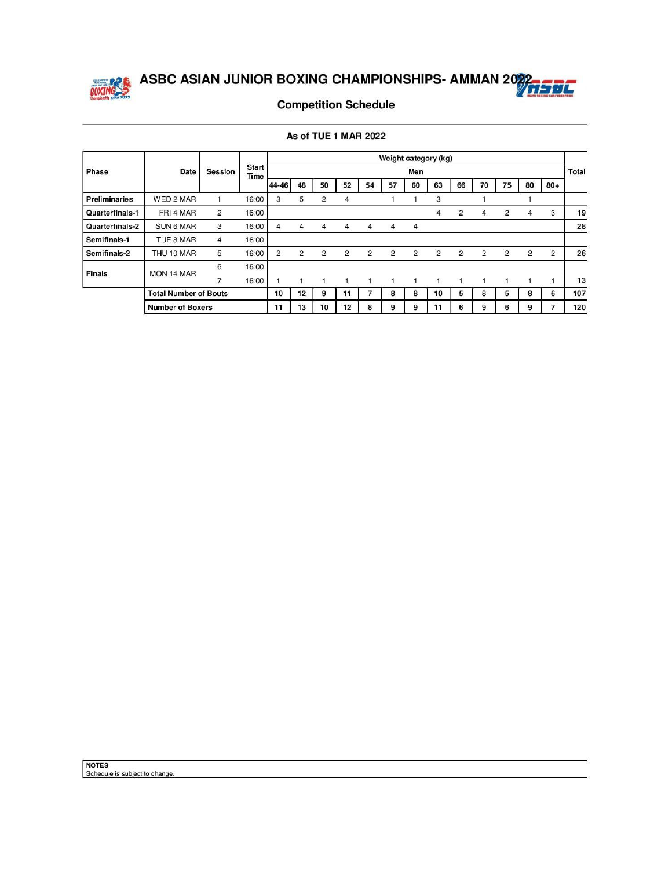



### **Competition Schedule**

|                      |                              |                |                      |                |    |                |                |                |                |                | Weight category (kg) |                |    |                |                |                |              |
|----------------------|------------------------------|----------------|----------------------|----------------|----|----------------|----------------|----------------|----------------|----------------|----------------------|----------------|----|----------------|----------------|----------------|--------------|
| Phase                | Date                         | <b>Session</b> | <b>Start</b><br>Time |                |    |                |                |                |                | Men            |                      |                |    |                |                |                | <b>Total</b> |
|                      |                              |                |                      | 44-46          | 48 | 50             | 52             | 54             | 57             | 60             | 63                   | 66             | 70 | 75             | 80             | $80 +$         |              |
| <b>Preliminaries</b> | WED 2 MAR                    |                | 16:00                | 3              | 5  | $\overline{2}$ | 4              |                |                |                | 3                    |                |    |                |                |                |              |
| Quarterfinals-1      | FRI 4 MAR                    | $\overline{2}$ | 16:00                |                |    |                |                |                |                |                | 4                    | $\overline{2}$ | 4  | $\overline{2}$ | 4              | 3              | 19           |
| Quarterfinals-2      | <b>SUN 6 MAR</b>             | 3              | 16:00                | 4              | 4  | 4              | 4              | 4              | 4              | 4              |                      |                |    |                |                |                | 28           |
| Semifinals-1         | TUE 8 MAR                    | 4              | 16:00                |                |    |                |                |                |                |                |                      |                |    |                |                |                |              |
| Semifinals-2         | THU 10 MAR                   | 5              | 16:00                | $\overline{2}$ | 2  | $\overline{2}$ | $\overline{2}$ | $\overline{2}$ | $\overline{2}$ | $\overline{2}$ | $\overline{c}$       | $\overline{2}$ | 2  | $\overline{2}$ | $\overline{2}$ | $\overline{2}$ | 26           |
|                      | MON 14 MAR                   | 6              | 16:00                |                |    |                |                |                |                |                |                      |                |    |                |                |                |              |
| <b>Finals</b>        |                              | 7              | 16:00                |                |    |                |                |                | 1              |                | -1                   | 1              |    | 1              |                |                | 13           |
|                      | <b>Total Number of Bouts</b> |                |                      | 10             | 12 | 9              | 11             |                | 8              | 8              | 10                   | 5              | 8  | 5              | 8              | 6              | 107          |
|                      | <b>Number of Boxers</b>      |                |                      | 11             | 13 | 10             | 12             | 8              | 9              | 9              | 11                   | 6              | 9  | 6              | 9              |                | 120          |

As of TUE 1 MAR 2022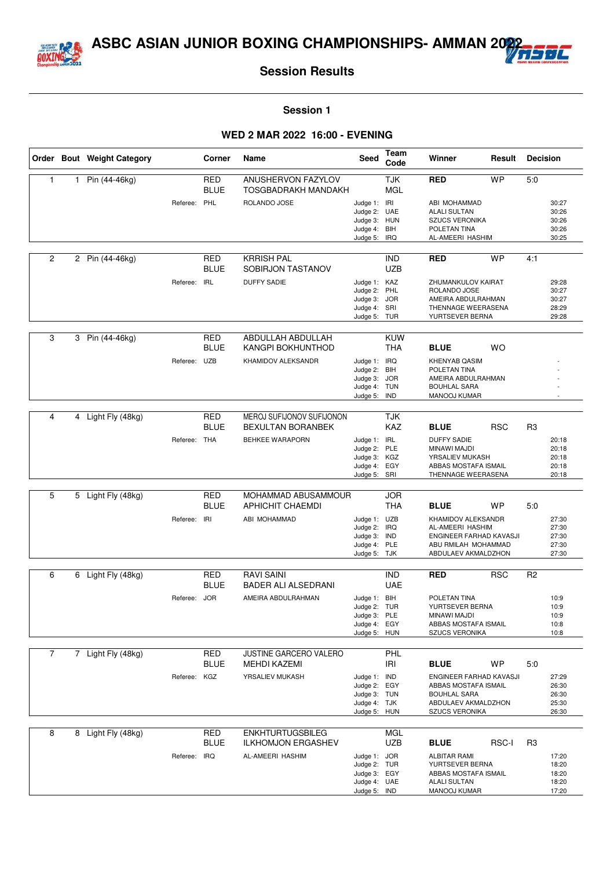



#### **Session 1**

#### **WED 2 MAR 2022 16:00 - EVENING**

|                |              | Order Bout Weight Category |              | Corner                    | Name                                                 | Seed                                                                         | Team<br>Code                           | Winner                                                                                                                 | Result       | <b>Decision</b> |                                           |
|----------------|--------------|----------------------------|--------------|---------------------------|------------------------------------------------------|------------------------------------------------------------------------------|----------------------------------------|------------------------------------------------------------------------------------------------------------------------|--------------|-----------------|-------------------------------------------|
| $\mathbf{1}$   | $\mathbf{1}$ | Pin (44-46kg)              |              | <b>RED</b><br><b>BLUE</b> | ANUSHERVON FAZYLOV<br>TOSGBADRAKH MANDAKH            |                                                                              | <b>TJK</b><br><b>MGL</b>               | <b>RED</b>                                                                                                             | <b>WP</b>    | 5.0             |                                           |
|                |              |                            | Referee: PHL |                           | ROLANDO JOSE                                         | Judge 1: IRI<br>Judge 2:<br>Judge 3: HUN<br>Judge 4:<br>Judge 5:             | <b>UAE</b><br>BIH<br>IRQ               | ABI MOHAMMAD<br><b>ALALI SULTAN</b><br><b>SZUCS VERONIKA</b><br>POLETAN TINA<br>AL-AMEERI HASHIM                       |              |                 | 30:27<br>30:26<br>30:26<br>30:26<br>30:25 |
|                |              |                            |              |                           |                                                      |                                                                              |                                        |                                                                                                                        |              |                 |                                           |
| $\overline{2}$ |              | 2 Pin (44-46kg)            |              | <b>RED</b><br><b>BLUE</b> | <b>KRRISH PAL</b><br>SOBIRJON TASTANOV               |                                                                              | <b>IND</b><br><b>UZB</b>               | <b>RED</b>                                                                                                             | <b>WP</b>    | 4:1             |                                           |
|                |              |                            | Referee:     | <b>IRL</b>                | <b>DUFFY SADIE</b>                                   | Judge 1: KAZ<br>Judge 2:<br>Judge 3:<br>Judge 4: SRI<br>Judge 5: TUR         | PHL<br><b>JOR</b>                      | ZHUMANKULOV KAIRAT<br>ROLANDO JOSE<br>AMEIRA ABDULRAHMAN<br>THENNAGE WEERASENA<br>YURTSEVER BERNA                      |              |                 | 29:28<br>30:27<br>30:27<br>28:29<br>29:28 |
|                |              |                            |              |                           |                                                      |                                                                              |                                        |                                                                                                                        |              |                 |                                           |
| 3              |              | 3 Pin (44-46kg)            |              | <b>RED</b><br><b>BLUE</b> | ABDULLAH ABDULLAH<br>KANGPI BOKHUNTHOD               |                                                                              | <b>KUW</b><br><b>THA</b>               | <b>BLUE</b>                                                                                                            | <b>WO</b>    |                 |                                           |
|                |              |                            | Referee: UZB |                           | KHAMIDOV ALEKSANDR                                   | Judge 1: IRQ<br>Judge 2:<br>Judge 3:<br>Judge 4:<br>Judge 5:                 | BIH<br><b>JOR</b><br><b>TUN</b><br>IND | <b>KHENYAB QASIM</b><br>POLETAN TINA<br>AMEIRA ABDULRAHMAN<br><b>BOUHLAL SARA</b><br>MANOOJ KUMAR                      |              |                 |                                           |
| 4              | 4            | Light Fly (48kg)           |              | <b>RED</b>                | MEROJ SUFIJONOV SUFIJONON                            |                                                                              | <b>TJK</b>                             |                                                                                                                        |              |                 |                                           |
|                |              |                            |              | <b>BLUE</b>               | <b>BEXULTAN BORANBEK</b>                             |                                                                              | <b>KAZ</b>                             | <b>BLUE</b>                                                                                                            | <b>RSC</b>   | R <sub>3</sub>  |                                           |
|                |              |                            | Referee: THA |                           | <b>BEHKEE WARAPORN</b>                               | Judge 1: IRL<br>Judge 2:<br>Judge 3: KGZ<br>Judge 4: EGY<br>Judge 5: SRI     | PLE                                    | <b>DUFFY SADIE</b><br>MINAWI MAJDI<br>YRSALIEV MUKASH<br>ABBAS MOSTAFA ISMAIL<br>THENNAGE WEERASENA                    |              |                 | 20:18<br>20:18<br>20:18<br>20:18<br>20:18 |
|                |              |                            |              |                           |                                                      |                                                                              |                                        |                                                                                                                        |              |                 |                                           |
| 5              |              | 5 Light Fly (48kg)         |              | <b>RED</b><br><b>BLUE</b> | MOHAMMAD ABUSAMMOUR<br><b>APHICHIT CHAEMDI</b>       |                                                                              | <b>JOR</b><br><b>THA</b>               | <b>BLUE</b>                                                                                                            | <b>WP</b>    | 5:0             |                                           |
|                |              |                            | Referee:     | IRI                       | ABI MOHAMMAD                                         | Judge 1: UZB<br>Judge 2:<br>Judge 3: IND<br>Judge 4: PLE<br>Judge 5: TJK     | <b>IRQ</b>                             | KHAMIDOV ALEKSANDR<br>AL-AMEERI HASHIM<br>ENGINEER FARHAD KAVASJI<br>ABU RMILAH MOHAMMAD<br>ABDULAEV AKMALDZHON        |              |                 | 27:30<br>27:30<br>27:30<br>27:30<br>27:30 |
| 6              |              | 6 Light Fly (48kg)         |              | <b>RED</b>                | <b>RAVI SAINI</b>                                    |                                                                              | <b>IND</b>                             | <b>RED</b>                                                                                                             | <b>RSC</b>   | R <sub>2</sub>  |                                           |
|                |              |                            |              | <b>BLUE</b>               | BADER ALI ALSEDRANI                                  |                                                                              | <b>UAE</b>                             |                                                                                                                        |              |                 |                                           |
|                |              |                            | Referee:     | <b>JOR</b>                | AMEIRA ABDULRAHMAN                                   | Judge 1: BIH<br>Judge 2: TUR<br>Judge 3: PLE<br>Judge 4: EGY<br>Judge 5: HUN |                                        | POLETAN TINA<br>YURTSEVER BERNA<br>MINAWI MAJDI<br>ABBAS MOSTAFA ISMAIL<br><b>SZUCS VERONIKA</b>                       |              |                 | 10:9<br>10:9<br>10:9<br>10:8<br>10:8      |
| 7              |              | 7 Light Fly (48kg)         |              | RED<br><b>BLUE</b>        | JUSTINE GARCERO VALERO<br>MEHDI KAZEMI               |                                                                              | PHL<br>IRI                             | <b>BLUE</b>                                                                                                            | <b>WP</b>    | 5:0             |                                           |
|                |              |                            | Referee: KGZ |                           | YRSALIEV MUKASH                                      | Judge 1: IND<br>Judge 2: EGY<br>Judge 3: TUN<br>Judge 4: TJK<br>Judge 5: HUN |                                        | ENGINEER FARHAD KAVASJI<br>ABBAS MOSTAFA ISMAIL<br><b>BOUHLAL SARA</b><br>ABDULAEV AKMALDZHON<br><b>SZUCS VERONIKA</b> |              |                 | 27:29<br>26:30<br>26:30<br>25:30<br>26:30 |
| 8              |              | 8 Light Fly (48kg)         |              | <b>RED</b><br><b>BLUE</b> | <b>ENKHTURTUGSBILEG</b><br><b>ILKHOMJON ERGASHEV</b> |                                                                              | <b>MGL</b><br><b>UZB</b>               | <b>BLUE</b>                                                                                                            | <b>RSC-I</b> | R3              |                                           |
|                |              |                            | Referee: IRQ |                           | AL-AMEERI HASHIM                                     | Judge 1: JOR<br>Judge 2: TUR<br>Judge 3: EGY<br>Judge 4: UAE<br>Judge 5: IND |                                        | <b>ALBITAR RAMI</b><br>YURTSEVER BERNA<br>ABBAS MOSTAFA ISMAIL<br><b>ALALI SULTAN</b><br>MANOOJ KUMAR                  |              |                 | 17:20<br>18:20<br>18:20<br>18:20<br>17:20 |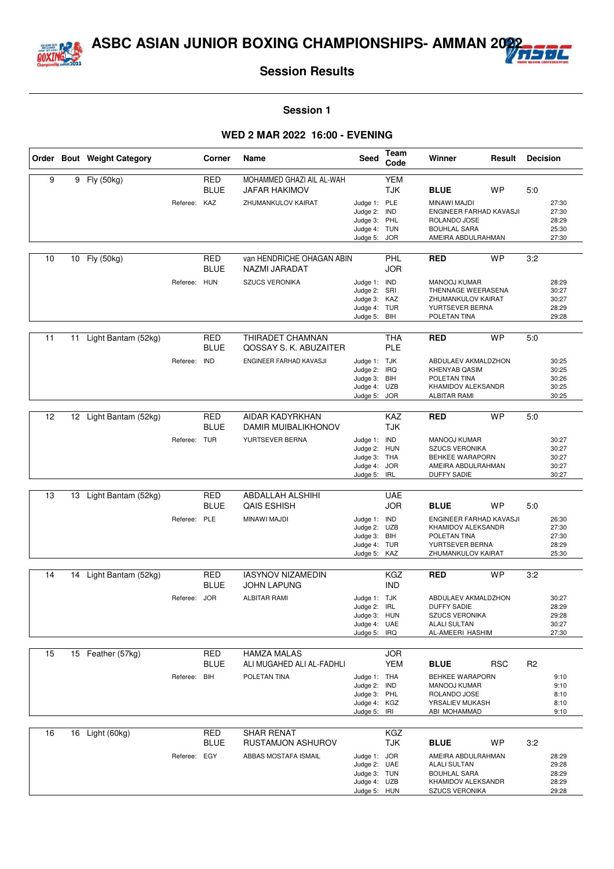



#### **Session 1**

#### **WED 2 MAR 2022 16:00 - EVENING**

|    |    | Order Bout Weight Category |              | Corner                    | Name                                            | Seed                                                                         | Team<br>Code             | Winner                                                                                                          | Result     | <b>Decision</b> |                                           |
|----|----|----------------------------|--------------|---------------------------|-------------------------------------------------|------------------------------------------------------------------------------|--------------------------|-----------------------------------------------------------------------------------------------------------------|------------|-----------------|-------------------------------------------|
| 9  | 9  | Fly (50kg)                 |              | <b>RED</b><br><b>BLUE</b> | MOHAMMED GHAZI AIL AL-WAH<br>JAFAR HAKIMOV      |                                                                              | <b>YEM</b><br><b>TJK</b> | <b>BLUE</b>                                                                                                     | <b>WP</b>  | 5:0             |                                           |
|    |    |                            | Referee:     | KAZ                       | ZHUMANKULOV KAIRAT                              | Judge 1: PLE<br>Judge 2: IND<br>Judge 3: PHL<br>Judge 4: TUN<br>Judge 5:     | <b>JOR</b>               | MINAWI MAJDI<br>ENGINEER FARHAD KAVASJI<br>ROLANDO JOSE<br><b>BOUHLAL SARA</b><br>AMEIRA ABDULRAHMAN            |            |                 | 27:30<br>27:30<br>28:29<br>25:30<br>27:30 |
| 10 | 10 | Fly (50kg)                 |              | RED<br><b>BLUE</b>        | van HENDRICHE OHAGAN ABIN<br>NAZMI JARADAT      |                                                                              | PHL<br><b>JOR</b>        | <b>RED</b>                                                                                                      | <b>WP</b>  | 3:2             |                                           |
|    |    |                            | Referee: HUN |                           | <b>SZUCS VERONIKA</b>                           | Judge 1: IND<br>Judge 2: SRI<br>Judge 3: KAZ<br>Judge 4: TUR<br>Judge 5: BIH |                          | <b>MANOOJ KUMAR</b><br>THENNAGE WEERASENA<br>ZHUMANKULOV KAIRAT<br>YURTSEVER BERNA<br>POLETAN TINA              |            |                 | 28:29<br>30:27<br>30:27<br>28:29<br>29:28 |
| 11 | 11 | Light Bantam (52kg)        |              | <b>RED</b><br><b>BLUE</b> | THIRADET CHAMNAN<br>QOSSAY S. K. ABUZAITER      |                                                                              | <b>THA</b><br>PLE        | <b>RED</b>                                                                                                      | <b>WP</b>  | 5.0             |                                           |
|    |    |                            | Referee:     | <b>IND</b>                | ENGINEER FARHAD KAVASJI                         | Judge 1: TJK<br>Judge 2: IRQ<br>Judge 3: BIH<br>Judge 4: UZB<br>Judge 5:     | <b>JOR</b>               | ABDULAEV AKMALDZHON<br><b>KHENYAB QASIM</b><br>POLETAN TINA<br>KHAMIDOV ALEKSANDR<br><b>ALBITAR RAMI</b>        |            |                 | 30:25<br>30:25<br>30:26<br>30:25<br>30:25 |
| 12 |    | 12 Light Bantam (52kg)     |              | RED<br><b>BLUE</b>        | AIDAR KADYRKHAN<br>DAMIR MUIBALIKHONOV          |                                                                              | <b>KAZ</b><br><b>TJK</b> | <b>RED</b>                                                                                                      | <b>WP</b>  | 5:0             |                                           |
|    |    |                            | Referee: TUR |                           | YURTSEVER BERNA                                 | Judge 1: IND<br>Judge 2: HUN<br>Judge 3: THA<br>Judge 4:<br>Judge 5: IRL     | <b>JOR</b>               | <b>MANOOJ KUMAR</b><br><b>SZUCS VERONIKA</b><br>BEHKEE WARAPORN<br>AMEIRA ABDULRAHMAN<br><b>DUFFY SADIE</b>     |            |                 | 30:27<br>30:27<br>30:27<br>30:27<br>30:27 |
|    |    |                            |              |                           |                                                 |                                                                              |                          |                                                                                                                 |            |                 |                                           |
| 13 | 13 | Light Bantam (52kg)        |              | RED<br><b>BLUE</b>        | <b>ABDALLAH ALSHIHI</b><br><b>QAIS ESHISH</b>   |                                                                              | <b>UAE</b><br><b>JOR</b> | <b>BLUE</b>                                                                                                     | <b>WP</b>  | 5:0             |                                           |
|    |    |                            | Referee:     | PLE                       | MINAWI MAJDI                                    | Judge 1: IND<br>Judge 2:<br>Judge 3: BIH<br>Judge 4: TUR<br>Judge 5: KAZ     | UZB                      | ENGINEER FARHAD KAVASJI<br>KHAMIDOV ALEKSANDR<br>POLETAN TINA<br>YURTSEVER BERNA<br>ZHUMANKULOV KAIRAT          |            |                 | 26:30<br>27:30<br>27:30<br>28:29<br>25:30 |
| 14 |    | 14 Light Bantam (52kg)     |              | <b>RED</b>                | <b>IASYNOV NIZAMEDIN</b>                        |                                                                              | <b>KGZ</b>               | <b>RED</b>                                                                                                      | <b>WP</b>  | 3:2             |                                           |
|    |    |                            |              | <b>BLUE</b>               | JOHN LAPUNG                                     |                                                                              | <b>IND</b>               |                                                                                                                 |            |                 |                                           |
|    |    |                            | Referee:     | <b>JOR</b>                | <b>ALBITAR RAMI</b>                             | Judge 1: TJK<br>Judge 2: IRL<br>Judge 3: HUN<br>Judge 4: UAE<br>Judge 5: IRQ |                          | ABDULAEV AKMALDZHON<br><b>DUFFY SADIE</b><br><b>SZUCS VERONIKA</b><br><b>ALALI SULTAN</b><br>AL-AMEERI HASHIM   |            |                 | 30:27<br>28:29<br>29:28<br>30:27<br>27:30 |
| 15 |    | 15 Feather (57kg)          |              | <b>RED</b><br>BLUE        | <b>HAMZA MALAS</b><br>ALI MUGAHED ALI AL-FADHLI |                                                                              | <b>JOR</b><br><b>YEM</b> | <b>BLUE</b>                                                                                                     | <b>RSC</b> | R <sub>2</sub>  |                                           |
|    |    |                            | Referee:     | BIH                       | POLETAN TINA                                    | Judge 1: THA<br>Judge 2: IND<br>Judge 3: PHL<br>Judge 4: KGZ<br>Judge 5: IRI |                          | BEHKEE WARAPORN<br>MANOOJ KUMAR<br>ROLANDO JOSE<br>YRSALIEV MUKASH<br>ABI MOHAMMAD                              |            |                 | 9:10<br>9:10<br>8:10<br>8:10<br>9:10      |
| 16 |    | 16 Light (60kg)            |              | <b>RED</b><br><b>BLUE</b> | <b>SHAR RENAT</b><br>RUSTAMJON ASHUROV          |                                                                              | <b>KGZ</b><br><b>TJK</b> | <b>BLUE</b>                                                                                                     | WP         | 3:2             |                                           |
|    |    |                            | Referee: EGY |                           | ABBAS MOSTAFA ISMAIL                            | Judge 1: JOR<br>Judge 2: UAE<br>Judge 3: TUN<br>Judge 4: UZB<br>Judge 5: HUN |                          | AMEIRA ABDULRAHMAN<br><b>ALALI SULTAN</b><br><b>BOUHLAL SARA</b><br>KHAMIDOV ALEKSANDR<br><b>SZUCS VERONIKA</b> |            |                 | 28:29<br>29:28<br>28:29<br>28:29<br>29:28 |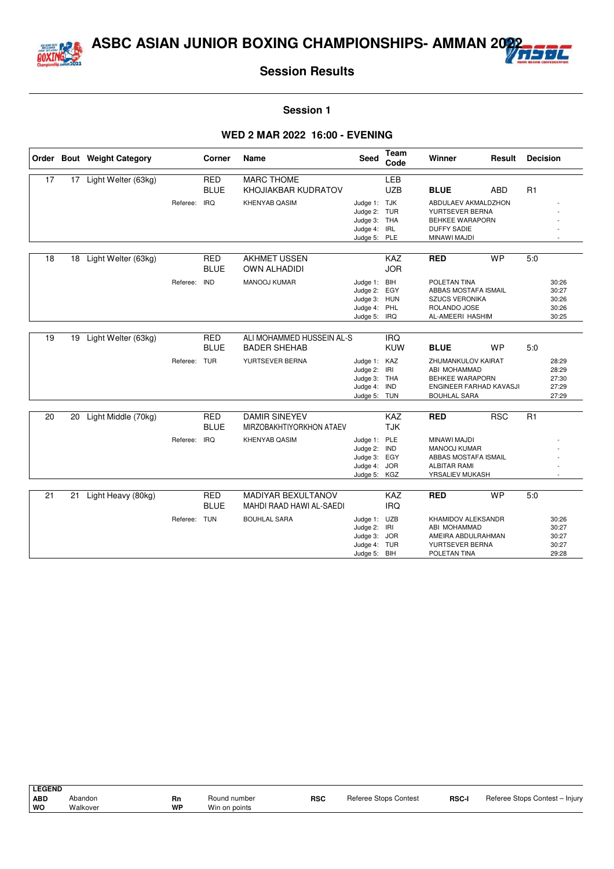



#### **Session 1**

#### **WED 2 MAR 2022 16:00 - EVENING**

|    |    | Order Bout Weight Category |              | Corner                    | Name                                             | <b>Seed</b>                                                                  | <b>Team</b><br>Code      | Winner                                                                                                | Result     | <b>Decision</b> |                                           |
|----|----|----------------------------|--------------|---------------------------|--------------------------------------------------|------------------------------------------------------------------------------|--------------------------|-------------------------------------------------------------------------------------------------------|------------|-----------------|-------------------------------------------|
| 17 | 17 | Light Welter (63kg)        |              | <b>RED</b>                | <b>MARC THOME</b>                                |                                                                              | LEB                      |                                                                                                       |            |                 |                                           |
|    |    |                            |              | <b>BLUE</b>               | KHOJIAKBAR KUDRATOV                              |                                                                              | <b>UZB</b>               | <b>BLUE</b>                                                                                           | <b>ABD</b> | R1              |                                           |
|    |    |                            | Referee:     | <b>IRQ</b>                | KHENYAB QASIM                                    | Judge 1: TJK<br>Judge 2: TUR<br>Judge 3: THA<br>Judge 4: IRL<br>Judge 5: PLE |                          | ABDULAEV AKMALDZHON<br>YURTSEVER BERNA<br>BEHKEE WARAPORN<br><b>DUFFY SADIE</b><br>MINAWI MAJDI       |            |                 |                                           |
|    |    |                            |              |                           |                                                  |                                                                              |                          |                                                                                                       |            |                 |                                           |
| 18 | 18 | Light Welter (63kg)        |              | <b>RED</b><br><b>BLUE</b> | <b>AKHMET USSEN</b><br><b>OWN ALHADIDI</b>       |                                                                              | KAZ<br><b>JOR</b>        | <b>RED</b>                                                                                            | <b>WP</b>  | 5:0             |                                           |
|    |    |                            | Referee:     | <b>IND</b>                | <b>MANOOJ KUMAR</b>                              | Judge 1: BIH<br>Judge 2: EGY<br>Judge 3: HUN<br>Judge 4: PHL<br>Judge 5: IRQ |                          | POLETAN TINA<br>ABBAS MOSTAFA ISMAIL<br><b>SZUCS VERONIKA</b><br>ROLANDO JOSE<br>AL-AMEERI HASHIM     |            |                 | 30:26<br>30:27<br>30:26<br>30:26<br>30:25 |
|    |    |                            |              |                           |                                                  |                                                                              |                          |                                                                                                       |            |                 |                                           |
| 19 | 19 | Light Welter (63kg)        |              | <b>RED</b><br><b>BLUE</b> | ALI MOHAMMED HUSSEIN AL-S<br><b>BADER SHEHAB</b> |                                                                              | <b>IRQ</b><br><b>KUW</b> | <b>BLUE</b>                                                                                           | <b>WP</b>  | 5:0             |                                           |
|    |    |                            | Referee: TUR |                           | YURTSEVER BERNA                                  | Judge 1: KAZ<br>Judge 2: IRI<br>Judge 3: THA<br>Judge 4: IND<br>Judge 5: TUN |                          | ZHUMANKULOV KAIRAT<br>ABI MOHAMMAD<br>BEHKEE WARAPORN<br>ENGINEER FARHAD KAVASJI<br>BOUHLAL SARA      |            |                 | 28:29<br>28:29<br>27:30<br>27:29<br>27:29 |
| 20 | 20 | Light Middle (70kg)        |              | <b>RED</b>                | <b>DAMIR SINEYEV</b>                             |                                                                              | KAZ                      | <b>RED</b>                                                                                            | <b>RSC</b> | R1              |                                           |
|    |    |                            |              | <b>BLUE</b>               | MIRZOBAKHTIYORKHON ATAEV                         |                                                                              | <b>TJK</b>               |                                                                                                       |            |                 |                                           |
|    |    |                            | Referee:     | <b>IRQ</b>                | <b>KHENYAB QASIM</b>                             | Judge 1: PLE<br>Judge 2: IND<br>Judge 3: EGY<br>Judge 4: JOR<br>Judge 5: KGZ |                          | MINAWI MAJDI<br><b>MANOOJ KUMAR</b><br>ABBAS MOSTAFA ISMAIL<br><b>ALBITAR RAMI</b><br>YRSALIEV MUKASH |            |                 |                                           |
| 21 |    |                            |              | <b>RED</b>                | MADIYAR BEXULTANOV                               |                                                                              | KAZ                      | <b>RED</b>                                                                                            | <b>WP</b>  |                 |                                           |
|    | 21 | Light Heavy (80kg)         |              | <b>BLUE</b>               | MAHDI RAAD HAWI AL-SAEDI                         |                                                                              | <b>IRQ</b>               |                                                                                                       |            | 5:0             |                                           |
|    |    |                            | Referee: TUN |                           | <b>BOUHLAL SARA</b>                              | Judge 1: UZB                                                                 |                          | KHAMIDOV ALEKSANDR                                                                                    |            |                 | 30:26                                     |
|    |    |                            |              |                           |                                                  | Judge 2: IRI<br>Judge 3: JOR                                                 |                          | ABI MOHAMMAD<br>AMEIRA ABDULRAHMAN                                                                    |            |                 | 30:27<br>30:27                            |
|    |    |                            |              |                           |                                                  | Judge 4: TUR                                                                 |                          | YURTSEVER BERNA                                                                                       |            |                 | 30:27                                     |
|    |    |                            |              |                           |                                                  | Judge 5: BIH                                                                 |                          | POLETAN TINA                                                                                          |            |                 | 29:28                                     |

| <b>LEGEND</b> |          |    |               |            |                              |              |                                |
|---------------|----------|----|---------------|------------|------------------------------|--------------|--------------------------------|
| ABD           | Abandon  | Rn | Round number  | <b>RSC</b> | <b>Referee Stops Contest</b> | <b>RSC-I</b> | Referee Stops Contest - Injury |
| ∣ wo          | Walkover | WP | Win on points |            |                              |              |                                |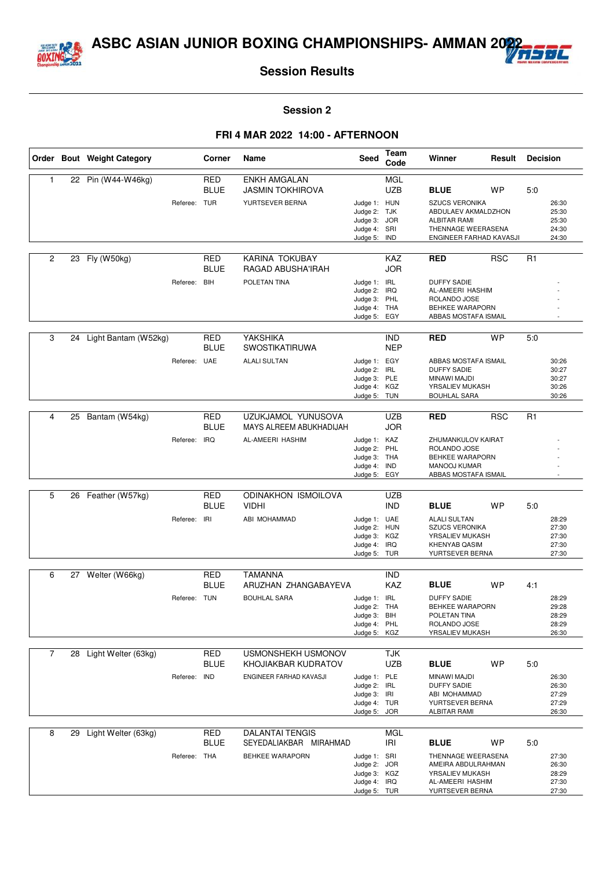



#### **Session 2**

|                |    | Order Bout Weight Category |              | Corner                    | Name                                                 | Seed                                                                         | Team<br>Code             | Winner                                                                                                               | Result     | <b>Decision</b> |                                           |
|----------------|----|----------------------------|--------------|---------------------------|------------------------------------------------------|------------------------------------------------------------------------------|--------------------------|----------------------------------------------------------------------------------------------------------------------|------------|-----------------|-------------------------------------------|
| 1              |    | 22 Pin (W44-W46kg)         |              | RED<br><b>BLUE</b>        | <b>ENKH AMGALAN</b><br><b>JASMIN TOKHIROVA</b>       |                                                                              | MGL<br><b>UZB</b>        | <b>BLUE</b>                                                                                                          | <b>WP</b>  | 5:0             |                                           |
|                |    |                            | Referee:     | <b>TUR</b>                | YURTSEVER BERNA                                      | Judge 1: HUN<br>Judge 2: TJK<br>Judge 3: JOR<br>Judge 4: SRI<br>Judge 5: IND |                          | <b>SZUCS VERONIKA</b><br>ABDULAEV AKMALDZHON<br><b>ALBITAR RAMI</b><br>THENNAGE WEERASENA<br>ENGINEER FARHAD KAVASJI |            |                 | 26:30<br>25:30<br>25:30<br>24:30<br>24:30 |
| 2              | 23 | Fly (W50kg)                |              | RED<br><b>BLUE</b>        | KARINA TOKUBAY<br>RAGAD ABUSHA'IRAH                  |                                                                              | <b>KAZ</b><br><b>JOR</b> | <b>RED</b>                                                                                                           | <b>RSC</b> | R <sub>1</sub>  |                                           |
|                |    |                            | Referee:     | BIH                       | POLETAN TINA                                         | Judge 1: IRL<br>Judge 2: IRQ<br>Judge 3: PHL<br>Judge 4: THA<br>Judge 5: EGY |                          | <b>DUFFY SADIE</b><br>AL-AMEERI HASHIM<br>ROLANDO JOSE<br>BEHKEE WARAPORN<br>ABBAS MOSTAFA ISMAIL                    |            |                 |                                           |
| 3              | 24 | Light Bantam (W52kg)       |              | <b>RED</b><br><b>BLUE</b> | YAKSHIKA<br><b>SWOSTIKATIRUWA</b>                    |                                                                              | <b>IND</b><br><b>NEP</b> | <b>RED</b>                                                                                                           | <b>WP</b>  | 5:0             |                                           |
|                |    |                            | Referee:     | UAE                       | <b>ALALI SULTAN</b>                                  | Judge 1: EGY<br>Judge 2: IRL<br>Judge 3: PLE<br>Judge 4: KGZ<br>Judge 5: TUN |                          | ABBAS MOSTAFA ISMAIL<br><b>DUFFY SADIE</b><br>MINAWI MAJDI<br>YRSALIEV MUKASH<br><b>BOUHLAL SARA</b>                 |            |                 | 30:26<br>30:27<br>30:27<br>30:26<br>30:26 |
|                |    |                            |              |                           |                                                      |                                                                              |                          |                                                                                                                      |            |                 |                                           |
| 4              | 25 | Bantam (W54kg)             |              | <b>RED</b><br>BLUE        | <b>UZUKJAMOL YUNUSOVA</b><br>MAYS ALREEM ABUKHADIJAH |                                                                              | <b>UZB</b><br><b>JOR</b> | <b>RED</b>                                                                                                           | <b>RSC</b> | R <sub>1</sub>  |                                           |
|                |    |                            | Referee:     | <b>IRQ</b>                | AL-AMEERI HASHIM                                     | Judge 1: KAZ<br>Judge 2:<br>Judge 3: THA<br>Judge 4: IND<br>Judge 5: EGY     | PHL                      | ZHUMANKULOV KAIRAT<br>ROLANDO JOSE<br>BEHKEE WARAPORN<br>MANOOJ KUMAR<br>ABBAS MOSTAFA ISMAIL                        |            |                 |                                           |
|                |    |                            |              |                           |                                                      |                                                                              |                          |                                                                                                                      |            |                 |                                           |
| 5              | 26 | Feather (W57kg)            |              | <b>RED</b><br><b>BLUE</b> | <b>ODINAKHON ISMOILOVA</b><br><b>VIDHI</b>           |                                                                              | <b>UZB</b><br><b>IND</b> | <b>BLUE</b>                                                                                                          | <b>WP</b>  | 5:0             |                                           |
|                |    |                            | Referee:     | IRI                       | ABI MOHAMMAD                                         | Judge 1: UAE<br>Judge 2: HUN<br>Judge 3: KGZ<br>Judge 4: IRQ<br>Judge 5: TUR |                          | <b>ALALI SULTAN</b><br><b>SZUCS VERONIKA</b><br>YRSALIEV MUKASH<br><b>KHENYAB QASIM</b><br>YURTSEVER BERNA           |            |                 | 28:29<br>27:30<br>27:30<br>27:30<br>27:30 |
| 6              | 27 | Welter (W66kg)             |              | <b>RED</b>                | <b>TAMANNA</b>                                       |                                                                              | <b>IND</b>               |                                                                                                                      |            |                 |                                           |
|                |    |                            |              | <b>BLUE</b>               | ARUZHAN ZHANGABAYEVA                                 |                                                                              | <b>KAZ</b>               | <b>BLUE</b>                                                                                                          | <b>WP</b>  | 4:1             |                                           |
|                |    |                            | Referee: TUN |                           | <b>BOUHLAL SARA</b>                                  | Judge 1: IRL<br>Judge 2: THA<br>Judge 3: BIH<br>Judge 4: PHL<br>Judge 5: KGZ |                          | <b>DUFFY SADIE</b><br>BEHKEE WARAPORN<br>POLETAN TINA<br>ROLANDO JOSE<br>YRSALIEV MUKASH                             |            |                 | 28:29<br>29:28<br>28:29<br>28:29<br>26:30 |
| $\overline{7}$ |    | 28 Light Welter (63kg)     |              | RED                       | USMONSHEKH USMONOV                                   |                                                                              | <b>TJK</b>               |                                                                                                                      |            |                 |                                           |
|                |    |                            |              | <b>BLUE</b>               | KHOJIAKBAR KUDRATOV                                  |                                                                              | <b>UZB</b>               | <b>BLUE</b>                                                                                                          | <b>WP</b>  | 5:0             |                                           |
|                |    |                            | Referee:     | <b>IND</b>                | ENGINEER FARHAD KAVASJI                              | Judge 1: PLE<br>Judge 2: IRL<br>Judge 3: IRI<br>Judge 4: TUR<br>Judge 5: JOR |                          | MINAWI MAJDI<br><b>DUFFY SADIE</b><br>ABI MOHAMMAD<br>YURTSEVER BERNA<br>ALBITAR RAMI                                |            |                 | 26:30<br>26:30<br>27:29<br>27:29<br>26:30 |
| 8              | 29 | Light Welter (63kg)        |              | <b>RED</b><br><b>BLUE</b> | <b>DALANTAI TENGIS</b><br>SEYEDALIAKBAR MIRAHMAD     |                                                                              | <b>MGL</b><br>IRI        | <b>BLUE</b>                                                                                                          | <b>WP</b>  | 5:0             |                                           |
|                |    |                            | Referee: THA |                           | BEHKEE WARAPORN                                      | Judge 1: SRI<br>Judge 2: JOR<br>Judge 3: KGZ<br>Judge 4: IRQ<br>Judge 5: TUR |                          | THENNAGE WEERASENA<br>AMEIRA ABDULRAHMAN<br>YRSALIEV MUKASH<br>AL-AMEERI HASHIM<br>YURTSEVER BERNA                   |            |                 | 27:30<br>26:30<br>28:29<br>27:30<br>27:30 |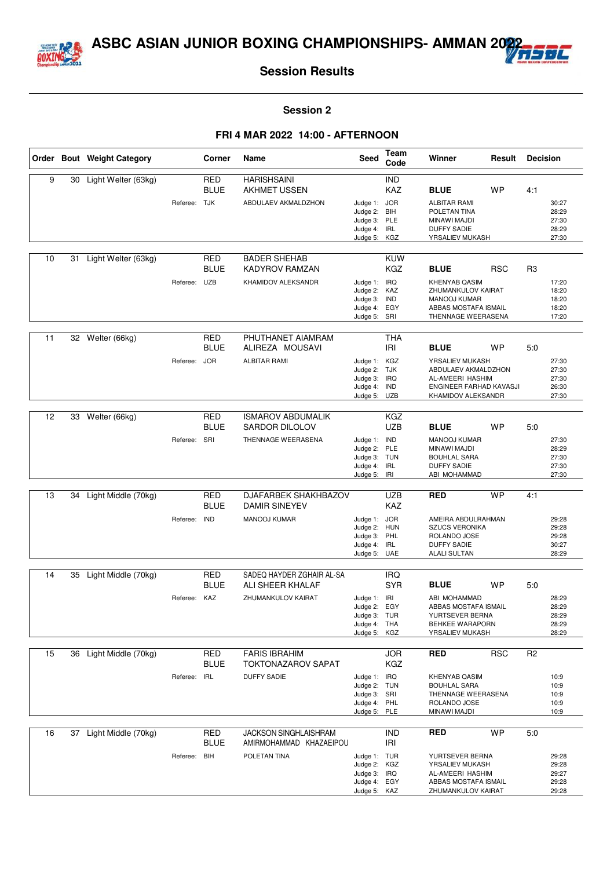



#### **Session 2**

|    |    | Order Bout Weight Category |              | Corner                    | Name                                                    | Seed                                                                         | Team<br>Code             | Winner                                                                                                          | Result     | <b>Decision</b> |                                           |
|----|----|----------------------------|--------------|---------------------------|---------------------------------------------------------|------------------------------------------------------------------------------|--------------------------|-----------------------------------------------------------------------------------------------------------------|------------|-----------------|-------------------------------------------|
| 9  | 30 | Light Welter (63kg)        |              | RED<br><b>BLUE</b>        | <b>HARISHSAINI</b><br><b>AKHMET USSEN</b>               |                                                                              | <b>IND</b><br>KAZ        | <b>BLUE</b>                                                                                                     | <b>WP</b>  | 4:1             |                                           |
|    |    |                            | Referee: TJK |                           | ABDULAEV AKMALDZHON                                     | Judge 1: JOR<br>Judge 2:<br>Judge 3: PLE<br>Judge 4: IRL<br>Judge 5:         | BIH<br>KGZ               | <b>ALBITAR RAMI</b><br>POLETAN TINA<br>MINAWI MAJDI<br><b>DUFFY SADIE</b><br>YRSALIEV MUKASH                    |            |                 | 30:27<br>28:29<br>27:30<br>28:29<br>27:30 |
| 10 | 31 | Light Welter (63kg)        |              | RED<br><b>BLUE</b>        | <b>BADER SHEHAB</b><br><b>KADYROV RAMZAN</b>            |                                                                              | <b>KUW</b><br><b>KGZ</b> | <b>BLUE</b>                                                                                                     | <b>RSC</b> | R <sub>3</sub>  |                                           |
|    |    |                            | Referee: UZB |                           | KHAMIDOV ALEKSANDR                                      | Judge 1: IRQ<br>Judge 2: KAZ<br>Judge 3: IND<br>Judge 4: EGY<br>Judge 5: SRI |                          | <b>KHENYAB QASIM</b><br>ZHUMANKULOV KAIRAT<br><b>MANOOJ KUMAR</b><br>ABBAS MOSTAFA ISMAIL<br>THENNAGE WEERASENA |            |                 | 17:20<br>18:20<br>18:20<br>18:20<br>17:20 |
| 11 |    | 32 Welter (66kg)           |              | <b>RED</b><br><b>BLUE</b> | PHUTHANET AIAMRAM<br>ALIREZA MOUSAVI                    |                                                                              | <b>THA</b><br><b>IRI</b> | <b>BLUE</b>                                                                                                     | <b>WP</b>  | 5:0             |                                           |
|    |    |                            | Referee:     | <b>JOR</b>                | <b>ALBITAR RAMI</b>                                     | Judge 1: KGZ<br>Judge 2: TJK<br>Judge 3: IRQ<br>Judge 4: IND<br>Judge 5: UZB |                          | YRSALIEV MUKASH<br>ABDULAEV AKMALDZHON<br>AL-AMEERI HASHIM<br>ENGINEER FARHAD KAVASJI<br>KHAMIDOV ALEKSANDR     |            |                 | 27:30<br>27:30<br>27:30<br>26:30<br>27:30 |
|    |    |                            |              |                           |                                                         |                                                                              |                          |                                                                                                                 |            |                 |                                           |
| 12 | 33 | Welter (66kg)              |              | <b>RED</b><br><b>BLUE</b> | <b>ISMAROV ABDUMALIK</b><br><b>SARDOR DILOLOV</b>       |                                                                              | <b>KGZ</b><br><b>UZB</b> | <b>BLUE</b>                                                                                                     | <b>WP</b>  | 5:0             |                                           |
|    |    |                            | Referee: SRI |                           | THENNAGE WEERASENA                                      | Judge 1: IND<br>Judge 2: PLE<br>Judge 3: TUN<br>Judge 4: IRL<br>Judge 5: IRI |                          | <b>MANOOJ KUMAR</b><br>MINAWI MAJDI<br><b>BOUHLAL SARA</b><br><b>DUFFY SADIE</b><br>ABI MOHAMMAD                |            |                 | 27:30<br>28:29<br>27:30<br>27:30<br>27:30 |
| 13 | 34 |                            |              | <b>RED</b>                | DJAFARBEK SHAKHBAZOV                                    |                                                                              | <b>UZB</b>               |                                                                                                                 | <b>WP</b>  | 4:1             |                                           |
|    |    | Light Middle (70kg)        |              | <b>BLUE</b>               | <b>DAMIR SINEYEV</b>                                    |                                                                              | <b>KAZ</b>               | <b>RED</b>                                                                                                      |            |                 |                                           |
|    |    |                            | Referee:     | <b>IND</b>                | MANOOJ KUMAR                                            | Judge 1: JOR<br>Judge 2: HUN                                                 |                          | AMEIRA ABDULRAHMAN<br><b>SZUCS VERONIKA</b>                                                                     |            |                 | 29:28<br>29:28                            |
|    |    |                            |              |                           |                                                         | Judge 3: PHL<br>Judge 4: IRL                                                 |                          | ROLANDO JOSE<br><b>DUFFY SADIE</b>                                                                              |            |                 | 29:28<br>30:27                            |
|    |    |                            |              |                           |                                                         | Judge 5: UAE                                                                 |                          | <b>ALALI SULTAN</b>                                                                                             |            |                 | 28:29                                     |
| 14 | 35 | Light Middle (70kg)        |              | RED                       | SADEQ HAYDER ZGHAIR AL-SA                               |                                                                              | <b>IRQ</b>               |                                                                                                                 |            |                 |                                           |
|    |    |                            |              | <b>BLUE</b>               | ALI SHEER KHALAF                                        |                                                                              | <b>SYR</b>               | <b>BLUE</b>                                                                                                     | <b>WP</b>  | 5:0             |                                           |
|    |    |                            | Referee: KAZ |                           | ZHUMANKULOV KAIRAT                                      | Judge 1: IRI<br>Judge 2:                                                     | EGY                      | ABI MOHAMMAD<br>ABBAS MOSTAFA ISMAIL                                                                            |            |                 | 28:29<br>28:29                            |
|    |    |                            |              |                           |                                                         | Judge 3: TUR                                                                 |                          | YURTSEVER BERNA                                                                                                 |            |                 | 28:29                                     |
|    |    |                            |              |                           |                                                         | Judge 4: THA<br>Judge 5: KGZ                                                 |                          | <b>BEHKEE WARAPORN</b><br>YRSALIEV MUKASH                                                                       |            |                 | 28:29<br>28:29                            |
| 15 |    | 36 Light Middle (70kg)     |              | <b>RED</b>                | <b>FARIS IBRAHIM</b>                                    |                                                                              | <b>JOR</b>               | <b>RED</b>                                                                                                      | <b>RSC</b> | R <sub>2</sub>  |                                           |
|    |    |                            |              | <b>BLUE</b>               | <b>TOKTONAZAROV SAPAT</b>                               |                                                                              | <b>KGZ</b>               |                                                                                                                 |            |                 |                                           |
|    |    |                            | Referee:     | <b>IRL</b>                | <b>DUFFY SADIE</b>                                      | Judge 1: IRQ                                                                 |                          | <b>KHENYAB QASIM</b>                                                                                            |            |                 | 10:9                                      |
|    |    |                            |              |                           |                                                         | Judge 2: TUN<br>Judge 3: SRI                                                 |                          | <b>BOUHLAL SARA</b><br>THENNAGE WEERASENA                                                                       |            |                 | 10:9<br>10:9                              |
|    |    |                            |              |                           |                                                         | Judge 4: PHL<br>Judge 5: PLE                                                 |                          | ROLANDO JOSE<br>MINAWI MAJDI                                                                                    |            |                 | 10:9<br>10:9                              |
| 16 | 37 | Light Middle (70kg)        |              | RED<br><b>BLUE</b>        | <b>JACKSON SINGHLAISHRAM</b><br>AMIRMOHAMMAD KHAZAEIPOU |                                                                              | <b>IND</b><br>IRI        | <b>RED</b>                                                                                                      | <b>WP</b>  | 5:0             |                                           |
|    |    |                            | Referee: BIH |                           | POLETAN TINA                                            | Judge 1: TUR                                                                 |                          | YURTSEVER BERNA                                                                                                 |            |                 | 29:28                                     |
|    |    |                            |              |                           |                                                         | Judge 2: KGZ<br>Judge 3: IRQ                                                 |                          | YRSALIEV MUKASH<br>AL-AMEERI HASHIM                                                                             |            |                 | 29:28<br>29:27                            |
|    |    |                            |              |                           |                                                         | Judge 4: EGY                                                                 |                          | ABBAS MOSTAFA ISMAIL                                                                                            |            |                 | 29:28                                     |
|    |    |                            |              |                           |                                                         | Judge 5: KAZ                                                                 |                          | ZHUMANKULOV KAIRAT                                                                                              |            |                 | 29:28                                     |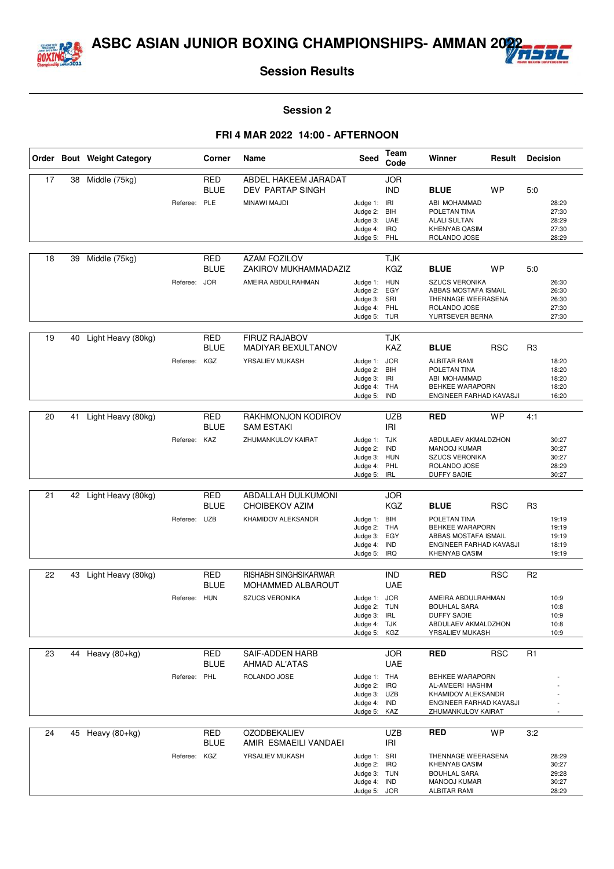



#### **Session 2**

|    |    | Order Bout Weight Category |              | Corner                    | Name                                         | Seed                         | Team<br>Code             | Winner                                            | Result     | <b>Decision</b> |                |
|----|----|----------------------------|--------------|---------------------------|----------------------------------------------|------------------------------|--------------------------|---------------------------------------------------|------------|-----------------|----------------|
| 17 | 38 | Middle (75kg)              |              | <b>RED</b><br><b>BLUE</b> | ABDEL HAKEEM JARADAT<br>DEV PARTAP SINGH     |                              | <b>JOR</b><br><b>IND</b> | <b>BLUE</b>                                       | <b>WP</b>  | 5:0             |                |
|    |    |                            | Referee:     | PLE                       | MINAWI MAJDI                                 | Judge 1: IRI                 |                          | ABI MOHAMMAD                                      |            |                 | 28:29          |
|    |    |                            |              |                           |                                              | Judge 2:                     | BIH                      | POLETAN TINA                                      |            |                 | 27:30          |
|    |    |                            |              |                           |                                              | Judge 3: UAE<br>Judge 4: IRQ |                          | <b>ALALI SULTAN</b><br><b>KHENYAB QASIM</b>       |            |                 | 28:29<br>27:30 |
|    |    |                            |              |                           |                                              | Judge 5: PHL                 |                          | ROLANDO JOSE                                      |            |                 | 28:29          |
|    |    |                            |              |                           |                                              |                              |                          |                                                   |            |                 |                |
| 18 | 39 | Middle (75kg)              |              | <b>RED</b><br><b>BLUE</b> | <b>AZAM FOZILOV</b><br>ZAKIROV MUKHAMMADAZIZ |                              | <b>TJK</b><br><b>KGZ</b> | <b>BLUE</b>                                       | <b>WP</b>  | 5:0             |                |
|    |    |                            | Referee: JOR |                           | AMEIRA ABDULRAHMAN                           | Judge 1: HUN                 |                          | <b>SZUCS VERONIKA</b>                             |            |                 | 26:30          |
|    |    |                            |              |                           |                                              | Judge 2:                     | EGY                      | ABBAS MOSTAFA ISMAIL                              |            |                 | 26:30          |
|    |    |                            |              |                           |                                              | Judge 3: SRI<br>Judge 4:     | PHL                      | THENNAGE WEERASENA<br>ROLANDO JOSE                |            |                 | 26:30<br>27:30 |
|    |    |                            |              |                           |                                              | Judge 5: TUR                 |                          | YURTSEVER BERNA                                   |            |                 | 27:30          |
|    |    |                            |              |                           |                                              |                              |                          |                                                   |            |                 |                |
| 19 | 40 | Light Heavy (80kg)         |              | <b>RED</b><br><b>BLUE</b> | <b>FIRUZ RAJABOV</b><br>MADIYAR BEXULTANOV   |                              | <b>TJK</b><br>KAZ        | <b>BLUE</b>                                       | <b>RSC</b> | R <sub>3</sub>  |                |
|    |    |                            | Referee:     | KGZ                       | YRSALIEV MUKASH                              | Judge 1: JOR                 |                          | <b>ALBITAR RAMI</b>                               |            |                 | 18:20          |
|    |    |                            |              |                           |                                              | Judge 2:                     | <b>BIH</b>               | POLETAN TINA                                      |            |                 | 18:20          |
|    |    |                            |              |                           |                                              | Judge 3:                     | IRI                      | ABI MOHAMMAD                                      |            |                 | 18:20          |
|    |    |                            |              |                           |                                              | Judge 4: THA<br>Judge 5:     | <b>IND</b>               | <b>BEHKEE WARAPORN</b><br>ENGINEER FARHAD KAVASJI |            |                 | 18:20<br>16:20 |
|    |    |                            |              |                           |                                              |                              |                          |                                                   |            |                 |                |
| 20 | 41 | Light Heavy (80kg)         |              | <b>RED</b><br><b>BLUE</b> | RAKHMONJON KODIROV<br><b>SAM ESTAKI</b>      |                              | <b>UZB</b><br>IRI        | <b>RED</b>                                        | <b>WP</b>  | 4:1             |                |
|    |    |                            | Referee: KAZ |                           | ZHUMANKULOV KAIRAT                           | Judge 1: TJK                 |                          | ABDULAEV AKMALDZHON                               |            |                 | 30:27          |
|    |    |                            |              |                           |                                              | Judge 2:                     | IND                      | <b>MANOOJ KUMAR</b>                               |            |                 | 30:27          |
|    |    |                            |              |                           |                                              | Judge 3: HUN<br>Judge 4:     | PHL                      | <b>SZUCS VERONIKA</b><br>ROLANDO JOSE             |            |                 | 30:27<br>28:29 |
|    |    |                            |              |                           |                                              | Judge 5: IRL                 |                          | <b>DUFFY SADIE</b>                                |            |                 | 30:27          |
|    |    |                            |              |                           |                                              |                              |                          |                                                   |            |                 |                |
| 21 | 42 | Light Heavy (80kg)         |              | RED<br><b>BLUE</b>        | ABDALLAH DULKUMONI<br><b>CHOIBEKOV AZIM</b>  |                              | <b>JOR</b><br><b>KGZ</b> | <b>BLUE</b>                                       | <b>RSC</b> | R <sub>3</sub>  |                |
|    |    |                            | Referee:     | <b>UZB</b>                | KHAMIDOV ALEKSANDR                           | Judge 1: BIH                 |                          | POLETAN TINA                                      |            |                 | 19:19          |
|    |    |                            |              |                           |                                              | Judge 2: THA<br>Judge 3: EGY |                          | BEHKEE WARAPORN<br>ABBAS MOSTAFA ISMAIL           |            |                 | 19:19<br>19:19 |
|    |    |                            |              |                           |                                              | Judge 4: IND                 |                          | ENGINEER FARHAD KAVASJI                           |            |                 | 18:19          |
|    |    |                            |              |                           |                                              | Judge 5: IRQ                 |                          | <b>KHENYAB QASIM</b>                              |            |                 | 19:19          |
| 22 | 43 | Light Heavy (80kg)         |              | <b>RED</b>                | RISHABH SINGHSIKARWAR                        |                              | <b>IND</b>               | <b>RED</b>                                        | <b>RSC</b> | R <sub>2</sub>  |                |
|    |    |                            |              | <b>BLUE</b>               | MOHAMMED ALBAROUT                            |                              | <b>UAE</b>               |                                                   |            |                 |                |
|    |    |                            | Referee: HUN |                           | <b>SZUCS VERONIKA</b>                        | Judge 1: JOR                 |                          | AMEIRA ABDULRAHMAN                                |            |                 | 10:9           |
|    |    |                            |              |                           |                                              | Judge 2: TUN                 |                          | <b>BOUHLAL SARA</b>                               |            |                 | 10:8           |
|    |    |                            |              |                           |                                              | Judge 3: IRL                 |                          | <b>DUFFY SADIE</b><br>ABDULAEV AKMALDZHON         |            |                 | 10:9<br>10:8   |
|    |    |                            |              |                           |                                              | Judge 4: TJK<br>Judge 5: KGZ |                          | YRSALIEV MUKASH                                   |            |                 | 10:9           |
|    |    |                            |              |                           |                                              |                              |                          |                                                   |            |                 |                |
| 23 |    | 44 Heavy (80+kg)           |              | RED<br><b>BLUE</b>        | SAIF-ADDEN HARB<br>AHMAD AL'ATAS             |                              | <b>JOR</b><br><b>UAE</b> | <b>RED</b>                                        | <b>RSC</b> | R <sub>1</sub>  |                |
|    |    |                            | Referee: PHL |                           | ROLANDO JOSE                                 | Judge 1: THA                 |                          | BEHKEE WARAPORN                                   |            |                 |                |
|    |    |                            |              |                           |                                              | Judge 2: IRQ                 |                          | AL-AMEERI HASHIM                                  |            |                 |                |
|    |    |                            |              |                           |                                              | Judge 3: UZB<br>Judge 4: IND |                          | KHAMIDOV ALEKSANDR<br>ENGINEER FARHAD KAVASJI     |            |                 |                |
|    |    |                            |              |                           |                                              | Judge 5: KAZ                 |                          | ZHUMANKULOV KAIRAT                                |            |                 |                |
|    |    |                            |              |                           |                                              |                              |                          |                                                   |            |                 |                |
| 24 | 45 | Heavy (80+kg)              |              | RED<br><b>BLUE</b>        | <b>OZODBEKALIEV</b><br>AMIR ESMAEILI VANDAEI |                              | <b>UZB</b><br>IRI        | <b>RED</b>                                        | <b>WP</b>  | 3:2             |                |
|    |    |                            | Referee: KGZ |                           | YRSALIEV MUKASH                              | Judge 1: SRI                 |                          | THENNAGE WEERASENA                                |            |                 | 28:29          |
|    |    |                            |              |                           |                                              | Judge 2: IRQ<br>Judge 3: TUN |                          | KHENYAB QASIM<br><b>BOUHLAL SARA</b>              |            |                 | 30:27<br>29:28 |
|    |    |                            |              |                           |                                              | Judge 4: IND                 |                          | MANOOJ KUMAR                                      |            |                 | 30:27          |
|    |    |                            |              |                           |                                              | Judge 5: JOR                 |                          | ALBITAR RAMI                                      |            |                 | 28:29          |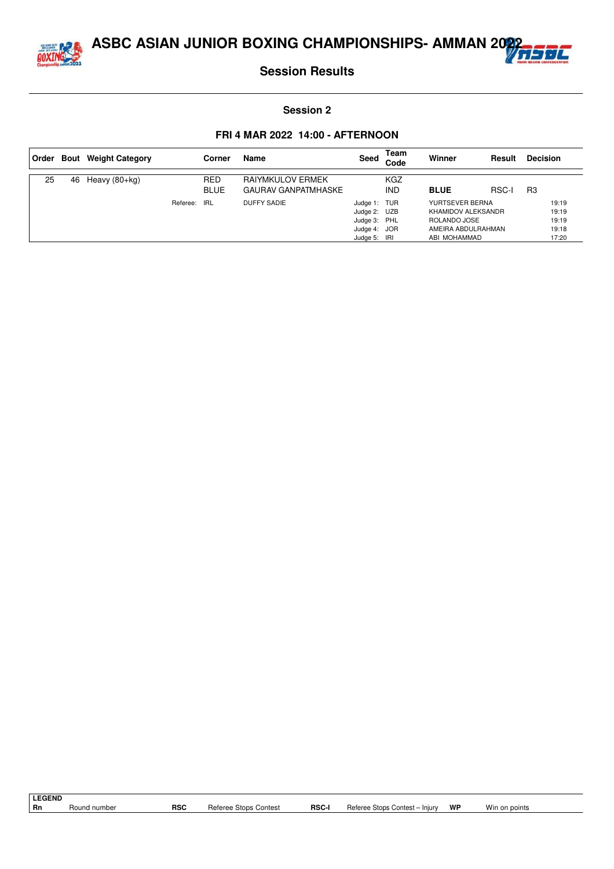



#### **Session 2**

|    |    | Order Bout Weight Category |          | Corner             | Name                                           | Seed                                                                         | Team<br>Code      | Winner                                                                                      | Result       | <b>Decision</b>                           |
|----|----|----------------------------|----------|--------------------|------------------------------------------------|------------------------------------------------------------------------------|-------------------|---------------------------------------------------------------------------------------------|--------------|-------------------------------------------|
| 25 | 46 | Heavy (80+kg)              |          | RED<br><b>BLUE</b> | RAIYMKULOV ERMEK<br><b>GAURAV GANPATMHASKE</b> |                                                                              | KGZ<br><b>IND</b> | <b>BLUE</b>                                                                                 | <b>RSC-I</b> | R <sub>3</sub>                            |
|    |    |                            | Referee: | IRL                | DUFFY SADIE                                    | Judge 1: TUR<br>Judge 2: UZB<br>Judge 3: PHL<br>Judge 4: JOR<br>Judge 5: IRI |                   | YURTSEVER BERNA<br>KHAMIDOV ALEKSANDR<br>ROLANDO JOSE<br>AMEIRA ABDULRAHMAN<br>ABI MOHAMMAD |              | 19:19<br>19:19<br>19:19<br>19:18<br>17:20 |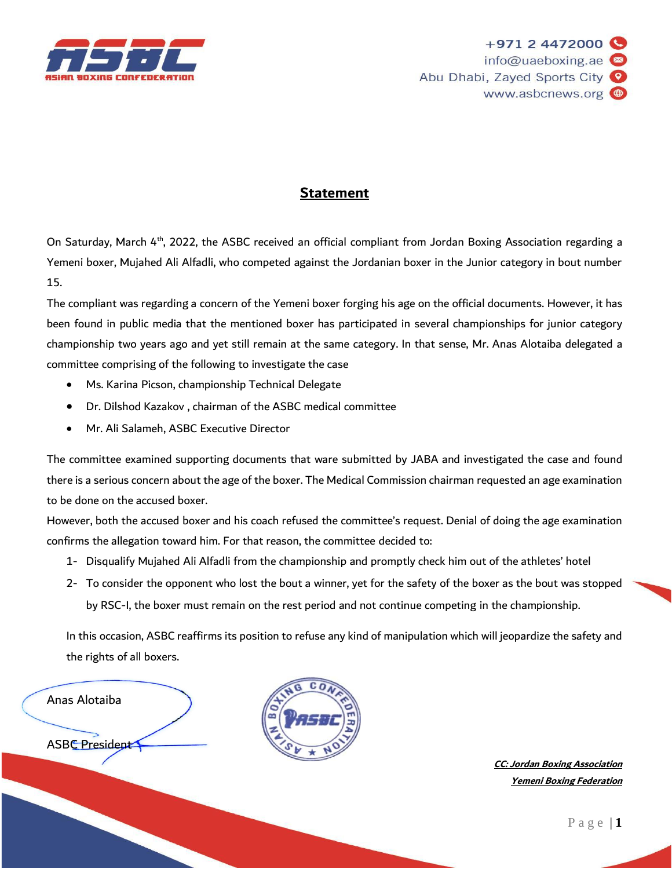

## **Statement**

On Saturday, March 4<sup>th</sup>, 2022, the ASBC received an official compliant from Jordan Boxing Association regarding a Yemeni boxer, Mujahed Ali Alfadli, who competed against the Jordanian boxer in the Junior category in bout number 15.

The compliant was regarding a concern of the Yemeni boxer forging his age on the official documents. However, it has been found in public media that the mentioned boxer has participated in several championships for junior category championship two years ago and yet still remain at the same category. In that sense, Mr. Anas Alotaiba delegated a committee comprising of the following to investigate the case

- Ms. Karina Picson, championship Technical Delegate
- Dr. Dilshod Kazakov , chairman of the ASBC medical committee
- Mr. Ali Salameh, ASBC Executive Director

The committee examined supporting documents that ware submitted by JABA and investigated the case and found there is a serious concern about the age of the boxer. The Medical Commission chairman requested an age examination to be done on the accused boxer.

However, both the accused boxer and his coach refused the committee's request. Denial of doing the age examination confirms the allegation toward him. For that reason, the committee decided to:

- 1- Disqualify Mujahed Ali Alfadli from the championship and promptly check him out of the athletes' hotel
- 2- To consider the opponent who lost the bout a winner, yet for the safety of the boxer as the bout was stopped by RSC-I, the boxer must remain on the rest period and not continue competing in the championship.

In this occasion, ASBC reaffirms its position to refuse any kind of manipulation which will jeopardize the safety and the rights of all boxers.

Anas Alotaiba

**ASBC** President



**CC: Jordan Boxing Association Yemeni Boxing Federation**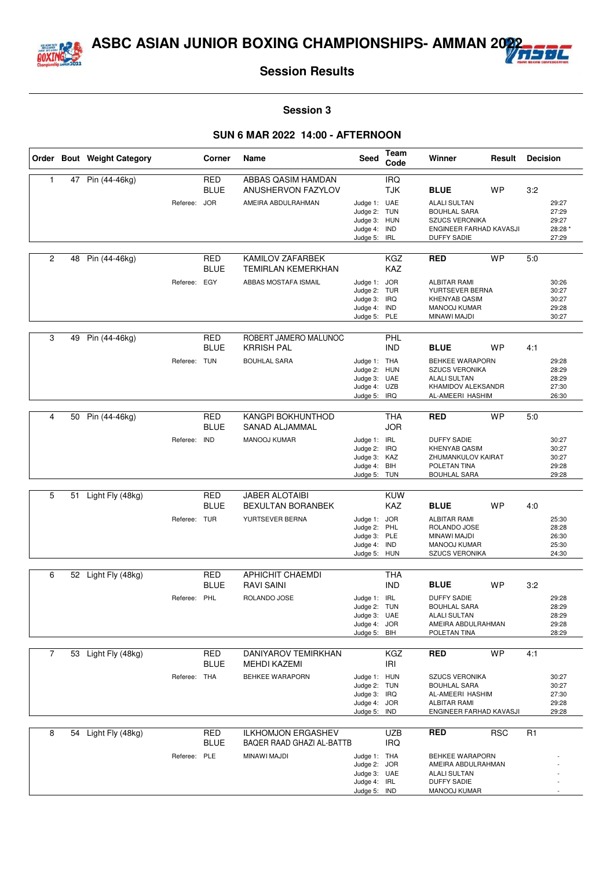



#### **Session 3**

|                |    | Order Bout Weight Category |              | Corner                    | Name                                                   | Seed                                                                         | Team<br>Code             | Winner                                                                                                               | Result     | <b>Decision</b> |                                             |
|----------------|----|----------------------------|--------------|---------------------------|--------------------------------------------------------|------------------------------------------------------------------------------|--------------------------|----------------------------------------------------------------------------------------------------------------------|------------|-----------------|---------------------------------------------|
| $\mathbf{1}$   | 47 | Pin (44-46kg)              |              | <b>RED</b><br><b>BLUE</b> | ABBAS QASIM HAMDAN<br>ANUSHERVON FAZYLOV               |                                                                              | <b>IRQ</b><br><b>TJK</b> | <b>BLUE</b>                                                                                                          | <b>WP</b>  | 3:2             |                                             |
|                |    |                            | Referee:     | <b>JOR</b>                | AMEIRA ABDULRAHMAN                                     | Judge 1: UAE<br>Judge 2: TUN<br>Judge 3: HUN<br>Judge 4: IND<br>Judge 5: IRL |                          | <b>ALALI SULTAN</b><br><b>BOUHLAL SARA</b><br><b>SZUCS VERONIKA</b><br>ENGINEER FARHAD KAVASJI<br><b>DUFFY SADIE</b> |            |                 | 29:27<br>27:29<br>29:27<br>28:28 *<br>27:29 |
| 2              | 48 | Pin (44-46kg)              |              | <b>RED</b><br><b>BLUE</b> | KAMILOV ZAFARBEK<br><b>TEMIRLAN KEMERKHAN</b>          |                                                                              | <b>KGZ</b><br>KAZ        | <b>RED</b>                                                                                                           | <b>WP</b>  | 5:0             |                                             |
|                |    |                            | Referee: EGY |                           | ABBAS MOSTAFA ISMAIL                                   | Judge 1: JOR<br>Judge 2: TUR<br>Judge 3: IRQ<br>Judge 4: IND<br>Judge 5: PLE |                          | <b>ALBITAR RAMI</b><br>YURTSEVER BERNA<br><b>KHENYAB QASIM</b><br>MANOOJ KUMAR<br>MINAWI MAJDI                       |            |                 | 30:26<br>30:27<br>30:27<br>29:28<br>30:27   |
| 3              | 49 | Pin (44-46kg)              |              | <b>RED</b><br><b>BLUE</b> | ROBERT JAMERO MALUNOC<br><b>KRRISH PAL</b>             |                                                                              | PHL<br><b>IND</b>        | <b>BLUE</b>                                                                                                          | <b>WP</b>  | 4:1             |                                             |
|                |    |                            | Referee: TUN |                           | <b>BOUHLAL SARA</b>                                    | Judge 1: THA<br>Judge 2: HUN<br>Judge 3: UAE<br>Judge 4: UZB<br>Judge 5: IRQ |                          | BEHKEE WARAPORN<br><b>SZUCS VERONIKA</b><br><b>ALALI SULTAN</b><br>KHAMIDOV ALEKSANDR<br>AL-AMEERI HASHIM            |            |                 | 29:28<br>28:29<br>28:29<br>27:30<br>26:30   |
| 4              | 50 | Pin (44-46kg)              |              | <b>RED</b>                | <b>KANGPI BOKHUNTHOD</b>                               |                                                                              | THA                      | <b>RED</b>                                                                                                           | <b>WP</b>  | 5:0             |                                             |
|                |    |                            | Referee: IND | <b>BLUE</b>               | SANAD ALJAMMAL<br>MANOOJ KUMAR                         | Judge 1: IRL                                                                 | <b>JOR</b>               | <b>DUFFY SADIE</b>                                                                                                   |            |                 | 30:27                                       |
|                |    |                            |              |                           |                                                        | Judge 2: IRQ<br>Judge 3: KAZ<br>Judge 4:<br>Judge 5: TUN                     | BIH                      | <b>KHENYAB QASIM</b><br>ZHUMANKULOV KAIRAT<br>POLETAN TINA<br><b>BOUHLAL SARA</b>                                    |            |                 | 30:27<br>30:27<br>29:28<br>29:28            |
|                |    |                            |              |                           |                                                        |                                                                              |                          |                                                                                                                      |            |                 |                                             |
| 5              | 51 | Light Fly (48kg)           |              | <b>RED</b><br><b>BLUE</b> | <b>JABER ALOTAIBI</b><br><b>BEXULTAN BORANBEK</b>      |                                                                              | <b>KUW</b><br>KAZ        | <b>BLUE</b>                                                                                                          | WP         | 4:0             |                                             |
|                |    |                            | Referee: TUR |                           | YURTSEVER BERNA                                        | Judge 1: JOR<br>Judge 2:<br>Judge 3: PLE<br>Judge 4: IND<br>Judge 5: HUN     | PHL                      | <b>ALBITAR RAMI</b><br>ROLANDO JOSE<br>MINAWI MAJDI<br><b>MANOOJ KUMAR</b><br><b>SZUCS VERONIKA</b>                  |            |                 | 25:30<br>28:28<br>26:30<br>25:30<br>24:30   |
| 6              |    | 52 Light Fly (48kg)        |              | <b>RED</b>                | <b>APHICHIT CHAEMDI</b>                                |                                                                              | <b>THA</b>               |                                                                                                                      |            |                 |                                             |
|                |    |                            |              | <b>BLUE</b>               | <b>RAVI SAINI</b>                                      |                                                                              | <b>IND</b>               | <b>BLUE</b>                                                                                                          | WP         | 3:2             |                                             |
|                |    |                            | Referee: PHL |                           | ROLANDO JOSE                                           | Judge 1: IRL<br>Judge 2: TUN<br>Judge 3: UAE<br>Judge 4: JOR<br>Judge 5: BIH |                          | <b>DUFFY SADIE</b><br><b>BOUHLAL SARA</b><br><b>ALALI SULTAN</b><br>AMEIRA ABDULRAHMAN<br>POLETAN TINA               |            |                 | 29:28<br>28:29<br>28:29<br>29:28<br>28:29   |
| $\overline{7}$ | 53 | Light Fly (48kg)           |              | <b>RED</b>                | DANIYAROV TEMIRKHAN                                    |                                                                              | <b>KGZ</b>               | <b>RED</b>                                                                                                           | <b>WP</b>  | 4:1             |                                             |
|                |    |                            |              | BLUE                      | <b>MEHDI KAZEMI</b>                                    |                                                                              | <b>IRI</b>               |                                                                                                                      |            |                 |                                             |
|                |    |                            | Referee: THA |                           | <b>BEHKEE WARAPORN</b>                                 | Judge 1: HUN<br>Judge 2: TUN<br>Judge 3: IRQ<br>Judge 4: JOR<br>Judge 5: IND |                          | <b>SZUCS VERONIKA</b><br><b>BOUHLAL SARA</b><br>AL-AMEERI HASHIM<br><b>ALBITAR RAMI</b><br>ENGINEER FARHAD KAVASJI   |            |                 | 30:27<br>30:27<br>27:30<br>29:28<br>29:28   |
| 8              |    | 54 Light Fly (48kg)        |              | RED<br><b>BLUE</b>        | <b>ILKHOMJON ERGASHEV</b><br>BAQER RAAD GHAZI AL-BATTB |                                                                              | <b>UZB</b><br><b>IRQ</b> | <b>RED</b>                                                                                                           | <b>RSC</b> | R <sub>1</sub>  |                                             |
|                |    |                            | Referee: PLE |                           | MINAWI MAJDI                                           | Judge 1: THA<br>Judge 2: JOR<br>Judge 3: UAE<br>Judge 4: IRL<br>Judge 5: IND |                          | <b>BEHKEE WARAPORN</b><br>AMEIRA ABDULRAHMAN<br><b>ALALI SULTAN</b><br><b>DUFFY SADIE</b><br>MANOOJ KUMAR            |            |                 |                                             |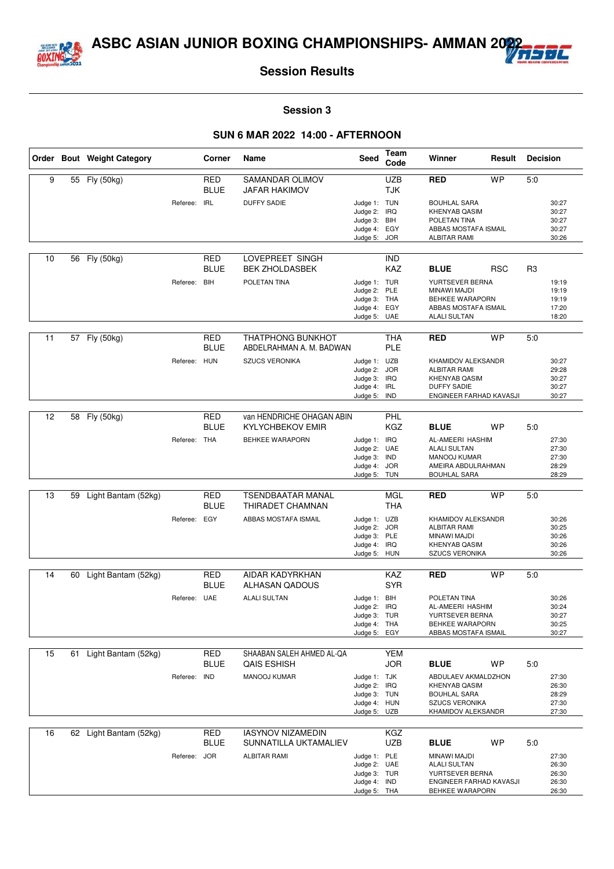



#### **Session 3**

|    |    | Order Bout Weight Category |              | Corner                    | Name                                                 | Seed                         | Team<br>Code             | Winner                                       | Result     | <b>Decision</b> |                |
|----|----|----------------------------|--------------|---------------------------|------------------------------------------------------|------------------------------|--------------------------|----------------------------------------------|------------|-----------------|----------------|
| 9  |    | 55 Fly (50kg)              |              | <b>RED</b><br><b>BLUE</b> | <b>SAMANDAR OLIMOV</b><br><b>JAFAR HAKIMOV</b>       |                              | <b>UZB</b><br><b>TJK</b> | <b>RED</b>                                   | <b>WP</b>  | 5:0             |                |
|    |    |                            | Referee:     | <b>IRL</b>                | <b>DUFFY SADIE</b>                                   | Judge 1: TUN<br>Judge 2: IRQ |                          | <b>BOUHLAL SARA</b><br><b>KHENYAB QASIM</b>  |            |                 | 30:27<br>30:27 |
|    |    |                            |              |                           |                                                      | Judge 3:                     | BIH                      | POLETAN TINA                                 |            |                 | 30:27          |
|    |    |                            |              |                           |                                                      | Judge 4: EGY<br>Judge 5:     | <b>JOR</b>               | ABBAS MOSTAFA ISMAIL<br><b>ALBITAR RAMI</b>  |            |                 | 30:27<br>30:26 |
| 10 | 56 | Fly (50kg)                 |              | <b>RED</b>                | LOVEPREET SINGH                                      |                              | <b>IND</b>               |                                              |            |                 |                |
|    |    |                            |              | <b>BLUE</b>               | <b>BEK ZHOLDASBEK</b>                                |                              | <b>KAZ</b>               | <b>BLUE</b>                                  | <b>RSC</b> | R <sub>3</sub>  |                |
|    |    |                            | Referee: BIH |                           | POLETAN TINA                                         | Judge 1: TUR<br>Judge 2: PLE |                          | YURTSEVER BERNA<br>MINAWI MAJDI              |            |                 | 19:19<br>19:19 |
|    |    |                            |              |                           |                                                      | Judge 3: THA                 |                          | BEHKEE WARAPORN                              |            |                 | 19:19          |
|    |    |                            |              |                           |                                                      | Judge 4:<br>Judge 5: UAE     | EGY                      | ABBAS MOSTAFA ISMAIL<br><b>ALALI SULTAN</b>  |            |                 | 17:20<br>18:20 |
|    |    |                            |              |                           |                                                      |                              |                          |                                              |            |                 |                |
| 11 | 57 | Fly (50kg)                 |              | <b>RED</b><br><b>BLUE</b> | <b>THATPHONG BUNKHOT</b><br>ABDELRAHMAN A. M. BADWAN |                              | <b>THA</b><br><b>PLE</b> | <b>RED</b>                                   | <b>WP</b>  | 5:0             |                |
|    |    |                            | Referee: HUN |                           | <b>SZUCS VERONIKA</b>                                | Judge 1: UZB                 |                          | KHAMIDOV ALEKSANDR                           |            |                 | 30:27          |
|    |    |                            |              |                           |                                                      | Judge 2: JOR<br>Judge 3: IRQ |                          | <b>ALBITAR RAMI</b><br><b>KHENYAB QASIM</b>  |            |                 | 29:28<br>30:27 |
|    |    |                            |              |                           |                                                      | Judge 4: IRL                 |                          | <b>DUFFY SADIE</b>                           |            |                 | 30:27          |
|    |    |                            |              |                           |                                                      | Judge 5: IND                 |                          | ENGINEER FARHAD KAVASJI                      |            |                 | 30:27          |
| 12 |    | 58 Fly (50kg)              |              | RED                       | van HENDRICHE OHAGAN ABIN                            |                              | <b>PHL</b>               |                                              |            |                 |                |
|    |    |                            |              | <b>BLUE</b>               | <b>KYLYCHBEKOV EMIR</b>                              |                              | <b>KGZ</b>               | <b>BLUE</b>                                  | WP         | 5.0             |                |
|    |    |                            | Referee: THA |                           | <b>BEHKEE WARAPORN</b>                               | Judge 1: IRQ                 |                          | AL-AMEERI HASHIM<br><b>ALALI SULTAN</b>      |            |                 | 27:30<br>27:30 |
|    |    |                            |              |                           |                                                      | Judge 2: UAE<br>Judge 3: IND |                          | MANOOJ KUMAR                                 |            |                 | 27:30          |
|    |    |                            |              |                           |                                                      | Judge 4: JOR<br>Judge 5: TUN |                          | AMEIRA ABDULRAHMAN<br><b>BOUHLAL SARA</b>    |            |                 | 28:29<br>28:29 |
|    |    |                            |              |                           |                                                      |                              |                          |                                              |            |                 |                |
| 13 | 59 | Light Bantam (52kg)        |              | <b>RED</b><br><b>BLUE</b> | <b>TSENDBAATAR MANAL</b><br>THIRADET CHAMNAN         |                              | <b>MGL</b><br><b>THA</b> | <b>RED</b>                                   | <b>WP</b>  | 5:0             |                |
|    |    |                            | Referee: EGY |                           | ABBAS MOSTAFA ISMAIL                                 | Judge 1: UZB                 |                          | KHAMIDOV ALEKSANDR                           |            |                 | 30:26          |
|    |    |                            |              |                           |                                                      | Judge 2:                     | <b>JOR</b>               | <b>ALBITAR RAMI</b><br>MINAWI MAJDI          |            |                 | 30:25<br>30:26 |
|    |    |                            |              |                           |                                                      | Judge 3: PLE<br>Judge 4: IRQ |                          | <b>KHENYAB QASIM</b>                         |            |                 | 30:26          |
|    |    |                            |              |                           |                                                      | Judge 5: HUN                 |                          | <b>SZUCS VERONIKA</b>                        |            |                 | 30:26          |
| 14 |    | 60 Light Bantam (52kg)     |              | <b>RED</b>                | <b>AIDAR KADYRKHAN</b>                               |                              | KAZ                      | <b>RED</b>                                   | <b>WP</b>  | 5:0             |                |
|    |    |                            |              | <b>BLUE</b>               | <b>ALHASAN QADOUS</b>                                |                              | <b>SYR</b>               |                                              |            |                 |                |
|    |    |                            | Referee: UAE |                           | <b>ALALI SULTAN</b>                                  | Judge 1: BIH                 |                          | POLETAN TINA<br>AL-AMEERI HASHIM             |            |                 | 30:26<br>30:24 |
|    |    |                            |              |                           |                                                      | Judge 2: IRQ<br>Judge 3: TUR |                          | YURTSEVER BERNA                              |            |                 | 30:27          |
|    |    |                            |              |                           |                                                      | Judge 4: THA<br>Judge 5: EGY |                          | BEHKEE WARAPORN<br>ABBAS MOSTAFA ISMAIL      |            |                 | 30:25<br>30:27 |
|    |    |                            |              |                           |                                                      |                              |                          |                                              |            |                 |                |
| 15 | 61 | Light Bantam (52kg)        |              | <b>RED</b><br>BLUE        | SHAABAN SALEH AHMED AL-QA<br><b>QAIS ESHISH</b>      |                              | <b>YEM</b><br>JOR        | <b>BLUE</b>                                  | WP         | 5:0             |                |
|    |    |                            | Referee:     | <b>IND</b>                | MANOOJ KUMAR                                         | Judge 1: TJK                 |                          | ABDULAEV AKMALDZHON                          |            |                 | 27:30          |
|    |    |                            |              |                           |                                                      | Judge 2: IRQ                 |                          | <b>KHENYAB QASIM</b>                         |            |                 | 26:30          |
|    |    |                            |              |                           |                                                      | Judge 3: TUN<br>Judge 4: HUN |                          | <b>BOUHLAL SARA</b><br><b>SZUCS VERONIKA</b> |            |                 | 28:29<br>27:30 |
|    |    |                            |              |                           |                                                      | Judge 5: UZB                 |                          | KHAMIDOV ALEKSANDR                           |            |                 | 27:30          |
| 16 |    | 62 Light Bantam (52kg)     |              | <b>RED</b>                | <b>IASYNOV NIZAMEDIN</b>                             |                              | KGZ                      |                                              |            |                 |                |
|    |    |                            |              | <b>BLUE</b>               | SUNNATILLA UKTAMALIEV                                |                              | <b>UZB</b>               | <b>BLUE</b>                                  | WP         | 5:0             |                |
|    |    |                            | Referee: JOR |                           | <b>ALBITAR RAMI</b>                                  | Judge 1: PLE                 |                          | MINAWI MAJDI                                 |            |                 | 27:30          |
|    |    |                            |              |                           |                                                      | Judge 2: UAE<br>Judge 3: TUR |                          | <b>ALALI SULTAN</b><br>YURTSEVER BERNA       |            |                 | 26:30<br>26:30 |
|    |    |                            |              |                           |                                                      | Judge 4: IND                 |                          | ENGINEER FARHAD KAVASJI                      |            |                 | 26:30          |
|    |    |                            |              |                           |                                                      | Judge 5: THA                 |                          | BEHKEE WARAPORN                              |            |                 | 26:30          |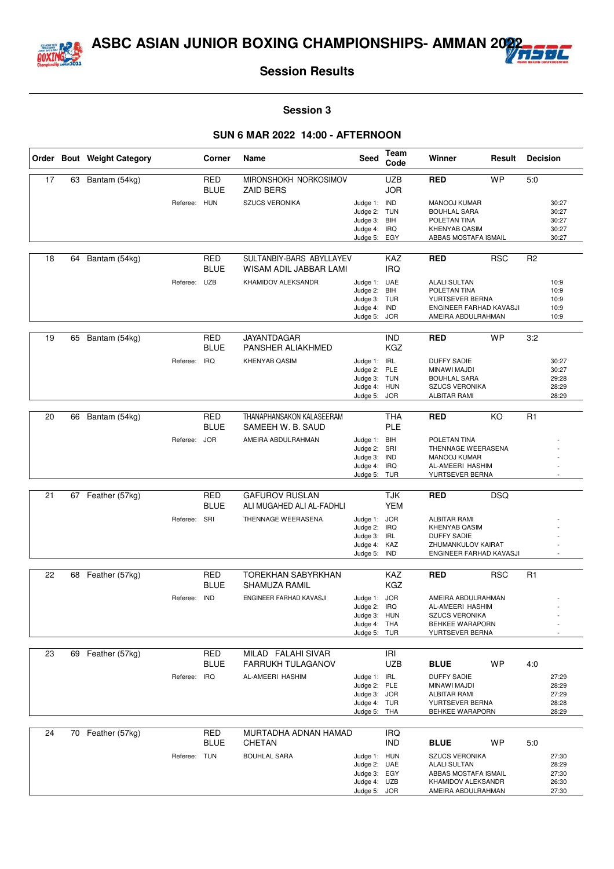



#### **Session 3**

|    |    | Order Bout Weight Category |              | Corner                    | Name                                               | Seed                         | Team<br>Code             | Winner                                        | Result     | <b>Decision</b> |                |
|----|----|----------------------------|--------------|---------------------------|----------------------------------------------------|------------------------------|--------------------------|-----------------------------------------------|------------|-----------------|----------------|
| 17 | 63 | Bantam (54kg)              |              | <b>RED</b><br><b>BLUE</b> | MIRONSHOKH NORKOSIMOV<br><b>ZAID BERS</b>          |                              | <b>UZB</b><br><b>JOR</b> | <b>RED</b>                                    | <b>WP</b>  | 5:0             |                |
|    |    |                            | Referee: HUN |                           | <b>SZUCS VERONIKA</b>                              | Judge 1:                     | <b>IND</b>               | MANOOJ KUMAR                                  |            |                 | 30:27          |
|    |    |                            |              |                           |                                                    | Judge 2: TUN                 |                          | <b>BOUHLAL SARA</b>                           |            |                 | 30:27          |
|    |    |                            |              |                           |                                                    | Judge 3: BIH                 |                          | POLETAN TINA                                  |            |                 | 30:27          |
|    |    |                            |              |                           |                                                    | Judge 4: IRQ                 |                          | <b>KHENYAB QASIM</b>                          |            |                 | 30:27          |
|    |    |                            |              |                           |                                                    | Judge 5:                     | EGY                      | ABBAS MOSTAFA ISMAIL                          |            |                 | 30:27          |
| 18 | 64 | Bantam (54kg)              |              | <b>RED</b><br><b>BLUE</b> | SULTANBIY-BARS ABYLLAYEV<br>WISAM ADIL JABBAR LAMI |                              | <b>KAZ</b><br><b>IRQ</b> | <b>RED</b>                                    | <b>RSC</b> | R <sub>2</sub>  |                |
|    |    |                            | Referee: UZB |                           | KHAMIDOV ALEKSANDR                                 | Judge 1: UAE                 |                          | <b>ALALI SULTAN</b>                           |            |                 | 10:9           |
|    |    |                            |              |                           |                                                    | Judge 2: BIH                 |                          | POLETAN TINA                                  |            |                 | 10:9           |
|    |    |                            |              |                           |                                                    | Judge 3: TUR                 |                          | YURTSEVER BERNA                               |            |                 | 10:9           |
|    |    |                            |              |                           |                                                    | Judge 4:<br>Judge 5: JOR     | <b>IND</b>               | ENGINEER FARHAD KAVASJI<br>AMEIRA ABDULRAHMAN |            |                 | 10:9<br>10:9   |
|    |    |                            |              |                           |                                                    |                              |                          |                                               |            |                 |                |
| 19 | 65 | Bantam (54kg)              |              | <b>RED</b><br><b>BLUE</b> | <b>JAYANTDAGAR</b><br>PANSHER ALIAKHMED            |                              | <b>IND</b><br>KGZ        | <b>RED</b>                                    | <b>WP</b>  | 3:2             |                |
|    |    |                            | Referee:     | <b>IRQ</b>                | KHENYAB QASIM                                      | Judge 1: IRL                 |                          | <b>DUFFY SADIE</b>                            |            |                 | 30:27          |
|    |    |                            |              |                           |                                                    | Judge 2:                     | PLE                      | MINAWI MAJDI                                  |            |                 | 30:27          |
|    |    |                            |              |                           |                                                    | Judge 3: TUN                 |                          | <b>BOUHLAL SARA</b>                           |            |                 | 29:28          |
|    |    |                            |              |                           |                                                    | Judge 4: HUN<br>Judge 5: JOR |                          | <b>SZUCS VERONIKA</b>                         |            |                 | 28:29<br>28:29 |
|    |    |                            |              |                           |                                                    |                              |                          | <b>ALBITAR RAMI</b>                           |            |                 |                |
| 20 | 66 | Bantam (54kg)              |              | <b>RED</b>                | THANAPHANSAKON KALASEERAM                          |                              | <b>THA</b>               | <b>RED</b>                                    | KO         | R1              |                |
|    |    |                            |              | <b>BLUE</b>               | SAMEEH W. B. SAUD                                  |                              | <b>PLE</b>               |                                               |            |                 |                |
|    |    |                            | Referee: JOR |                           | AMEIRA ABDULRAHMAN                                 | Judge 1: BIH                 |                          | POLETAN TINA                                  |            |                 |                |
|    |    |                            |              |                           |                                                    | Judge 2: SRI                 |                          | THENNAGE WEERASENA                            |            |                 |                |
|    |    |                            |              |                           |                                                    | Judge 3: IND                 |                          | <b>MANOOJ KUMAR</b>                           |            |                 |                |
|    |    |                            |              |                           |                                                    | Judge 4: IRQ<br>Judge 5: TUR |                          | AL-AMEERI HASHIM<br>YURTSEVER BERNA           |            |                 |                |
|    |    |                            |              |                           |                                                    |                              |                          |                                               |            |                 |                |
| 21 | 67 | Feather (57kg)             |              | RED                       | <b>GAFUROV RUSLAN</b>                              |                              | <b>TJK</b>               | <b>RED</b>                                    | <b>DSQ</b> |                 |                |
|    |    |                            |              | <b>BLUE</b>               | ALI MUGAHED ALI AL-FADHLI                          |                              | <b>YEM</b>               |                                               |            |                 |                |
|    |    |                            | Referee: SRI |                           | THENNAGE WEERASENA                                 | Judge 1: JOR                 |                          | <b>ALBITAR RAMI</b>                           |            |                 |                |
|    |    |                            |              |                           |                                                    | Judge 2: IRQ                 |                          | KHENYAB QASIM                                 |            |                 |                |
|    |    |                            |              |                           |                                                    | Judge 3: IRL<br>Judge 4: KAZ |                          | <b>DUFFY SADIE</b><br>ZHUMANKULOV KAIRAT      |            |                 |                |
|    |    |                            |              |                           |                                                    | Judge 5: IND                 |                          | ENGINEER FARHAD KAVASJI                       |            |                 |                |
|    |    |                            |              |                           |                                                    |                              |                          |                                               |            |                 |                |
| 22 |    | 68 Feather (57kg)          |              | <b>RED</b>                | <b>TOREKHAN SABYRKHAN</b>                          |                              | KAZ                      | <b>RED</b>                                    | <b>RSC</b> | R <sub>1</sub>  |                |
|    |    |                            |              | <b>BLUE</b>               | <b>SHAMUZA RAMIL</b>                               |                              | <b>KGZ</b>               |                                               |            |                 |                |
|    |    |                            | Referee:     | <b>IND</b>                | ENGINEER FARHAD KAVASJI                            | Judge 1: JOR                 |                          | AMEIRA ABDULRAHMAN                            |            |                 |                |
|    |    |                            |              |                           |                                                    | Judge 2: IRQ<br>Judge 3: HUN |                          | AL-AMEERI HASHIM<br>SZUCS VERONIKA            |            |                 |                |
|    |    |                            |              |                           |                                                    | Judge 4: THA                 |                          | <b>BEHKEE WARAPORN</b>                        |            |                 |                |
|    |    |                            |              |                           |                                                    | Judge 5: TUR                 |                          | YURTSEVER BERNA                               |            |                 |                |
|    |    |                            |              |                           |                                                    |                              |                          |                                               |            |                 |                |
| 23 | 69 | Feather (57kg)             |              | <b>RED</b>                | MILAD FALAHI SIVAR<br><b>FARRUKH TULAGANOV</b>     |                              | R                        |                                               |            |                 |                |
|    |    |                            |              | <b>BLUE</b>               |                                                    |                              | UZB                      | <b>BLUE</b>                                   | WP         | 4:0             |                |
|    |    |                            | Referee: IRQ |                           | AL-AMEERI HASHIM                                   | Judge 1: IRL<br>Judge 2: PLE |                          | <b>DUFFY SADIE</b><br>MINAWI MAJDI            |            |                 | 27:29<br>28:29 |
|    |    |                            |              |                           |                                                    | Judge 3: JOR                 |                          | <b>ALBITAR RAMI</b>                           |            |                 | 27:29          |
|    |    |                            |              |                           |                                                    | Judge 4: TUR                 |                          | YURTSEVER BERNA                               |            |                 | 28:28          |
|    |    |                            |              |                           |                                                    | Judge 5: THA                 |                          | BEHKEE WARAPORN                               |            |                 | 28:29          |
|    |    |                            |              |                           | MURTADHA ADNAN HAMAD                               |                              |                          |                                               |            |                 |                |
| 24 |    | 70 Feather (57kg)          |              | <b>RED</b><br><b>BLUE</b> | <b>CHETAN</b>                                      |                              | <b>IRQ</b><br><b>IND</b> | <b>BLUE</b>                                   | WP         | 5:0             |                |
|    |    |                            | Referee: TUN |                           | <b>BOUHLAL SARA</b>                                | Judge 1: HUN                 |                          | <b>SZUCS VERONIKA</b>                         |            |                 | 27:30          |
|    |    |                            |              |                           |                                                    | Judge 2: UAE                 |                          | <b>ALALI SULTAN</b>                           |            |                 | 28:29          |
|    |    |                            |              |                           |                                                    | Judge 3: EGY                 |                          | ABBAS MOSTAFA ISMAIL                          |            |                 | 27:30          |
|    |    |                            |              |                           |                                                    | Judge 4: UZB                 |                          | KHAMIDOV ALEKSANDR                            |            |                 | 26:30          |
|    |    |                            |              |                           |                                                    | Judge 5: JOR                 |                          | AMEIRA ABDULRAHMAN                            |            |                 | 27:30          |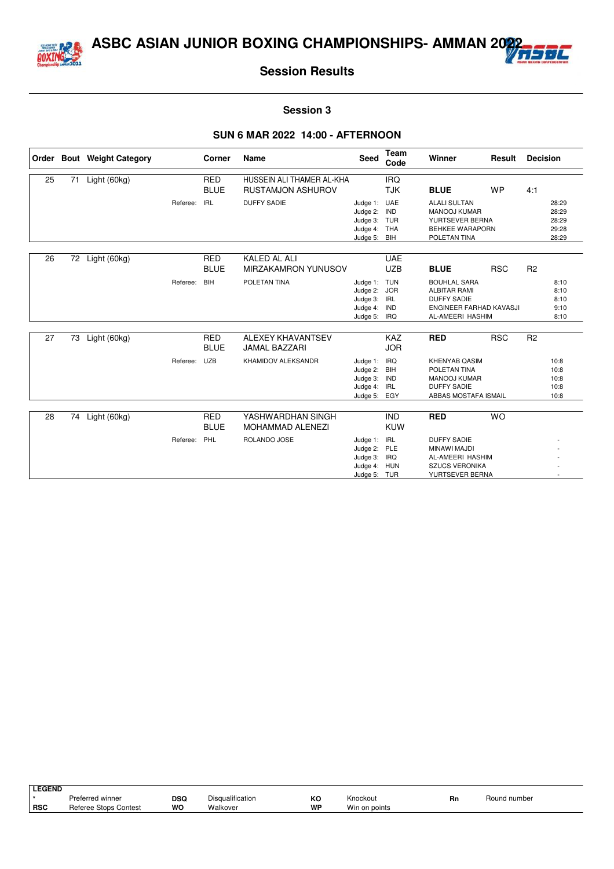



#### **Session 3**

|    |    | Order Bout Weight Category |          | <b>Corner</b>             | Name                                                  | <b>Seed</b>                                                                  | <b>Team</b><br>Code             | Winner                                                                                                                 | Result     | <b>Decision</b> |                                           |
|----|----|----------------------------|----------|---------------------------|-------------------------------------------------------|------------------------------------------------------------------------------|---------------------------------|------------------------------------------------------------------------------------------------------------------------|------------|-----------------|-------------------------------------------|
| 25 | 71 | Light (60kg)               |          | <b>RED</b><br><b>BLUE</b> | HUSSEIN ALI THAMER AL-KHA<br><b>RUSTAMJON ASHUROV</b> |                                                                              | <b>IRQ</b><br><b>TJK</b>        | <b>BLUE</b>                                                                                                            | <b>WP</b>  | 4:1             |                                           |
|    |    |                            | Referee: | <b>IRL</b>                | <b>DUFFY SADIE</b>                                    | Judge 1: UAE<br>Judge 2:<br>Judge 3: TUR<br>Judge 4: THA<br>Judge 5: BIH     | <b>IND</b>                      | <b>ALALI SULTAN</b><br>MANOOJ KUMAR<br>YURTSEVER BERNA<br><b>BEHKEE WARAPORN</b><br>POLETAN TINA                       |            |                 | 28:29<br>28:29<br>28:29<br>29:28<br>28:29 |
| 26 | 72 | Light (60kg)               |          | <b>RED</b><br><b>BLUE</b> | <b>KALED AL ALI</b><br>MIRZAKAMRON YUNUSOV            |                                                                              | <b>UAE</b><br><b>UZB</b>        | <b>BLUE</b>                                                                                                            | <b>RSC</b> | R <sub>2</sub>  |                                           |
|    |    |                            | Referee: | <b>BIH</b>                | POLETAN TINA                                          | Judge 1: TUN<br>Judge 2: JOR<br>Judge 3: IRL<br>Judge 4:<br>Judge 5: IRQ     | IND                             | <b>BOUHLAL SARA</b><br><b>ALBITAR RAMI</b><br><b>DUFFY SADIE</b><br><b>ENGINEER FARHAD KAVASJI</b><br>AL-AMEERI HASHIM |            |                 | 8:10<br>8:10<br>8:10<br>9:10<br>8:10      |
| 27 | 73 | Light (60kg)               |          | <b>RED</b><br><b>BLUE</b> | <b>ALEXEY KHAVANTSEV</b><br><b>JAMAL BAZZARI</b>      |                                                                              | <b>KAZ</b><br><b>JOR</b>        | <b>RED</b>                                                                                                             | <b>RSC</b> | R <sub>2</sub>  |                                           |
|    |    |                            | Referee: | <b>UZB</b>                | KHAMIDOV ALEKSANDR                                    | Judge 1:<br>Judge 2: BIH<br>Judge 3:<br>Judge 4:<br>Judge 5:                 | IRQ<br><b>IND</b><br>IRL<br>EGY | <b>KHENYAB QASIM</b><br>POLETAN TINA<br>MANOOJ KUMAR<br><b>DUFFY SADIE</b><br>ABBAS MOSTAFA ISMAIL                     |            |                 | 10:8<br>10:8<br>10:8<br>10:8<br>10:8      |
| 28 | 74 | Light (60kg)               |          | <b>RED</b><br><b>BLUE</b> | YASHWARDHAN SINGH<br><b>MOHAMMAD ALENEZI</b>          |                                                                              | <b>IND</b><br><b>KUW</b>        | <b>RED</b>                                                                                                             | <b>WO</b>  |                 |                                           |
|    |    |                            | Referee: | PHL                       | ROLANDO JOSE                                          | Judge 1: IRL<br>Judge 2: PLE<br>Judge 3: IRQ<br>Judge 4: HUN<br>Judge 5: TUR |                                 | <b>DUFFY SADIE</b><br>MINAWI MAJDI<br>AL-AMEERI HASHIM<br><b>SZUCS VERONIKA</b><br>YURTSEVER BERNA                     |            |                 |                                           |

| <b>LEGEND</b> |                              |     |                  |    |               |    |              |
|---------------|------------------------------|-----|------------------|----|---------------|----|--------------|
|               | Preferred winner             | DSQ | Disqualification | КC | Knockout      | Rn | Round number |
| <b>RSC</b>    | <b>Referee Stops Contest</b> | WO  | Walkover         | WP | Win on points |    |              |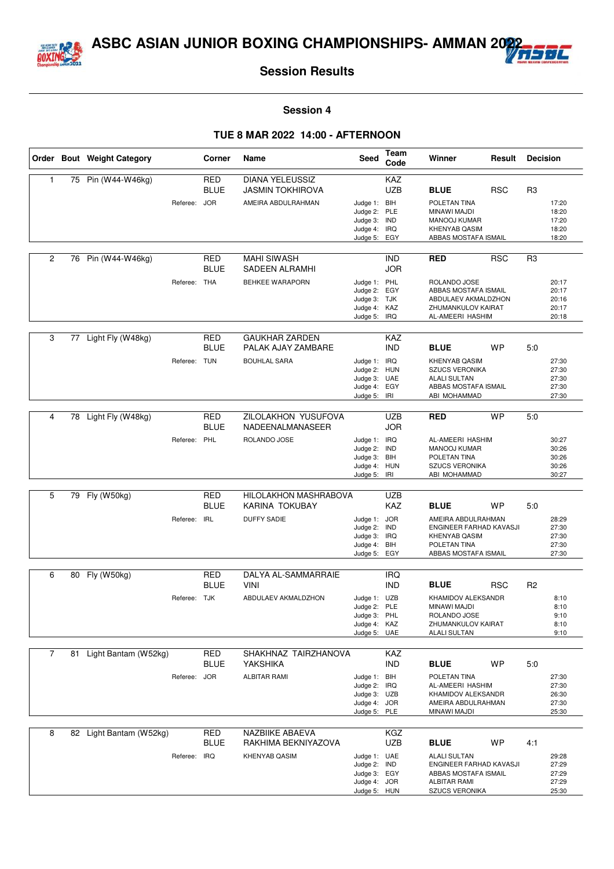



#### **Session 4**

|                |    | Order Bout Weight Category |              | Corner                    | Name                                              | <b>Seed</b>                  | Team<br>Code             | Winner                                          | Result     | <b>Decision</b> |                |
|----------------|----|----------------------------|--------------|---------------------------|---------------------------------------------------|------------------------------|--------------------------|-------------------------------------------------|------------|-----------------|----------------|
| $\mathbf{1}$   | 75 | Pin (W44-W46kg)            |              | <b>RED</b><br><b>BLUE</b> | <b>DIANA YELEUSSIZ</b><br><b>JASMIN TOKHIROVA</b> |                              | <b>KAZ</b><br><b>UZB</b> | <b>BLUE</b>                                     | <b>RSC</b> | R <sub>3</sub>  |                |
|                |    |                            | Referee:     | <b>JOR</b>                | AMEIRA ABDULRAHMAN                                | Judge 1: BIH                 |                          | POLETAN TINA                                    |            |                 | 17:20          |
|                |    |                            |              |                           |                                                   | Judge 2:                     | PLE                      | MINAWI MAJDI                                    |            |                 | 18:20          |
|                |    |                            |              |                           |                                                   | Judge 3:                     | <b>IND</b>               | <b>MANOOJ KUMAR</b>                             |            |                 | 17:20          |
|                |    |                            |              |                           |                                                   | Judge 4: IRQ<br>Judge 5:     | EGY                      | <b>KHENYAB QASIM</b><br>ABBAS MOSTAFA ISMAIL    |            |                 | 18:20<br>18:20 |
|                |    |                            |              |                           |                                                   |                              |                          |                                                 |            |                 |                |
| 2              | 76 | Pin (W44-W46kg)            |              | <b>RED</b><br><b>BLUE</b> | <b>MAHI SIWASH</b><br><b>SADEEN ALRAMHI</b>       |                              | <b>IND</b><br><b>JOR</b> | <b>RED</b>                                      | <b>RSC</b> | R <sub>3</sub>  |                |
|                |    |                            | Referee: THA |                           | BEHKEE WARAPORN                                   | Judge 1: PHL                 |                          | ROLANDO JOSE                                    |            |                 | 20:17          |
|                |    |                            |              |                           |                                                   | Judge 2:                     | EGY                      | ABBAS MOSTAFA ISMAIL                            |            |                 | 20:17          |
|                |    |                            |              |                           |                                                   | Judge 3: TJK<br>Judge 4:     | KAZ                      | ABDULAEV AKMALDZHON<br>ZHUMANKULOV KAIRAT       |            |                 | 20:16<br>20:17 |
|                |    |                            |              |                           |                                                   | Judge 5:                     | <b>IRQ</b>               | AL-AMEERI HASHIM                                |            |                 | 20:18          |
|                |    |                            |              |                           |                                                   |                              |                          |                                                 |            |                 |                |
| 3              | 77 | Light Fly (W48kg)          |              | <b>RED</b><br><b>BLUE</b> | <b>GAUKHAR ZARDEN</b><br>PALAK AJAY ZAMBARE       |                              | <b>KAZ</b><br><b>IND</b> | <b>BLUE</b>                                     | <b>WP</b>  | 5:0             |                |
|                |    |                            | Referee: TUN |                           | <b>BOUHLAL SARA</b>                               | Judge 1:                     | <b>IRQ</b>               | <b>KHENYAB QASIM</b>                            |            |                 | 27:30          |
|                |    |                            |              |                           |                                                   | Judge 2:                     | <b>HUN</b>               | <b>SZUCS VERONIKA</b>                           |            |                 | 27:30          |
|                |    |                            |              |                           |                                                   | Judge 3: UAE<br>Judge 4: EGY |                          | <b>ALALI SULTAN</b><br>ABBAS MOSTAFA ISMAIL     |            |                 | 27:30<br>27:30 |
|                |    |                            |              |                           |                                                   | Judge 5:                     | IRI                      | ABI MOHAMMAD                                    |            |                 | 27:30          |
|                |    |                            |              |                           |                                                   |                              |                          |                                                 |            |                 |                |
| 4              |    | 78 Light Fly (W48kg)       |              | <b>RED</b><br><b>BLUE</b> | ZILOLAKHON YUSUFOVA<br>NADEENALMANASEER           |                              | <b>UZB</b><br><b>JOR</b> | <b>RED</b>                                      | <b>WP</b>  | 5:0             |                |
|                |    |                            | Referee: PHL |                           | ROLANDO JOSE                                      | Judge 1: IRQ                 |                          | AL-AMEERI HASHIM                                |            |                 | 30:27          |
|                |    |                            |              |                           |                                                   | Judge 2: IND                 |                          | MANOOJ KUMAR                                    |            |                 | 30:26          |
|                |    |                            |              |                           |                                                   | Judge 3: BIH<br>Judge 4: HUN |                          | POLETAN TINA<br><b>SZUCS VERONIKA</b>           |            |                 | 30:26<br>30:26 |
|                |    |                            |              |                           |                                                   | Judge 5:                     | IRI                      | ABI MOHAMMAD                                    |            |                 | 30:27          |
|                |    |                            |              |                           |                                                   |                              |                          |                                                 |            |                 |                |
| 5              | 79 | Fly (W50kg)                |              | RED<br><b>BLUE</b>        | HILOLAKHON MASHRABOVA<br>KARINA TOKUBAY           |                              | <b>UZB</b><br><b>KAZ</b> | <b>BLUE</b>                                     | <b>WP</b>  | 5:0             |                |
|                |    |                            | Referee:     | <b>IRL</b>                | <b>DUFFY SADIE</b>                                | Judge 1:                     | <b>JOR</b>               | AMEIRA ABDULRAHMAN                              |            |                 | 28:29          |
|                |    |                            |              |                           |                                                   | Judge 2:                     | <b>IND</b><br>IRQ        | ENGINEER FARHAD KAVASJI<br><b>KHENYAB QASIM</b> |            |                 | 27:30<br>27:30 |
|                |    |                            |              |                           |                                                   | Judge 3:<br>Judge 4:         | BIH                      | POLETAN TINA                                    |            |                 | 27:30          |
|                |    |                            |              |                           |                                                   | Judge 5: EGY                 |                          | ABBAS MOSTAFA ISMAIL                            |            |                 | 27:30          |
|                |    |                            |              |                           |                                                   |                              |                          |                                                 |            |                 |                |
| 6              | 80 | Fly (W50kg)                |              | <b>RED</b>                | DALYA AL-SAMMARRAIE                               |                              | <b>IRQ</b>               |                                                 |            |                 |                |
|                |    |                            |              | <b>BLUE</b>               | <b>VINI</b>                                       |                              | <b>IND</b>               | <b>BLUE</b>                                     | <b>RSC</b> | R <sub>2</sub>  |                |
|                |    |                            | Referee: TJK |                           | ABDULAEV AKMALDZHON                               | Judge 1: UZB<br>Judge 2: PLE |                          | KHAMIDOV ALEKSANDR<br>MINAWI MAJDI              |            |                 | 8:10<br>8:10   |
|                |    |                            |              |                           |                                                   | Judge 3: PHL                 |                          | ROLANDO JOSE                                    |            |                 | 9:10           |
|                |    |                            |              |                           |                                                   | Judge 4: KAZ                 |                          | ZHUMANKULOV KAIRAT                              |            |                 | 8:10           |
|                |    |                            |              |                           |                                                   | Judge 5: UAE                 |                          | <b>ALALI SULTAN</b>                             |            |                 | 9:10           |
| $\overline{7}$ |    |                            |              | <b>RED</b>                | SHAKHNAZ TAIRZHANOVA                              |                              | KAZ                      |                                                 |            |                 |                |
|                | 81 | Light Bantam (W52kg)       |              | <b>BLUE</b>               | YAKSHIKA                                          |                              | <b>IND</b>               | <b>BLUE</b>                                     | WP         | 5:0             |                |
|                |    |                            | Referee: JOR |                           | <b>ALBITAR RAMI</b>                               |                              |                          |                                                 |            |                 |                |
|                |    |                            |              |                           |                                                   | Judge 1: BIH<br>Judge 2:     | <b>IRQ</b>               | POLETAN TINA<br>AL-AMEERI HASHIM                |            |                 | 27:30<br>27:30 |
|                |    |                            |              |                           |                                                   | Judge 3: UZB                 |                          | KHAMIDOV ALEKSANDR                              |            |                 | 26:30          |
|                |    |                            |              |                           |                                                   | Judge 4: JOR                 |                          | AMEIRA ABDULRAHMAN                              |            |                 | 27:30          |
|                |    |                            |              |                           |                                                   | Judge 5: PLE                 |                          | MINAWI MAJDI                                    |            |                 | 25:30          |
| 8              |    | 82 Light Bantam (W52kg)    |              | <b>RED</b>                | NAZBIIKE ABAEVA                                   |                              | KGZ                      |                                                 |            |                 |                |
|                |    |                            |              | <b>BLUE</b>               | RAKHIMA BEKNIYAZOVA                               |                              | <b>UZB</b>               | <b>BLUE</b>                                     | WP         | 4:1             |                |
|                |    |                            | Referee: IRQ |                           | KHENYAB QASIM                                     | Judge 1: UAE                 |                          | <b>ALALI SULTAN</b>                             |            |                 | 29:28          |
|                |    |                            |              |                           |                                                   | Judge 2: IND                 |                          | ENGINEER FARHAD KAVASJI                         |            |                 | 27:29          |
|                |    |                            |              |                           |                                                   | Judge 3: EGY                 |                          | ABBAS MOSTAFA ISMAIL                            |            |                 | 27:29          |
|                |    |                            |              |                           |                                                   | Judge 4: JOR<br>Judge 5: HUN |                          | <b>ALBITAR RAMI</b><br>SZUCS VERONIKA           |            |                 | 27:29<br>25:30 |
|                |    |                            |              |                           |                                                   |                              |                          |                                                 |            |                 |                |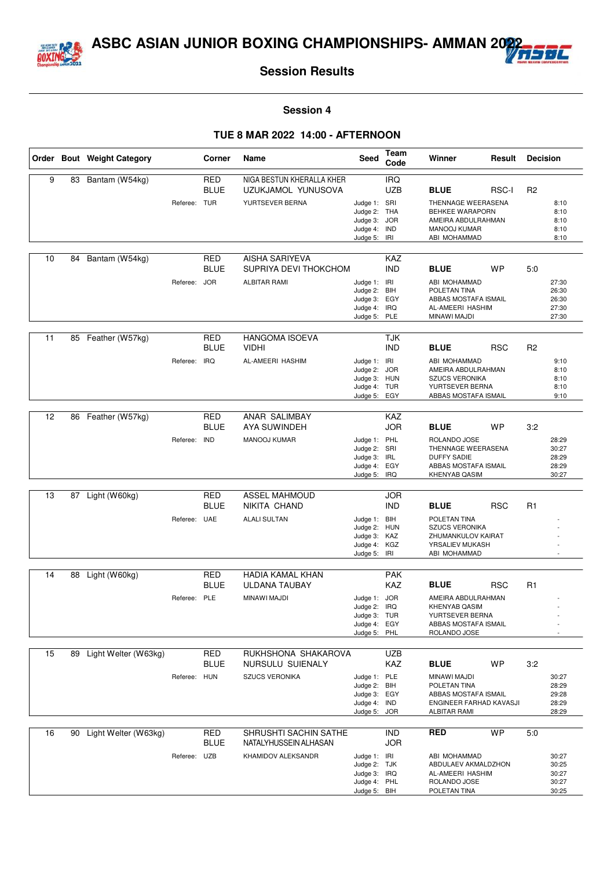



#### **Session 4**

|    |    | Order Bout Weight Category |              | Corner                    | Name                                                  | Seed                                                                         | <b>Team</b><br>Code      | Winner                                                                                                         | Result     | <b>Decision</b> |                                           |
|----|----|----------------------------|--------------|---------------------------|-------------------------------------------------------|------------------------------------------------------------------------------|--------------------------|----------------------------------------------------------------------------------------------------------------|------------|-----------------|-------------------------------------------|
| 9  | 83 | Bantam (W54kg)             |              | <b>RED</b><br><b>BLUE</b> | NIGA BESTUN KHERALLA KHER<br>UZUKJAMOL YUNUSOVA       |                                                                              | <b>IRQ</b><br><b>UZB</b> | <b>BLUE</b>                                                                                                    | RSC-I      | R <sub>2</sub>  |                                           |
|    |    |                            | Referee: TUR |                           | YURTSEVER BERNA                                       | Judge 1: SRI<br>Judge 2: THA<br>Judge 3: JOR<br>Judge 4: IND<br>Judge 5: IRI |                          | THENNAGE WEERASENA<br><b>BEHKEE WARAPORN</b><br>AMEIRA ABDULRAHMAN<br><b>MANOOJ KUMAR</b><br>ABI MOHAMMAD      |            |                 | 8:10<br>8:10<br>8:10<br>8:10<br>8:10      |
| 10 | 84 | Bantam (W54kg)             |              | <b>RED</b><br><b>BLUE</b> | <b>AISHA SARIYEVA</b><br>SUPRIYA DEVI THOKCHOM        |                                                                              | KAZ<br><b>IND</b>        | <b>BLUE</b>                                                                                                    | <b>WP</b>  | 5:0             |                                           |
|    |    |                            | Referee: JOR |                           | <b>ALBITAR RAMI</b>                                   | Judge 1: IRI<br>Judge 2:<br>Judge 3: EGY<br>Judge 4: IRQ<br>Judge 5: PLE     | <b>BIH</b>               | ABI MOHAMMAD<br>POLETAN TINA<br>ABBAS MOSTAFA ISMAIL<br>AL-AMEERI HASHIM<br>MINAWI MAJDI                       |            |                 | 27:30<br>26:30<br>26:30<br>27:30<br>27:30 |
| 11 |    | 85 Feather (W57kg)         |              | <b>RED</b><br><b>BLUE</b> | <b>HANGOMA ISOEVA</b><br><b>VIDHI</b>                 |                                                                              | <b>TJK</b><br><b>IND</b> | <b>BLUE</b>                                                                                                    | <b>RSC</b> | R <sub>2</sub>  |                                           |
|    |    |                            | Referee:     | <b>IRQ</b>                | AL-AMEERI HASHIM                                      | Judge 1: IRI<br>Judge 2:<br>Judge 3: HUN<br>Judge 4: TUR<br>Judge 5:         | <b>JOR</b><br>EGY        | ABI MOHAMMAD<br>AMEIRA ABDULRAHMAN<br><b>SZUCS VERONIKA</b><br>YURTSEVER BERNA<br>ABBAS MOSTAFA ISMAIL         |            |                 | 9:10<br>8:10<br>8:10<br>8:10<br>9:10      |
| 12 | 86 | Feather (W57kg)            |              | RED<br><b>BLUE</b>        | ANAR SALIMBAY<br>AYA SUWINDEH                         |                                                                              | KAZ<br><b>JOR</b>        | <b>BLUE</b>                                                                                                    | <b>WP</b>  | 3:2             |                                           |
|    |    |                            | Referee:     | <b>IND</b>                | MANOOJ KUMAR                                          | Judge 1: PHL<br>Judge 2: SRI<br>Judge 3: IRL<br>Judge 4: EGY<br>Judge 5:     | IRQ                      | ROLANDO JOSE<br>THENNAGE WEERASENA<br><b>DUFFY SADIE</b><br>ABBAS MOSTAFA ISMAIL<br><b>KHENYAB QASIM</b>       |            |                 | 28:29<br>30:27<br>28:29<br>28:29<br>30:27 |
| 13 | 87 | Light (W60kg)              |              | RED                       | <b>ASSEL MAHMOUD</b>                                  |                                                                              | <b>JOR</b>               |                                                                                                                |            |                 |                                           |
|    |    |                            |              | <b>BLUE</b>               | NIKITA CHAND                                          |                                                                              | <b>IND</b>               | <b>BLUE</b>                                                                                                    | <b>RSC</b> | R <sub>1</sub>  |                                           |
|    |    |                            | Referee: UAE |                           | <b>ALALI SULTAN</b>                                   | Judge 1: BIH<br>Judge 2: HUN<br>Judge 3:<br>Judge 4: KGZ<br>Judge 5: IRI     | KAZ                      | POLETAN TINA<br><b>SZUCS VERONIKA</b><br>ZHUMANKULOV KAIRAT<br>YRSALIEV MUKASH<br>ABI MOHAMMAD                 |            |                 | ٠                                         |
| 14 | 88 | Light (W60kg)              |              | RED                       | <b>HADIA KAMAL KHAN</b>                               |                                                                              | <b>PAK</b>               |                                                                                                                |            |                 |                                           |
|    |    |                            |              | <b>BLUE</b>               | ULDANA TAUBAY                                         |                                                                              | KAZ                      | <b>BLUE</b>                                                                                                    | <b>RSC</b> | R <sub>1</sub>  |                                           |
|    |    |                            | Referee:     | PLE                       | MINAWI MAJDI                                          | Judge 1: JOR<br>Judge 2: IRQ<br>Judge 3: TUR<br>Judge 4: EGY<br>Judge 5: PHL |                          | AMEIRA ABDULRAHMAN<br><b>KHENYAB QASIM</b><br>YURTSEVER BERNA<br>ABBAS MOSTAFA ISMAIL<br>ROLANDO JOSE          |            |                 |                                           |
| 15 | 89 | Light Welter (W63kg)       |              | RED                       | RUKHSHONA SHAKAROVA                                   |                                                                              | <b>UZB</b>               |                                                                                                                |            |                 |                                           |
|    |    |                            | Referee: HUN | <b>BLUE</b>               | NURSULU SUIENALY<br><b>SZUCS VERONIKA</b>             | Judge 1: PLE<br>Judge 2: BIH<br>Judge 3: EGY<br>Judge 4: IND<br>Judge 5: JOR | KAZ                      | <b>BLUE</b><br>MINAWI MAJDI<br>POLETAN TINA<br>ABBAS MOSTAFA ISMAIL<br>ENGINEER FARHAD KAVASJI<br>ALBITAR RAMI | <b>WP</b>  | 3:2             | 30:27<br>28:29<br>29:28<br>28:29<br>28:29 |
| 16 | 90 | Light Welter (W63kg)       |              | RED<br><b>BLUE</b>        | <b>SHRUSHTI SACHIN SATHE</b><br>NATALYHUSSEIN ALHASAN |                                                                              | <b>IND</b><br><b>JOR</b> | <b>RED</b>                                                                                                     | <b>WP</b>  | 5:0             |                                           |
|    |    |                            | Referee: UZB |                           | KHAMIDOV ALEKSANDR                                    | Judge 1: IRI<br>Judge 2: TJK<br>Judge 3: IRQ<br>Judge 4: PHL<br>Judge 5: BIH |                          | ABI MOHAMMAD<br>ABDULAEV AKMALDZHON<br>AL-AMEERI HASHIM<br>ROLANDO JOSE<br>POLETAN TINA                        |            |                 | 30:27<br>30:25<br>30:27<br>30:27<br>30:25 |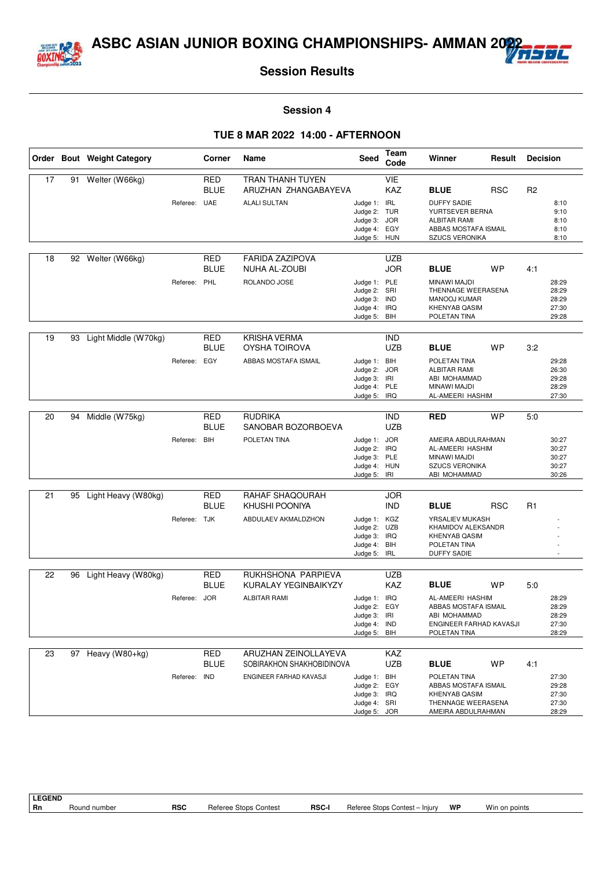



#### **Session 4**

#### **TUE 8 MAR 2022 14:00 - AFTERNOON**

|    |    | Order Bout Weight Category |              | Corner      | <b>Name</b>               | <b>Seed</b>                  | Team<br>Code | Winner                                     | Result     | <b>Decision</b> |                |
|----|----|----------------------------|--------------|-------------|---------------------------|------------------------------|--------------|--------------------------------------------|------------|-----------------|----------------|
| 17 | 91 | Welter (W66kg)             |              | <b>RED</b>  | <b>TRAN THANH TUYEN</b>   |                              | VIE          |                                            |            |                 |                |
|    |    |                            |              | <b>BLUE</b> | ARUZHAN ZHANGABAYEVA      |                              | KAZ          | <b>BLUE</b>                                | <b>RSC</b> | R <sub>2</sub>  |                |
|    |    |                            | Referee: UAE |             | <b>ALALI SULTAN</b>       | Judge 1:                     | <b>IRL</b>   | <b>DUFFY SADIE</b>                         |            |                 | 8:10           |
|    |    |                            |              |             |                           | Judge 2: TUR<br>Judge 3: JOR |              | YURTSEVER BERNA<br><b>ALBITAR RAMI</b>     |            |                 | 9:10<br>8:10   |
|    |    |                            |              |             |                           | Judge 4: EGY                 |              | ABBAS MOSTAFA ISMAIL                       |            |                 | 8:10           |
|    |    |                            |              |             |                           | Judge 5: HUN                 |              | <b>SZUCS VERONIKA</b>                      |            |                 | 8:10           |
| 18 |    | 92 Welter (W66kg)          |              | <b>RED</b>  | <b>FARIDA ZAZIPOVA</b>    |                              | <b>UZB</b>   |                                            |            |                 |                |
|    |    |                            |              | <b>BLUE</b> | NUHA AL-ZOUBI             |                              | <b>JOR</b>   | <b>BLUE</b>                                | WP         | 4:1             |                |
|    |    |                            | Referee:     | PHL         | ROLANDO JOSE              | Judge 1: PLE                 |              | MINAWI MAJDI                               |            |                 | 28:29          |
|    |    |                            |              |             |                           | Judge 2: SRI                 |              | THENNAGE WEERASENA                         |            |                 | 28:29          |
|    |    |                            |              |             |                           | Judge 3:<br>Judge 4: IRQ     | <b>IND</b>   | <b>MANOOJ KUMAR</b><br>KHENYAB QASIM       |            |                 | 28:29<br>27:30 |
|    |    |                            |              |             |                           | Judge 5: BIH                 |              | POLETAN TINA                               |            |                 | 29:28          |
| 19 | 93 |                            |              | <b>RED</b>  | <b>KRISHA VERMA</b>       |                              | <b>IND</b>   |                                            |            |                 |                |
|    |    | Light Middle (W70kg)       |              | <b>BLUE</b> | OYSHA TOIROVA             |                              | <b>UZB</b>   | <b>BLUE</b>                                | WP         | 3:2             |                |
|    |    |                            | Referee:     | EGY         | ABBAS MOSTAFA ISMAIL      | Judge 1:                     | BIH          | POLETAN TINA                               |            |                 | 29:28          |
|    |    |                            |              |             |                           | Judge 2:                     | <b>JOR</b>   | <b>ALBITAR RAMI</b>                        |            |                 | 26:30          |
|    |    |                            |              |             |                           | Judge 3: IRI<br>Judge 4: PLE |              | ABI MOHAMMAD<br>MINAWI MAJDI               |            |                 | 29:28<br>28:29 |
|    |    |                            |              |             |                           | Judge 5: IRQ                 |              | AL-AMEERI HASHIM                           |            |                 | 27:30          |
|    |    |                            |              |             |                           |                              |              |                                            |            |                 |                |
| 20 | 94 | Middle (W75kg)             |              | RED         | <b>RUDRIKA</b>            |                              | <b>IND</b>   | <b>RED</b>                                 | <b>WP</b>  | 5:0             |                |
|    |    |                            |              | <b>BLUE</b> | SANOBAR BOZORBOEVA        |                              | <b>UZB</b>   |                                            |            |                 |                |
|    |    |                            | Referee: BIH |             | POLETAN TINA              | Judge 1: JOR<br>Judge 2: IRQ |              | AMEIRA ABDULRAHMAN<br>AL-AMEERI HASHIM     |            |                 | 30:27<br>30:27 |
|    |    |                            |              |             |                           | Judge 3: PLE                 |              | MINAWI MAJDI                               |            |                 | 30:27          |
|    |    |                            |              |             |                           | Judge 4: HUN                 |              | <b>SZUCS VERONIKA</b>                      |            |                 | 30:27          |
|    |    |                            |              |             |                           | Judge 5: IRI                 |              | ABI MOHAMMAD                               |            |                 | 30:26          |
| 21 | 95 | Light Heavy (W80kg)        |              | RED         | RAHAF SHAQOURAH           |                              | <b>JOR</b>   |                                            |            |                 |                |
|    |    |                            |              | <b>BLUE</b> | KHUSHI POONIYA            |                              | <b>IND</b>   | <b>BLUE</b>                                | <b>RSC</b> | R <sub>1</sub>  |                |
|    |    |                            | Referee: TJK |             | ABDULAEV AKMALDZHON       | Judge 1:                     | KGZ          | YRSALIEV MUKASH                            |            |                 |                |
|    |    |                            |              |             |                           | Judge 2: UZB<br>Judge 3: IRQ |              | KHAMIDOV ALEKSANDR<br><b>KHENYAB QASIM</b> |            |                 |                |
|    |    |                            |              |             |                           | Judge 4: BIH                 |              | POLETAN TINA                               |            |                 |                |
|    |    |                            |              |             |                           | Judge 5: IRL                 |              | <b>DUFFY SADIE</b>                         |            |                 |                |
| 22 | 96 | Light Heavy (W80kg)        |              | <b>RED</b>  | RUKHSHONA PARPIEVA        |                              | <b>UZB</b>   |                                            |            |                 |                |
|    |    |                            |              | <b>BLUE</b> | KURALAY YEGINBAIKYZY      |                              | <b>KAZ</b>   | <b>BLUE</b>                                | <b>WP</b>  | 5:0             |                |
|    |    |                            | Referee: JOR |             | <b>ALBITAR RAMI</b>       | Judge 1: IRQ                 |              | AL-AMEERI HASHIM                           |            |                 | 28:29          |
|    |    |                            |              |             |                           | Judge 2: EGY                 |              | ABBAS MOSTAFA ISMAIL                       |            |                 | 28:29          |
|    |    |                            |              |             |                           | Judge 3: IRI<br>Judge 4: IND |              | ABI MOHAMMAD<br>ENGINEER FARHAD KAVASJI    |            |                 | 28:29<br>27:30 |
|    |    |                            |              |             |                           | Judge 5: BIH                 |              | POLETAN TINA                               |            |                 | 28:29          |
| 23 | 97 | Heavy (W80+kg)             |              | <b>RED</b>  | ARUZHAN ZEINOLLAYEVA      |                              | KAZ          |                                            |            |                 |                |
|    |    |                            |              | <b>BLUE</b> | SOBIRAKHON SHAKHOBIDINOVA |                              | <b>UZB</b>   | <b>BLUE</b>                                | WP         | 4:1             |                |
|    |    |                            | Referee:     | <b>IND</b>  | ENGINEER FARHAD KAVASJI   | Judge 1: BIH                 |              | POLETAN TINA                               |            |                 | 27:30          |
|    |    |                            |              |             |                           | Judge 2:                     | EGY          | ABBAS MOSTAFA ISMAIL                       |            |                 | 29:28          |
|    |    |                            |              |             |                           | Judge 3: IRQ<br>Judge 4: SRI |              | KHENYAB QASIM<br>THENNAGE WEERASENA        |            |                 | 27:30<br>27:30 |
|    |    |                            |              |             |                           | Judge 5: JOR                 |              | AMEIRA ABDULRAHMAN                         |            |                 | 28:29          |

**LEGEND**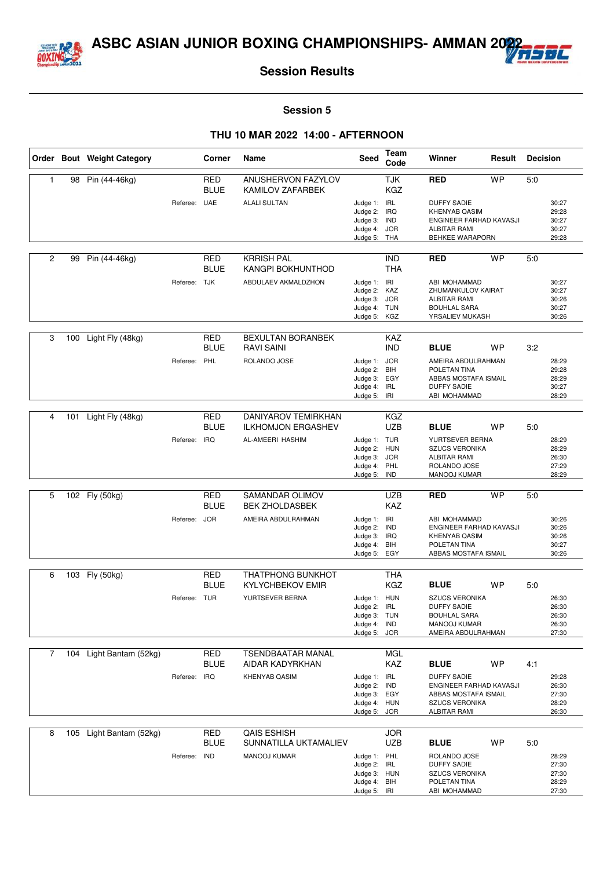



#### **Session 5**

|                |     | Order Bout Weight Category |              | Corner                    | Name                                                    | Seed                         | Team<br>Code             | Winner                                          | Result    | <b>Decision</b> |                |
|----------------|-----|----------------------------|--------------|---------------------------|---------------------------------------------------------|------------------------------|--------------------------|-------------------------------------------------|-----------|-----------------|----------------|
| $\mathbf{1}$   | 98  | Pin (44-46kg)              |              | <b>RED</b><br><b>BLUE</b> | ANUSHERVON FAZYLOV<br>KAMILOV ZAFARBEK                  |                              | <b>TJK</b><br>KGZ        | <b>RED</b>                                      | <b>WP</b> | 5:0             |                |
|                |     |                            | Referee: UAE |                           | <b>ALALI SULTAN</b>                                     | Judge 1: IRL                 |                          | <b>DUFFY SADIE</b>                              |           |                 | 30:27          |
|                |     |                            |              |                           |                                                         | Judge 2:                     | <b>IRQ</b>               | <b>KHENYAB QASIM</b>                            |           |                 | 29:28          |
|                |     |                            |              |                           |                                                         | Judge 3: IND<br>Judge 4: JOR |                          | ENGINEER FARHAD KAVASJI<br><b>ALBITAR RAMI</b>  |           |                 | 30:27<br>30:27 |
|                |     |                            |              |                           |                                                         | Judge 5: THA                 |                          | BEHKEE WARAPORN                                 |           |                 | 29:28          |
| $\overline{c}$ | 99  | Pin (44-46kg)              |              | <b>RED</b>                | <b>KRRISH PAL</b>                                       |                              | <b>IND</b>               | <b>RED</b>                                      | <b>WP</b> | 5:0             |                |
|                |     |                            |              | <b>BLUE</b>               | KANGPI BOKHUNTHOD                                       |                              | <b>THA</b>               |                                                 |           |                 |                |
|                |     |                            | Referee: TJK |                           | ABDULAEV AKMALDZHON                                     | Judge 1: IRI<br>Judge 2: KAZ |                          | ABI MOHAMMAD<br>ZHUMANKULOV KAIRAT              |           |                 | 30:27<br>30:27 |
|                |     |                            |              |                           |                                                         | Judge 3:                     | <b>JOR</b>               | <b>ALBITAR RAMI</b>                             |           |                 | 30:26          |
|                |     |                            |              |                           |                                                         | Judge 4: TUN                 |                          | <b>BOUHLAL SARA</b>                             |           |                 | 30:27          |
|                |     |                            |              |                           |                                                         | Judge 5: KGZ                 |                          | YRSALIEV MUKASH                                 |           |                 | 30:26          |
| 3              | 100 | Light Fly (48kg)           |              | <b>RED</b>                | <b>BEXULTAN BORANBEK</b>                                |                              | <b>KAZ</b>               |                                                 |           |                 |                |
|                |     |                            | Referee:     | <b>BLUE</b><br>PHL        | RAVI SAINI<br>ROLANDO JOSE                              | Judge 1: JOR                 | <b>IND</b>               | <b>BLUE</b><br>AMEIRA ABDULRAHMAN               | WP        | 3:2             | 28:29          |
|                |     |                            |              |                           |                                                         | Judge 2:                     | BIH                      | POLETAN TINA                                    |           |                 | 29:28          |
|                |     |                            |              |                           |                                                         | Judge 3: EGY                 |                          | ABBAS MOSTAFA ISMAIL                            |           |                 | 28:29          |
|                |     |                            |              |                           |                                                         | Judge 4: IRL<br>Judge 5: IRI |                          | <b>DUFFY SADIE</b><br>ABI MOHAMMAD              |           |                 | 30:27<br>28:29 |
|                |     |                            |              |                           |                                                         |                              |                          |                                                 |           |                 |                |
| 4              | 101 | Light Fly (48kg)           |              | <b>RED</b><br><b>BLUE</b> | <b>DANIYAROV TEMIRKHAN</b><br><b>ILKHOMJON ERGASHEV</b> |                              | KGZ<br><b>UZB</b>        | <b>BLUE</b>                                     | <b>WP</b> | 5:0             |                |
|                |     |                            | Referee: IRQ |                           | AL-AMEERI HASHIM                                        | Judge 1: TUR                 |                          | YURTSEVER BERNA                                 |           |                 | 28:29          |
|                |     |                            |              |                           |                                                         | Judge 2: HUN                 |                          | <b>SZUCS VERONIKA</b>                           |           |                 | 28:29          |
|                |     |                            |              |                           |                                                         | Judge 3: JOR<br>Judge 4:     | PHL                      | <b>ALBITAR RAMI</b><br>ROLANDO JOSE             |           |                 | 26:30<br>27:29 |
|                |     |                            |              |                           |                                                         | Judge 5:                     | IND                      | MANOOJ KUMAR                                    |           |                 | 28:29          |
|                |     |                            |              |                           |                                                         |                              |                          |                                                 |           |                 |                |
| 5              |     | 102 Fly (50kg)             |              | <b>RED</b><br><b>BLUE</b> | SAMANDAR OLIMOV<br><b>BEK ZHOLDASBEK</b>                |                              | <b>UZB</b><br><b>KAZ</b> | <b>RED</b>                                      | <b>WP</b> | 5:0             |                |
|                |     |                            | Referee: JOR |                           | AMEIRA ABDULRAHMAN                                      | Judge 1: IRI                 |                          | ABI MOHAMMAD                                    |           |                 | 30:26          |
|                |     |                            |              |                           |                                                         | Judge 2:<br>Judge 3: IRQ     | <b>IND</b>               | ENGINEER FARHAD KAVASJI<br><b>KHENYAB QASIM</b> |           |                 | 30:26<br>30:26 |
|                |     |                            |              |                           |                                                         | Judge 4: BIH                 |                          | POLETAN TINA                                    |           |                 | 30:27          |
|                |     |                            |              |                           |                                                         | Judge 5: EGY                 |                          | ABBAS MOSTAFA ISMAIL                            |           |                 | 30:26          |
| 6              |     | 103 Fly (50kg)             |              | <b>RED</b>                | <b>THATPHONG BUNKHOT</b>                                |                              | <b>THA</b>               |                                                 |           |                 |                |
|                |     |                            |              | <b>BLUE</b>               | <b>KYLYCHBEKOV EMIR</b>                                 |                              | KGZ                      | <b>BLUE</b>                                     | <b>WP</b> | 5:0             |                |
|                |     |                            | Referee: TUR |                           | YURTSEVER BERNA                                         | Judge 1: HUN                 |                          | <b>SZUCS VERONIKA</b>                           |           |                 | 26:30          |
|                |     |                            |              |                           |                                                         | Judge 2: IRL<br>Judge 3: TUN |                          | <b>DUFFY SADIE</b><br><b>BOUHLAL SARA</b>       |           |                 | 26:30<br>26:30 |
|                |     |                            |              |                           |                                                         | Judge 4:                     | IND                      | MANOOJ KUMAR                                    |           |                 | 26:30          |
|                |     |                            |              |                           |                                                         | Judge 5: JOR                 |                          | AMEIRA ABDULRAHMAN                              |           |                 | 27:30          |
| $\overline{7}$ | 104 | Light Bantam (52kg)        |              | <b>RED</b>                | TSENDBAATAR MANAL                                       |                              | MGL                      |                                                 |           |                 |                |
|                |     |                            |              | <b>BLUE</b>               | AIDAR KADYRKHAN                                         |                              | KAZ                      | <b>BLUE</b>                                     | WP        | 4:1             |                |
|                |     |                            | Referee: IRQ |                           | KHENYAB QASIM                                           | Judge 1: IRL                 |                          | <b>DUFFY SADIE</b>                              |           |                 | 29:28          |
|                |     |                            |              |                           |                                                         | Judge 2:<br>Judge 3: EGY     | <b>IND</b>               | ENGINEER FARHAD KAVASJI<br>ABBAS MOSTAFA ISMAIL |           |                 | 26:30<br>27:30 |
|                |     |                            |              |                           |                                                         | Judge 4: HUN                 |                          | <b>SZUCS VERONIKA</b>                           |           |                 | 28:29          |
|                |     |                            |              |                           |                                                         | Judge 5: JOR                 |                          | <b>ALBITAR RAMI</b>                             |           |                 | 26:30          |
| 8              |     | 105 Light Bantam (52kg)    |              | <b>RED</b>                | <b>QAIS ESHISH</b>                                      |                              | <b>JOR</b>               |                                                 |           |                 |                |
|                |     |                            |              | <b>BLUE</b>               | SUNNATILLA UKTAMALIEV                                   |                              | <b>UZB</b>               | <b>BLUE</b>                                     | WP        | 5:0             |                |
|                |     |                            | Referee: IND |                           | MANOOJ KUMAR                                            | Judge 1: PHL                 |                          | ROLANDO JOSE                                    |           |                 | 28:29          |
|                |     |                            |              |                           |                                                         | Judge 2: IRL<br>Judge 3: HUN |                          | <b>DUFFY SADIE</b><br><b>SZUCS VERONIKA</b>     |           |                 | 27:30<br>27:30 |
|                |     |                            |              |                           |                                                         | Judge 4: BIH                 |                          | POLETAN TINA                                    |           |                 | 28:29          |
|                |     |                            |              |                           |                                                         | Judge 5: IRI                 |                          | ABI MOHAMMAD                                    |           |                 | 27:30          |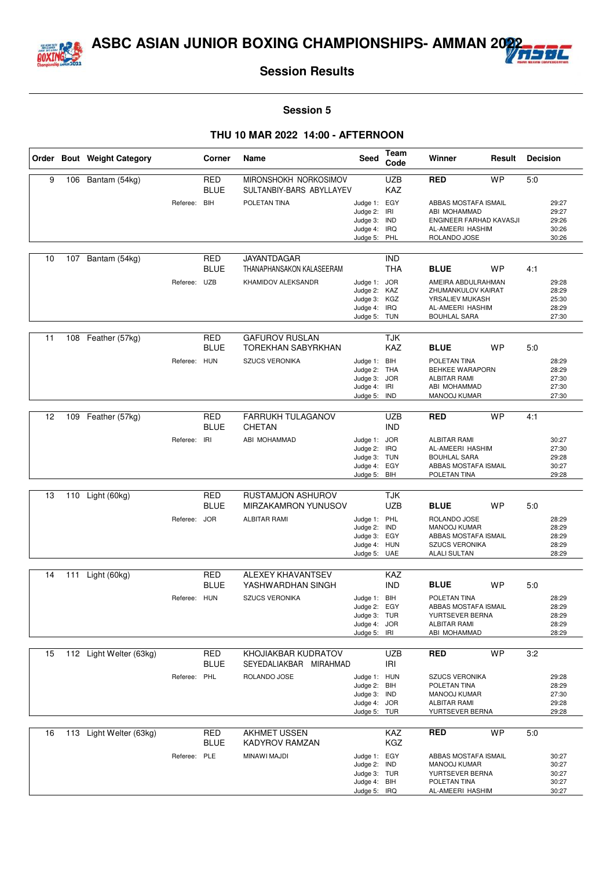



#### **Session 5**

|    |     | Order Bout Weight Category |              | Corner                    | Name                                              | <b>Seed</b>                                                                  | Team<br>Code             | Winner                                                                                                      | Result    | <b>Decision</b> |                                           |
|----|-----|----------------------------|--------------|---------------------------|---------------------------------------------------|------------------------------------------------------------------------------|--------------------------|-------------------------------------------------------------------------------------------------------------|-----------|-----------------|-------------------------------------------|
| 9  | 106 | Bantam (54kg)              |              | <b>RED</b><br><b>BLUE</b> | MIRONSHOKH NORKOSIMOV<br>SULTANBIY-BARS ABYLLAYEV |                                                                              | <b>UZB</b><br><b>KAZ</b> | <b>RED</b>                                                                                                  | <b>WP</b> | 5:0             |                                           |
|    |     |                            | Referee:     | <b>BIH</b>                | POLETAN TINA                                      | Judge 1: EGY<br>Judge 2:<br>Judge 3: IND<br>Judge 4: IRQ<br>Judge 5: PHL     | IRI                      | ABBAS MOSTAFA ISMAIL<br>ABI MOHAMMAD<br>ENGINEER FARHAD KAVASJI<br>AL-AMEERI HASHIM<br>ROLANDO JOSE         |           |                 | 29:27<br>29:27<br>29:26<br>30:26<br>30:26 |
|    |     |                            |              |                           |                                                   |                                                                              |                          |                                                                                                             |           |                 |                                           |
| 10 | 107 | Bantam (54kg)              |              | <b>RED</b><br><b>BLUE</b> | <b>JAYANTDAGAR</b><br>THANAPHANSAKON KALASEERAM   |                                                                              | <b>IND</b><br><b>THA</b> | <b>BLUE</b>                                                                                                 | <b>WP</b> | 4:1             |                                           |
|    |     |                            | Referee: UZB |                           | KHAMIDOV ALEKSANDR                                | Judge 1: JOR<br>Judge 2: KAZ<br>Judge 3: KGZ<br>Judge 4:<br>Judge 5: TUN     | <b>IRQ</b>               | AMEIRA ABDULRAHMAN<br>ZHUMANKULOV KAIRAT<br>YRSALIEV MUKASH<br>AL-AMEERI HASHIM<br><b>BOUHLAL SARA</b>      |           |                 | 29:28<br>28:29<br>25:30<br>28:29<br>27:30 |
| 11 | 108 | Feather (57kg)             |              | <b>RED</b><br><b>BLUE</b> | <b>GAFUROV RUSLAN</b><br>TOREKHAN SABYRKHAN       |                                                                              | <b>TJK</b><br><b>KAZ</b> | <b>BLUE</b>                                                                                                 | <b>WP</b> | 5:0             |                                           |
|    |     |                            | Referee: HUN |                           | <b>SZUCS VERONIKA</b>                             | Judge 1: BIH<br>Judge 2: THA<br>Judge 3: JOR<br>Judge 4: IRI<br>Judge 5: IND |                          | POLETAN TINA<br>BEHKEE WARAPORN<br><b>ALBITAR RAMI</b><br>ABI MOHAMMAD<br>MANOOJ KUMAR                      |           |                 | 28:29<br>28:29<br>27:30<br>27:30<br>27:30 |
|    |     |                            |              |                           |                                                   |                                                                              |                          |                                                                                                             |           |                 |                                           |
| 12 | 109 | Feather (57kg)             |              | <b>RED</b><br><b>BLUE</b> | FARRUKH TULAGANOV<br><b>CHETAN</b>                |                                                                              | <b>UZB</b><br><b>IND</b> | RED                                                                                                         | <b>WP</b> | 4:1             |                                           |
|    |     |                            | Referee: IRI |                           | ABI MOHAMMAD                                      | Judge 1: JOR<br>Judge 2: IRQ<br>Judge 3: TUN<br>Judge 4: EGY<br>Judge 5: BIH |                          | <b>ALBITAR RAMI</b><br>AL-AMEERI HASHIM<br><b>BOUHLAL SARA</b><br>ABBAS MOSTAFA ISMAIL<br>POLETAN TINA      |           |                 | 30:27<br>27:30<br>29:28<br>30:27<br>29:28 |
|    |     |                            |              |                           |                                                   |                                                                              |                          |                                                                                                             |           |                 |                                           |
| 13 | 110 | Light (60kg)               |              | <b>RED</b><br><b>BLUE</b> | RUSTAMJON ASHUROV<br><b>MIRZAKAMRON YUNUSOV</b>   |                                                                              | TJK<br><b>UZB</b>        | <b>BLUE</b>                                                                                                 | <b>WP</b> | 5:0             |                                           |
|    |     |                            | Referee:     | <b>JOR</b>                | <b>ALBITAR RAMI</b>                               | Judge 1: PHL<br>Judge 2:<br>Judge 3: EGY<br>Judge 4: HUN<br>Judge 5: UAE     | IND                      | ROLANDO JOSE<br><b>MANOOJ KUMAR</b><br>ABBAS MOSTAFA ISMAIL<br><b>SZUCS VERONIKA</b><br><b>ALALI SULTAN</b> |           |                 | 28:29<br>28:29<br>28:29<br>28:29<br>28:29 |
| 14 | 111 | Light (60kg)               |              | <b>RED</b>                | <b>ALEXEY KHAVANTSEV</b>                          |                                                                              | KAZ                      |                                                                                                             |           |                 |                                           |
|    |     |                            |              | <b>BLUE</b>               | YASHWARDHAN SINGH                                 |                                                                              | <b>IND</b>               | <b>BLUE</b>                                                                                                 | <b>WP</b> | 5:0             |                                           |
|    |     |                            | Referee: HUN |                           | <b>SZUCS VERONIKA</b>                             | Judge 1: BIH<br>Judge 2: EGY<br>Judge 3: TUR<br>Judge 4: JOR<br>Judge 5: IRI |                          | POLETAN TINA<br>ABBAS MOSTAFA ISMAIL<br>YURTSEVER BERNA<br>ALBITAR RAMI<br>ABI MOHAMMAD                     |           |                 | 28:29<br>28:29<br>28:29<br>28:29<br>28:29 |
| 15 |     | 112 Light Welter (63kg)    |              | RED                       | KHOJIAKBAR KUDRATOV                               |                                                                              | <b>UZB</b>               | <b>RED</b>                                                                                                  | <b>WP</b> | 3:2             |                                           |
|    |     |                            |              | <b>BLUE</b>               | SEYEDALIAKBAR MIRAHMAD                            |                                                                              | IRI                      |                                                                                                             |           |                 |                                           |
|    |     |                            | Referee: PHL |                           | ROLANDO JOSE                                      | Judge 1: HUN<br>Judge 2: BIH<br>Judge 3: IND<br>Judge 4: JOR<br>Judge 5: TUR |                          | <b>SZUCS VERONIKA</b><br>POLETAN TINA<br>MANOOJ KUMAR<br><b>ALBITAR RAMI</b><br>YURTSEVER BERNA             |           |                 | 29:28<br>28:29<br>27:30<br>29:28<br>29:28 |
| 16 |     | 113 Light Welter (63kg)    |              | RED                       | <b>AKHMET USSEN</b>                               |                                                                              | KAZ                      | <b>RED</b>                                                                                                  | <b>WP</b> | 5:0             |                                           |
|    |     |                            |              | <b>BLUE</b>               | KADYROV RAMZAN                                    |                                                                              | KGZ                      |                                                                                                             |           |                 |                                           |
|    |     |                            | Referee: PLE |                           | MINAWI MAJDI                                      | Judge 1: EGY<br>Judge 2: IND<br>Judge 3: TUR<br>Judge 4: BIH<br>Judge 5: IRQ |                          | ABBAS MOSTAFA ISMAIL<br>MANOOJ KUMAR<br>YURTSEVER BERNA<br>POLETAN TINA<br>AL-AMEERI HASHIM                 |           |                 | 30:27<br>30:27<br>30:27<br>30:27<br>30:27 |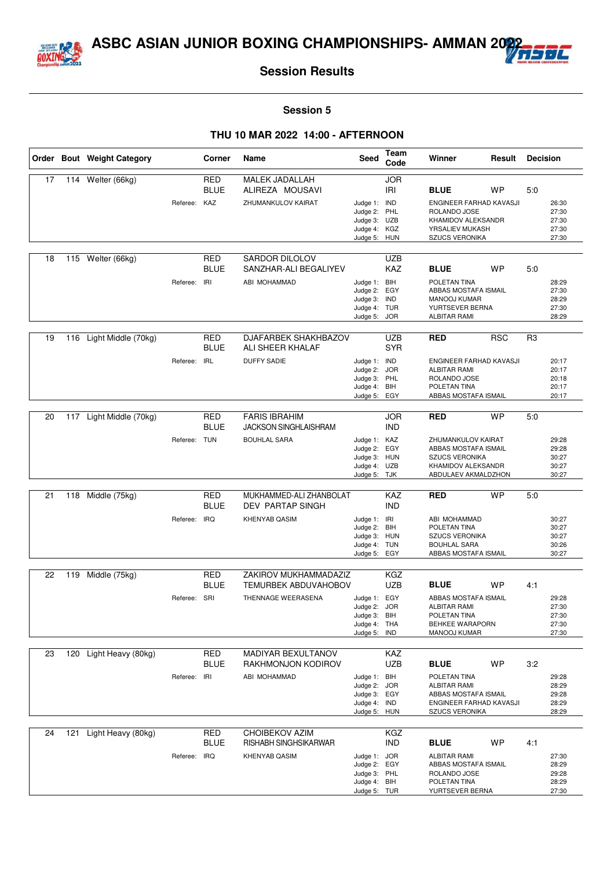



#### **Session 5**

|    |     | Order Bout Weight Category |              | Corner                    | Name                                                 | Seed                                                                         | Team<br>Code             | Winner                                                                                                           |            | <b>Decision</b><br>Result |                                           |
|----|-----|----------------------------|--------------|---------------------------|------------------------------------------------------|------------------------------------------------------------------------------|--------------------------|------------------------------------------------------------------------------------------------------------------|------------|---------------------------|-------------------------------------------|
| 17 | 114 | Welter (66kg)              |              | RED<br><b>BLUE</b>        | <b>MALEK JADALLAH</b><br>ALIREZA MOUSAVI             |                                                                              | <b>JOR</b><br><b>IRI</b> | <b>BLUE</b>                                                                                                      | WP         | 5:0                       |                                           |
|    |     |                            | Referee: KAZ |                           | ZHUMANKULOV KAIRAT                                   | Judge 1: IND<br>Judge 2: PHL<br>Judge 3: UZB<br>Judge 4: KGZ<br>Judge 5: HUN |                          | ENGINEER FARHAD KAVASJI<br>ROLANDO JOSE<br>KHAMIDOV ALEKSANDR<br>YRSALIEV MUKASH<br>SZUCS VERONIKA               |            |                           | 26:30<br>27:30<br>27:30<br>27:30<br>27:30 |
| 18 | 115 | Welter (66kg)              |              | RED<br><b>BLUE</b>        | <b>SARDOR DILOLOV</b><br>SANZHAR-ALI BEGALIYEV       |                                                                              | UZB<br>KAZ               | <b>BLUE</b>                                                                                                      | <b>WP</b>  | 5:0                       |                                           |
|    |     |                            | Referee:     | IRI                       | ABI MOHAMMAD                                         | Judge 1: BIH<br>Judge 2:<br>Judge 3: IND<br>Judge 4: TUR<br>Judge 5: JOR     | EGY                      | POLETAN TINA<br>ABBAS MOSTAFA ISMAIL<br><b>MANOOJ KUMAR</b><br>YURTSEVER BERNA<br><b>ALBITAR RAMI</b>            |            |                           | 28:29<br>27:30<br>28:29<br>27:30<br>28:29 |
| 19 | 116 | Light Middle (70kg)        |              | <b>RED</b><br><b>BLUE</b> | DJAFARBEK SHAKHBAZOV<br>ALI SHEER KHALAF             |                                                                              | <b>UZB</b><br><b>SYR</b> | <b>RED</b>                                                                                                       | <b>RSC</b> | R <sub>3</sub>            |                                           |
|    |     |                            | Referee:     | <b>IRL</b>                | <b>DUFFY SADIE</b>                                   | Judge 1: IND<br>Judge 2: JOR<br>Judge 3: PHL<br>Judge 4: BIH<br>Judge 5: EGY |                          | ENGINEER FARHAD KAVASJI<br><b>ALBITAR RAMI</b><br>ROLANDO JOSE<br>POLETAN TINA<br>ABBAS MOSTAFA ISMAIL           |            |                           | 20:17<br>20:17<br>20:18<br>20:17<br>20:17 |
|    |     |                            |              |                           |                                                      |                                                                              |                          |                                                                                                                  |            |                           |                                           |
| 20 | 117 | Light Middle (70kg)        |              | <b>RED</b><br><b>BLUE</b> | <b>FARIS IBRAHIM</b><br><b>JACKSON SINGHLAISHRAM</b> |                                                                              | <b>JOR</b><br><b>IND</b> | <b>RED</b>                                                                                                       | <b>WP</b>  | 5:0                       |                                           |
|    |     |                            | Referee: TUN |                           | <b>BOUHLAL SARA</b>                                  | Judge 1: KAZ<br>Judge 2: EGY<br>Judge 3: HUN<br>Judge 4: UZB<br>Judge 5: TJK |                          | ZHUMANKULOV KAIRAT<br>ABBAS MOSTAFA ISMAIL<br><b>SZUCS VERONIKA</b><br>KHAMIDOV ALEKSANDR<br>ABDULAEV AKMALDZHON |            |                           | 29:28<br>29:28<br>30:27<br>30:27<br>30:27 |
|    |     |                            |              |                           |                                                      |                                                                              |                          |                                                                                                                  |            |                           |                                           |
| 21 | 118 | Middle (75kg)              |              | <b>RED</b><br><b>BLUE</b> | MUKHAMMED-ALI ZHANBOLAT<br>DEV PARTAP SINGH          |                                                                              | KAZ<br><b>IND</b>        | <b>RED</b>                                                                                                       | <b>WP</b>  | 5:0                       |                                           |
|    |     |                            | Referee:     | IRQ                       | <b>KHENYAB QASIM</b>                                 | Judge 1: IRI<br>Judge 2: BIH                                                 |                          | ABI MOHAMMAD<br>POLETAN TINA                                                                                     |            |                           | 30:27<br>30:27                            |
|    |     |                            |              |                           |                                                      | Judge 3: HUN                                                                 |                          | <b>SZUCS VERONIKA</b>                                                                                            |            |                           | 30:27                                     |
|    |     |                            |              |                           |                                                      | Judge 4: TUN<br>Judge 5: EGY                                                 |                          | <b>BOUHLAL SARA</b><br>ABBAS MOSTAFA ISMAIL                                                                      |            |                           | 30:26<br>30:27                            |
| 22 | 119 | Middle (75kg)              |              | RED                       | ZAKIROV MUKHAMMADAZIZ                                |                                                                              | KGZ                      |                                                                                                                  |            |                           |                                           |
|    |     |                            |              | <b>BLUE</b>               | <b>TEMURBEK ABDUVAHOBOV</b>                          |                                                                              | UZB                      | <b>BLUE</b>                                                                                                      | <b>WP</b>  | 4:1                       |                                           |
|    |     |                            | Referee: SRI |                           | THENNAGE WEERASENA                                   | Judge 1: EGY                                                                 |                          | ABBAS MOSTAFA ISMAIL                                                                                             |            |                           | 29:28                                     |
|    |     |                            |              |                           |                                                      | Judge 2: JOR<br>Judge 3: BIH                                                 |                          | <b>ALBITAR RAMI</b><br>POLETAN TINA                                                                              |            |                           | 27:30<br>27:30                            |
|    |     |                            |              |                           |                                                      | Judge 4: THA<br>Judge 5: IND                                                 |                          | BEHKEE WARAPORN<br>MANOOJ KUMAR                                                                                  |            |                           | 27:30<br>27:30                            |
|    |     |                            |              | <b>RED</b>                | MADIYAR BEXULTANOV                                   |                                                                              | KAZ                      |                                                                                                                  |            |                           |                                           |
| 23 |     | 120 Light Heavy (80kg)     |              | <b>BLUE</b>               | RAKHMONJON KODIROV                                   |                                                                              | <b>UZB</b>               | <b>BLUE</b>                                                                                                      | WP         | 3:2                       |                                           |
|    |     |                            | Referee:     | IRI                       | ABI MOHAMMAD                                         | Judge 1: BIH                                                                 |                          | POLETAN TINA                                                                                                     |            |                           | 29:28                                     |
|    |     |                            |              |                           |                                                      | Judge 2: JOR<br>Judge 3: EGY                                                 |                          | <b>ALBITAR RAMI</b><br>ABBAS MOSTAFA ISMAIL                                                                      |            |                           | 28:29<br>29:28                            |
|    |     |                            |              |                           |                                                      | Judge 4: IND<br>Judge 5: HUN                                                 |                          | ENGINEER FARHAD KAVASJI<br><b>SZUCS VERONIKA</b>                                                                 |            |                           | 28:29<br>28:29                            |
| 24 | 121 | Light Heavy (80kg)         |              | RED                       | <b>CHOIBEKOV AZIM</b>                                |                                                                              | KGZ                      |                                                                                                                  |            |                           |                                           |
|    |     |                            |              | <b>BLUE</b>               | RISHABH SINGHSIKARWAR                                |                                                                              | <b>IND</b>               | <b>BLUE</b>                                                                                                      | WP         | 4:1                       |                                           |
|    |     |                            | Referee: IRQ |                           | <b>KHENYAB QASIM</b>                                 | Judge 1: JOR<br>Judge 2:                                                     | EGY                      | <b>ALBITAR RAMI</b><br>ABBAS MOSTAFA ISMAIL                                                                      |            |                           | 27:30<br>28:29                            |
|    |     |                            |              |                           |                                                      | Judge 3: PHL<br>Judge 4: BIH                                                 |                          | ROLANDO JOSE<br>POLETAN TINA                                                                                     |            |                           | 29:28<br>28:29                            |
|    |     |                            |              |                           |                                                      | Judge 5: TUR                                                                 |                          | YURTSEVER BERNA                                                                                                  |            |                           | 27:30                                     |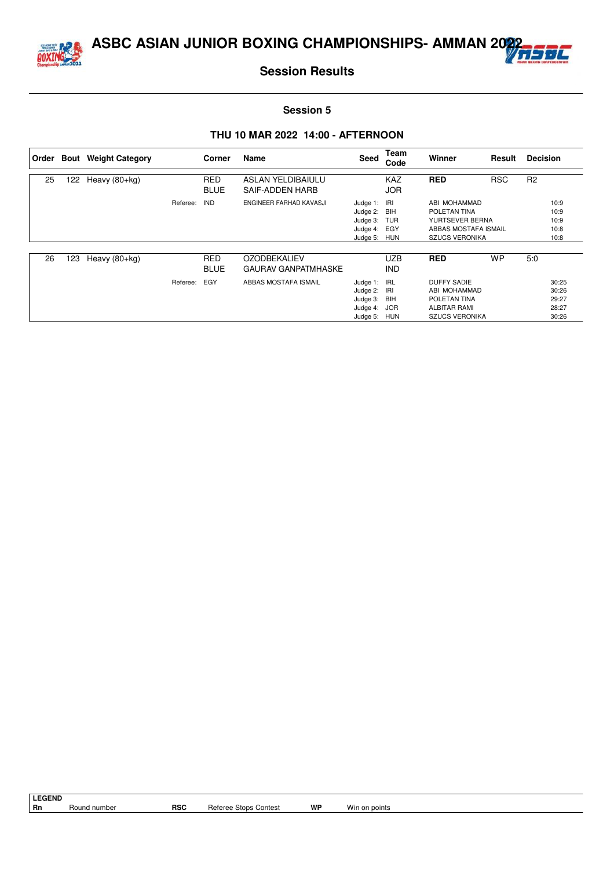



#### **Session 5**

| ∣ Order |     | <b>Bout</b> Weight Category |          | Corner                    | Name                                              | Seed                                                                     | Team<br>Code             | Winner                                                                                             | Result     | <b>Decision</b> |                                           |
|---------|-----|-----------------------------|----------|---------------------------|---------------------------------------------------|--------------------------------------------------------------------------|--------------------------|----------------------------------------------------------------------------------------------------|------------|-----------------|-------------------------------------------|
| 25      | 122 | Heavy $(80+kg)$             |          | <b>RED</b><br><b>BLUE</b> | ASLAN YELDIBAIULU<br>SAIF-ADDEN HARB              |                                                                          | <b>KAZ</b><br><b>JOR</b> | <b>RED</b>                                                                                         | <b>RSC</b> | R <sub>2</sub>  |                                           |
|         |     |                             | Referee: | <b>IND</b>                | ENGINEER FARHAD KAVASJI                           | Judge 1: IRI<br>Judge 2: BIH<br>Judge 3: TUR<br>Judge 4: EGY<br>Judge 5: | HUN                      | ABI MOHAMMAD<br>POLETAN TINA<br>YURTSEVER BERNA<br>ABBAS MOSTAFA ISMAIL<br><b>SZUCS VERONIKA</b>   |            |                 | 10:9<br>10:9<br>10:9<br>10:8<br>10:8      |
| 26      | 123 | Heavy $(80+kg)$             |          | <b>RED</b><br><b>BLUE</b> | <b>OZODBEKALIEV</b><br><b>GAURAV GANPATMHASKE</b> |                                                                          | <b>UZB</b><br><b>IND</b> | <b>RED</b>                                                                                         | <b>WP</b>  | 5:0             |                                           |
|         |     |                             | Referee: | EGY                       | ABBAS MOSTAFA ISMAIL                              | Judge 1: IRL<br>Judge 2: IRI<br>Judge 3: BIH<br>Judge 4:<br>Judge 5: HUN | JOR                      | <b>DUFFY SADIE</b><br>ABI MOHAMMAD<br>POLETAN TINA<br><b>ALBITAR RAMI</b><br><b>SZUCS VERONIKA</b> |            |                 | 30:25<br>30:26<br>29:27<br>28:27<br>30:26 |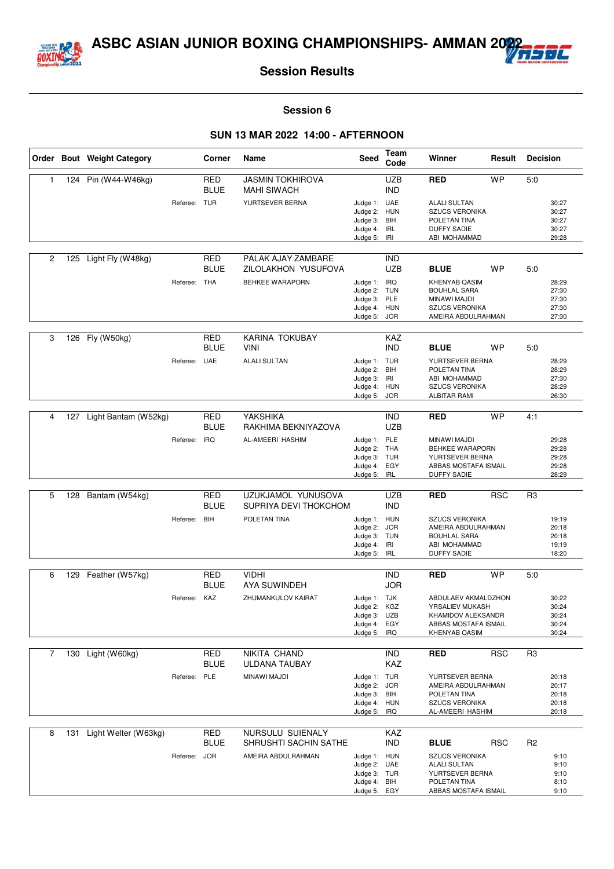



#### **Session 6**

|                |     | Order Bout Weight Category |              | Corner                    | Name                                        | Seed                                                                         | Team<br>Code             | Winner                                                                                                   | Result     | <b>Decision</b> |                                           |
|----------------|-----|----------------------------|--------------|---------------------------|---------------------------------------------|------------------------------------------------------------------------------|--------------------------|----------------------------------------------------------------------------------------------------------|------------|-----------------|-------------------------------------------|
| $\mathbf{1}$   |     | 124 Pin (W44-W46kg)        |              | <b>RED</b><br><b>BLUE</b> | JASMIN TOKHIROVA<br><b>MAHI SIWACH</b>      |                                                                              | <b>UZB</b><br><b>IND</b> | <b>RED</b>                                                                                               | <b>WP</b>  | 5:0             |                                           |
|                |     |                            | Referee:     | TUR                       | YURTSEVER BERNA                             | Judge 1: UAE<br>Judge 2: HUN<br>Judge 3: BIH<br>Judge 4: IRL<br>Judge 5:     | IRI                      | <b>ALALI SULTAN</b><br><b>SZUCS VERONIKA</b><br>POLETAN TINA<br><b>DUFFY SADIE</b><br>ABI MOHAMMAD       |            |                 | 30:27<br>30:27<br>30:27<br>30:27<br>29:28 |
| $\overline{c}$ | 125 | Light Fly (W48kg)          |              | <b>RED</b><br><b>BLUE</b> | PALAK AJAY ZAMBARE<br>ZILOLAKHON YUSUFOVA   |                                                                              | <b>IND</b><br>UZB        | <b>BLUE</b>                                                                                              | <b>WP</b>  | 5:0             |                                           |
|                |     |                            | Referee: THA |                           | <b>BEHKEE WARAPORN</b>                      | Judge 1: IRQ<br>Judge 2: TUN<br>Judge 3: PLE<br>Judge 4: HUN<br>Judge 5: JOR |                          | KHENYAB QASIM<br><b>BOUHLAL SARA</b><br>MINAWI MAJDI<br><b>SZUCS VERONIKA</b><br>AMEIRA ABDULRAHMAN      |            |                 | 28:29<br>27:30<br>27:30<br>27:30<br>27:30 |
|                |     |                            |              |                           |                                             |                                                                              |                          |                                                                                                          |            |                 |                                           |
| 3              |     | 126 Fly (W50kg)            |              | <b>RED</b><br><b>BLUE</b> | KARINA TOKUBAY<br><b>VINI</b>               |                                                                              | KAZ<br><b>IND</b>        | <b>BLUE</b>                                                                                              | WP         | 5:0             |                                           |
|                |     |                            | Referee: UAE |                           | <b>ALALI SULTAN</b>                         | Judge 1: TUR<br>Judge 2: BIH<br>Judge 3: IRI<br>Judge 4: HUN<br>Judge 5: JOR |                          | YURTSEVER BERNA<br>POLETAN TINA<br>ABI MOHAMMAD<br><b>SZUCS VERONIKA</b><br><b>ALBITAR RAMI</b>          |            |                 | 28:29<br>28:29<br>27:30<br>28:29<br>26:30 |
|                |     |                            |              |                           |                                             |                                                                              |                          |                                                                                                          | <b>WP</b>  |                 |                                           |
| 4              | 127 | Light Bantam (W52kg)       |              | <b>RED</b><br><b>BLUE</b> | YAKSHIKA<br>RAKHIMA BEKNIYAZOVA             |                                                                              | <b>IND</b><br><b>UZB</b> | <b>RED</b>                                                                                               |            | 4:1             |                                           |
|                |     |                            | Referee:     | <b>IRQ</b>                | AL-AMEERI HASHIM                            | Judge 1: PLE<br>Judge 2: THA<br>Judge 3: TUR<br>Judge 4: EGY<br>Judge 5: IRL |                          | MINAWI MAJDI<br>BEHKEE WARAPORN<br>YURTSEVER BERNA<br>ABBAS MOSTAFA ISMAIL<br><b>DUFFY SADIE</b>         |            |                 | 29:28<br>29:28<br>29:28<br>29:28<br>28:29 |
|                |     |                            |              |                           |                                             |                                                                              |                          |                                                                                                          |            |                 |                                           |
| 5              | 128 | Bantam (W54kg)             |              | <b>RED</b><br><b>BLUE</b> | UZUKJAMOL YUNUSOVA<br>SUPRIYA DEVI THOKCHOM |                                                                              | <b>UZB</b><br><b>IND</b> | <b>RED</b>                                                                                               | <b>RSC</b> | R <sub>3</sub>  |                                           |
|                |     |                            | Referee:     | BIH                       | POLETAN TINA                                | Judge 1: HUN<br>Judge 2:<br>Judge 3: TUN<br>Judge 4: IRI<br>Judge 5: IRL     | <b>JOR</b>               | <b>SZUCS VERONIKA</b><br>AMEIRA ABDULRAHMAN<br><b>BOUHLAL SARA</b><br>ABI MOHAMMAD<br><b>DUFFY SADIE</b> |            |                 | 19:19<br>20:18<br>20:18<br>19:19<br>18:20 |
| 6              |     | 129 Feather (W57kg)        |              | <b>RED</b>                | <b>VIDHI</b>                                |                                                                              | <b>IND</b>               | <b>RED</b>                                                                                               | <b>WP</b>  | 5:0             |                                           |
|                |     |                            |              | <b>BLUE</b>               | <b>AYA SUWINDEH</b>                         |                                                                              | <b>JOR</b>               |                                                                                                          |            |                 |                                           |
|                |     |                            | Referee: KAZ |                           | ZHUMANKULOV KAIRAT                          | Judge 1: TJK<br>Judge 2: KGZ<br>Judge 3: UZB<br>Judge 4: EGY<br>Judge 5: IRQ |                          | ABDULAEV AKMALDZHON<br>YRSALIEV MUKASH<br>KHAMIDOV ALEKSANDR<br>ABBAS MOSTAFA ISMAIL<br>KHENYAB QASIM    |            |                 | 30:22<br>30:24<br>30:24<br>30:24<br>30:24 |
| $\overline{7}$ |     | 130 Light (W60kg)          |              | RED<br><b>BLUE</b>        | NIKITA CHAND<br>ULDANA TAUBAY               |                                                                              | <b>IND</b><br>KAZ        | <b>RED</b>                                                                                               | <b>RSC</b> | R <sub>3</sub>  |                                           |
|                |     |                            | Referee: PLE |                           | MINAWI MAJDI                                | Judge 1: TUR<br>Judge 2: JOR<br>Judge 3: BIH<br>Judge 4: HUN<br>Judge 5: IRQ |                          | YURTSEVER BERNA<br>AMEIRA ABDULRAHMAN<br>POLETAN TINA<br><b>SZUCS VERONIKA</b><br>AL-AMEERI HASHIM       |            |                 | 20:18<br>20:17<br>20:18<br>20:18<br>20:18 |
| 8              |     | 131 Light Welter (W63kg)   |              | <b>RED</b><br><b>BLUE</b> | NURSULU SUIENALY<br>SHRUSHTI SACHIN SATHE   |                                                                              | KAZ<br><b>IND</b>        | <b>BLUE</b>                                                                                              | <b>RSC</b> | R <sub>2</sub>  |                                           |
|                |     |                            | Referee: JOR |                           | AMEIRA ABDULRAHMAN                          | Judge 1: HUN<br>Judge 2: UAE<br>Judge 3: TUR<br>Judge 4: BIH<br>Judge 5: EGY |                          | <b>SZUCS VERONIKA</b><br><b>ALALI SULTAN</b><br>YURTSEVER BERNA<br>POLETAN TINA<br>ABBAS MOSTAFA ISMAIL  |            |                 | 9:10<br>9:10<br>9:10<br>8:10<br>9:10      |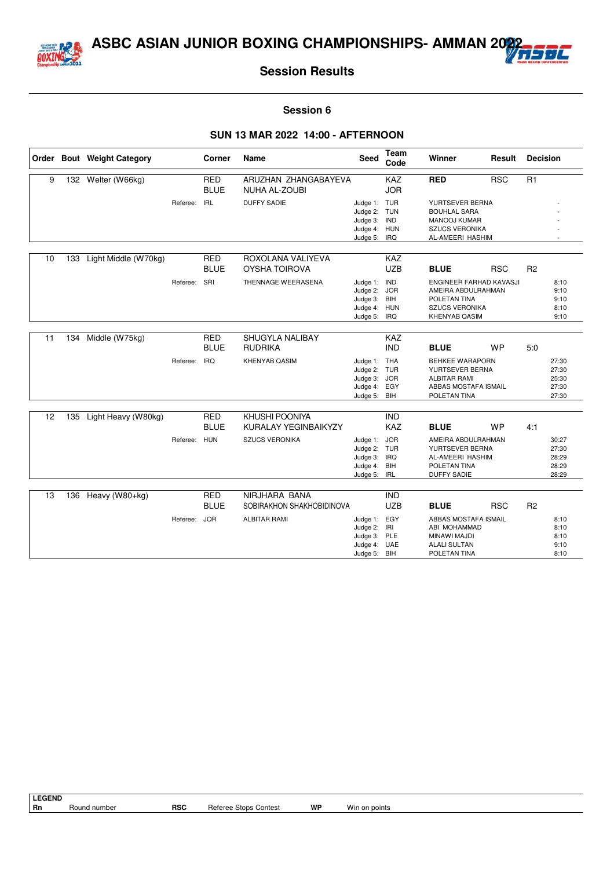



#### **Session 6**

|    |     | Order Bout Weight Category |          | Corner                    | Name                                          | <b>Seed</b>                                                                  | <b>Team</b><br>Code      | Winner                                                                                                                | Result     | <b>Decision</b> |                                           |
|----|-----|----------------------------|----------|---------------------------|-----------------------------------------------|------------------------------------------------------------------------------|--------------------------|-----------------------------------------------------------------------------------------------------------------------|------------|-----------------|-------------------------------------------|
| 9  |     | 132 Welter (W66kg)         |          | <b>RED</b><br><b>BLUE</b> | ARUZHAN ZHANGABAYEVA<br><b>NUHA AL-ZOUBI</b>  |                                                                              | <b>KAZ</b><br><b>JOR</b> | <b>RED</b>                                                                                                            | <b>RSC</b> | R1              |                                           |
|    |     |                            | Referee: | <b>IRL</b>                | <b>DUFFY SADIE</b>                            | Judge 1: TUR<br>Judge 2:<br>Judge 3: IND<br>Judge 4: HUN<br>Judge 5:         | TUN<br>IRQ               | YURTSEVER BERNA<br><b>BOUHLAL SARA</b><br><b>MANOOJ KUMAR</b><br><b>SZUCS VERONIKA</b><br>AL-AMEERI HASHIM            |            |                 |                                           |
| 10 | 133 | Light Middle (W70kg)       |          | <b>RED</b><br><b>BLUE</b> | ROXOLANA VALIYEVA<br><b>OYSHA TOIROVA</b>     |                                                                              | <b>KAZ</b><br><b>UZB</b> | <b>BLUE</b>                                                                                                           | <b>RSC</b> | R <sub>2</sub>  |                                           |
|    |     |                            | Referee: | SRI                       | THENNAGE WEERASENA                            | Judge 1: IND<br>Judge 2: JOR<br>Judge 3: BIH<br>Judge 4: HUN<br>Judge 5:     | IRQ                      | <b>ENGINEER FARHAD KAVASJI</b><br>AMEIRA ABDULRAHMAN<br>POLETAN TINA<br><b>SZUCS VERONIKA</b><br><b>KHENYAB QASIM</b> |            |                 | 8:10<br>9:10<br>9:10<br>8:10<br>9:10      |
| 11 | 134 | Middle (W75kg)             |          | <b>RED</b><br><b>BLUE</b> | <b>SHUGYLA NALIBAY</b><br><b>RUDRIKA</b>      |                                                                              | <b>KAZ</b><br><b>IND</b> | <b>BLUE</b>                                                                                                           | <b>WP</b>  | 5:0             |                                           |
|    |     |                            | Referee: | <b>IRQ</b>                | <b>KHENYAB QASIM</b>                          | Judge 1: THA<br>Judge 2: TUR<br>Judge 3: JOR<br>Judge 4: EGY<br>Judge 5: BIH |                          | <b>BEHKEE WARAPORN</b><br>YURTSEVER BERNA<br><b>ALBITAR RAMI</b><br>ABBAS MOSTAFA ISMAIL<br>POLETAN TINA              |            |                 | 27:30<br>27:30<br>25:30<br>27:30<br>27:30 |
| 12 |     | 135 Light Heavy (W80kg)    |          | <b>RED</b><br><b>BLUE</b> | KHUSHI POONIYA<br><b>KURALAY YEGINBAIKYZY</b> |                                                                              | <b>IND</b><br><b>KAZ</b> | <b>BLUE</b>                                                                                                           | <b>WP</b>  | 4:1             |                                           |
|    |     |                            | Referee: | <b>HUN</b>                | <b>SZUCS VERONIKA</b>                         | Judge 1: JOR<br>Judge 2:<br>Judge 3:<br>Judge 4:<br>Judge 5: IRL             | TUR<br>IRQ<br>BIH        | AMEIRA ABDULRAHMAN<br>YURTSEVER BERNA<br>AL-AMEERI HASHIM<br>POLETAN TINA<br><b>DUFFY SADIE</b>                       |            |                 | 30:27<br>27:30<br>28:29<br>28:29<br>28:29 |
| 13 | 136 | Heavy (W80+kg)             |          | <b>RED</b><br><b>BLUE</b> | NIRJHARA BANA<br>SOBIRAKHON SHAKHOBIDINOVA    |                                                                              | <b>IND</b><br><b>UZB</b> | <b>BLUE</b>                                                                                                           | <b>RSC</b> | R <sub>2</sub>  |                                           |
|    |     |                            | Referee: | <b>JOR</b>                | <b>ALBITAR RAMI</b>                           | Judge 1: EGY<br>Judge 2: IRI<br>Judge 3: PLE<br>Judge 4: UAE<br>Judge 5: BIH |                          | ABBAS MOSTAFA ISMAIL<br>ABI MOHAMMAD<br>MINAWI MAJDI<br><b>ALALI SULTAN</b><br>POLETAN TINA                           |            |                 | 8:10<br>8:10<br>8:10<br>9:10<br>8:10      |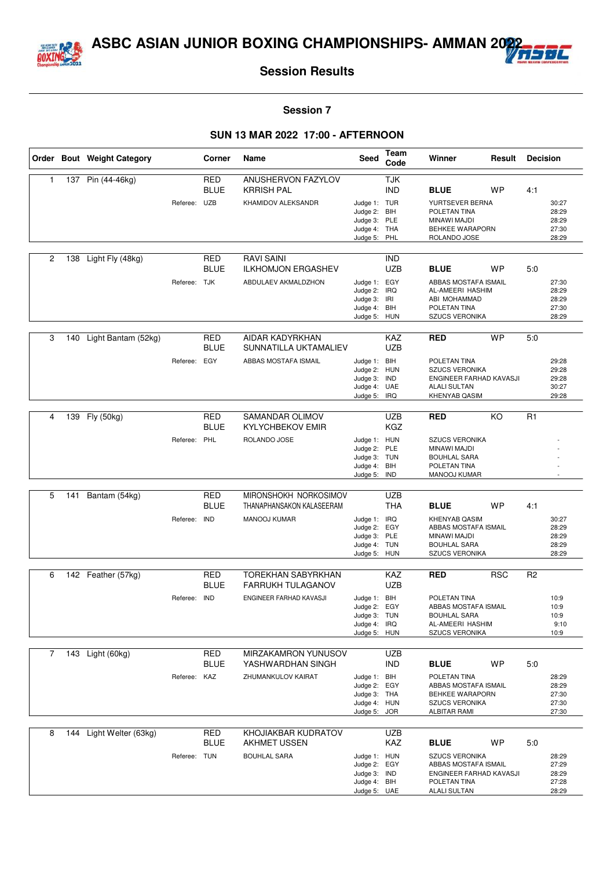



#### **Session 7**

|                |     | Order Bout Weight Category |              | Corner                    | Name                                    | Seed                         | Team<br>Code             | Winner                                          | Result     | <b>Decision</b> |                |
|----------------|-----|----------------------------|--------------|---------------------------|-----------------------------------------|------------------------------|--------------------------|-------------------------------------------------|------------|-----------------|----------------|
| 1              |     | 137 Pin (44-46kg)          |              | <b>RED</b><br><b>BLUE</b> | ANUSHERVON FAZYLOV<br><b>KRRISH PAL</b> |                              | <b>TJK</b><br><b>IND</b> | <b>BLUE</b>                                     | <b>WP</b>  | 4:1             |                |
|                |     |                            | Referee:     | <b>UZB</b>                | KHAMIDOV ALEKSANDR                      | Judge 1: TUR                 |                          | YURTSEVER BERNA                                 |            |                 | 30:27          |
|                |     |                            |              |                           |                                         | Judge 2: BIH                 |                          | POLETAN TINA                                    |            |                 | 28:29          |
|                |     |                            |              |                           |                                         | Judge 3: PLE<br>Judge 4: THA |                          | MINAWI MAJDI<br><b>BEHKEE WARAPORN</b>          |            |                 | 28:29<br>27:30 |
|                |     |                            |              |                           |                                         | Judge 5:                     | PHL                      | ROLANDO JOSE                                    |            |                 | 28:29          |
| $\overline{c}$ | 138 | Light Fly (48kg)           |              | <b>RED</b>                | <b>RAVI SAINI</b>                       |                              | <b>IND</b>               |                                                 |            |                 |                |
|                |     |                            |              | <b>BLUE</b>               | <b>ILKHOMJON ERGASHEV</b>               |                              | <b>UZB</b>               | <b>BLUE</b>                                     | <b>WP</b>  | 5.0             |                |
|                |     |                            | Referee: TJK |                           | ABDULAEV AKMALDZHON                     | Judge 1: EGY                 |                          | ABBAS MOSTAFA ISMAIL                            |            |                 | 27:30          |
|                |     |                            |              |                           |                                         | Judge 2:<br>Judge 3:         | <b>IRQ</b><br>IRI        | AL-AMEERI HASHIM<br>ABI MOHAMMAD                |            |                 | 28:29<br>28:29 |
|                |     |                            |              |                           |                                         | Judge 4:                     | BIH                      | POLETAN TINA                                    |            |                 | 27:30          |
|                |     |                            |              |                           |                                         | Judge 5: HUN                 |                          | <b>SZUCS VERONIKA</b>                           |            |                 | 28:29          |
| 3              | 140 | Light Bantam (52kg)        |              | <b>RED</b>                | <b>AIDAR KADYRKHAN</b>                  |                              | <b>KAZ</b>               | <b>RED</b>                                      | <b>WP</b>  | 5:0             |                |
|                |     |                            |              | <b>BLUE</b>               | SUNNATILLA UKTAMALIEV                   |                              | UZB                      |                                                 |            |                 |                |
|                |     |                            | Referee:     | EGY                       | ABBAS MOSTAFA ISMAIL                    | Judge 1:<br>Judge 2:         | BIH<br><b>HUN</b>        | POLETAN TINA<br><b>SZUCS VERONIKA</b>           |            |                 | 29:28<br>29:28 |
|                |     |                            |              |                           |                                         | Judge 3:                     | IND                      | ENGINEER FARHAD KAVASJI                         |            |                 | 29:28          |
|                |     |                            |              |                           |                                         | Judge 4: UAE                 |                          | <b>ALALI SULTAN</b>                             |            |                 | 30:27          |
|                |     |                            |              |                           |                                         | Judge 5:                     | IRQ                      | <b>KHENYAB QASIM</b>                            |            |                 | 29:28          |
| 4              |     | 139 Fly (50kg)             |              | RED                       | SAMANDAR OLIMOV                         |                              | <b>UZB</b>               | <b>RED</b>                                      | KO         | R <sub>1</sub>  |                |
|                |     |                            |              | <b>BLUE</b>               | <b>KYLYCHBEKOV EMIR</b>                 |                              | KGZ                      |                                                 |            |                 |                |
|                |     |                            | Referee: PHL |                           | ROLANDO JOSE                            | Judge 1: HUN<br>Judge 2: PLE |                          | <b>SZUCS VERONIKA</b><br>MINAWI MAJDI           |            |                 |                |
|                |     |                            |              |                           |                                         | Judge 3: TUN                 |                          | <b>BOUHLAL SARA</b>                             |            |                 |                |
|                |     |                            |              |                           |                                         | Judge 4: BIH                 |                          | POLETAN TINA                                    |            |                 |                |
|                |     |                            |              |                           |                                         | Judge 5: IND                 |                          | MANOOJ KUMAR                                    |            |                 |                |
| 5              | 141 | Bantam (54kg)              |              | RED                       | MIRONSHOKH NORKOSIMOV                   |                              | <b>UZB</b>               |                                                 |            |                 |                |
|                |     |                            |              | <b>BLUE</b>               | THANAPHANSAKON KALASEERAM               |                              | THA                      | <b>BLUE</b>                                     | <b>WP</b>  | 4:1             |                |
|                |     |                            | Referee:     | <b>IND</b>                | <b>MANOOJ KUMAR</b>                     | Judge 1:<br>Judge 2:         | IRQ<br>EGY               | <b>KHENYAB QASIM</b><br>ABBAS MOSTAFA ISMAIL    |            |                 | 30:27<br>28:29 |
|                |     |                            |              |                           |                                         | Judge 3: PLE                 |                          | MINAWI MAJDI                                    |            |                 | 28:29          |
|                |     |                            |              |                           |                                         | Judge 4: TUN                 |                          | <b>BOUHLAL SARA</b>                             |            |                 | 28:29          |
|                |     |                            |              |                           |                                         | Judge 5: HUN                 |                          | <b>SZUCS VERONIKA</b>                           |            |                 | 28:29          |
| 6              |     | 142 Feather (57kg)         |              | <b>RED</b>                | <b>TOREKHAN SABYRKHAN</b>               |                              | KAZ                      | <b>RED</b>                                      | <b>RSC</b> | R <sub>2</sub>  |                |
|                |     |                            |              | <b>BLUE</b>               | <b>FARRUKH TULAGANOV</b>                |                              | <b>UZB</b>               |                                                 |            |                 |                |
|                |     |                            | Referee: IND |                           | ENGINEER FARHAD KAVASJI                 | Judge 1: BIH                 |                          | POLETAN TINA<br>ABBAS MOSTAFA ISMAIL            |            |                 | 10:9<br>10:9   |
|                |     |                            |              |                           |                                         | Judge 2: EGY<br>Judge 3: TUN |                          | <b>BOUHLAL SARA</b>                             |            |                 | 10:9           |
|                |     |                            |              |                           |                                         | Judge 4: IRQ                 |                          | AL-AMEERI HASHIM                                |            |                 | 9:10           |
|                |     |                            |              |                           |                                         | Judge 5: HUN                 |                          | <b>SZUCS VERONIKA</b>                           |            |                 | 10:9           |
| $\overline{7}$ | 143 | Light (60kg)               |              | <b>RED</b>                | MIRZAKAMRON YUNUSOV                     |                              | <b>UZB</b>               |                                                 |            |                 |                |
|                |     |                            |              | <b>BLUE</b>               | YASHWARDHAN SINGH                       |                              | IND.                     | <b>BLUE</b>                                     | WP         | 5:0             |                |
|                |     |                            | Referee: KAZ |                           | ZHUMANKULOV KAIRAT                      | Judge 1: BIH<br>Judge 2: EGY |                          | POLETAN TINA<br>ABBAS MOSTAFA ISMAIL            |            |                 | 28:29<br>28:29 |
|                |     |                            |              |                           |                                         | Judge 3: THA                 |                          | <b>BEHKEE WARAPORN</b>                          |            |                 | 27:30          |
|                |     |                            |              |                           |                                         | Judge 4: HUN                 |                          | <b>SZUCS VERONIKA</b>                           |            |                 | 27:30          |
|                |     |                            |              |                           |                                         | Judge 5: JOR                 |                          | <b>ALBITAR RAMI</b>                             |            |                 | 27:30          |
| 8              |     | 144 Light Welter (63kg)    |              | <b>RED</b>                | KHOJIAKBAR KUDRATOV                     |                              | <b>UZB</b>               |                                                 |            |                 |                |
|                |     |                            |              | <b>BLUE</b>               | <b>AKHMET USSEN</b>                     |                              | KAZ                      | <b>BLUE</b>                                     | WP         | 5:0             |                |
|                |     |                            | Referee: TUN |                           | <b>BOUHLAL SARA</b>                     | Judge 1: HUN                 |                          | <b>SZUCS VERONIKA</b>                           |            |                 | 28:29          |
|                |     |                            |              |                           |                                         | Judge 2: EGY<br>Judge 3: IND |                          | ABBAS MOSTAFA ISMAIL<br>ENGINEER FARHAD KAVASJI |            |                 | 27:29<br>28:29 |
|                |     |                            |              |                           |                                         | Judge 4: BIH                 |                          | POLETAN TINA                                    |            |                 | 27:28          |
|                |     |                            |              |                           |                                         | Judge 5: UAE                 |                          | <b>ALALI SULTAN</b>                             |            |                 | 28:29          |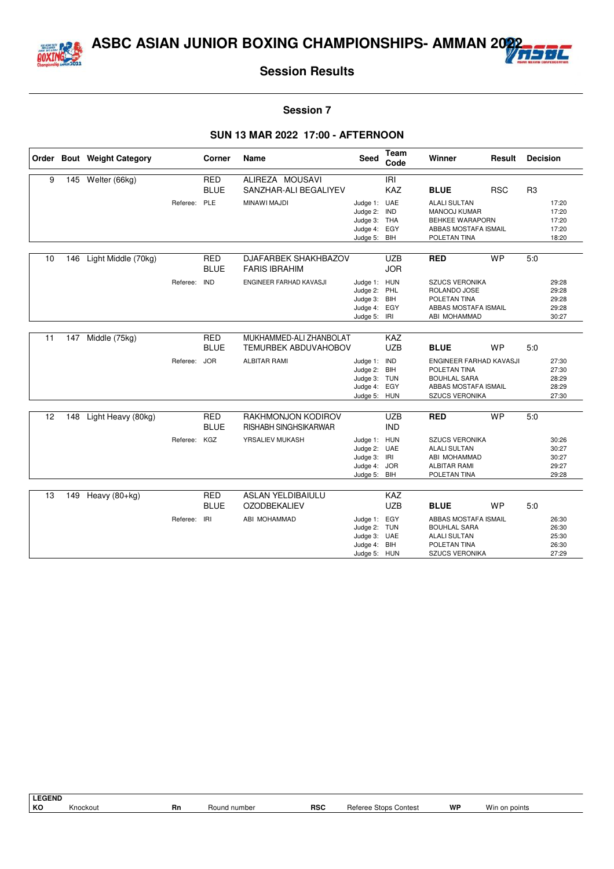



#### **Session 7**

|    |     | Order Bout Weight Category |              | Corner                    | Name                                                   | Seed                                                                         | <b>Team</b><br>Code      | Winner                                                                                                             | Result     | <b>Decision</b> |                                           |
|----|-----|----------------------------|--------------|---------------------------|--------------------------------------------------------|------------------------------------------------------------------------------|--------------------------|--------------------------------------------------------------------------------------------------------------------|------------|-----------------|-------------------------------------------|
| 9  |     | 145 Welter (66kg)          |              | <b>RED</b>                | ALIREZA MOUSAVI                                        |                                                                              | IRI                      |                                                                                                                    |            |                 |                                           |
|    |     |                            |              | <b>BLUE</b>               | SANZHAR-ALI BEGALIYEV                                  |                                                                              | <b>KAZ</b>               | <b>BLUE</b>                                                                                                        | <b>RSC</b> | R <sub>3</sub>  |                                           |
|    |     |                            | Referee:     | PLE                       | MINAWI MAJDI                                           | Judge 1: UAE<br>Judge 2:<br>Judge 3: THA<br>Judge 4: EGY<br>Judge 5: BIH     | IND                      | <b>ALALI SULTAN</b><br><b>MANOOJ KUMAR</b><br>BEHKEE WARAPORN<br>ABBAS MOSTAFA ISMAIL<br>POLETAN TINA              |            |                 | 17:20<br>17:20<br>17:20<br>17:20<br>18:20 |
|    |     |                            |              |                           |                                                        |                                                                              |                          |                                                                                                                    |            |                 |                                           |
| 10 | 146 | Light Middle (70kg)        |              | <b>RED</b><br><b>BLUE</b> | DJAFARBEK SHAKHBAZOV<br><b>FARIS IBRAHIM</b>           |                                                                              | <b>UZB</b><br><b>JOR</b> | <b>RED</b>                                                                                                         | <b>WP</b>  | 5:0             |                                           |
|    |     |                            | Referee:     | <b>IND</b>                | ENGINEER FARHAD KAVASJI                                | Judge 1: HUN<br>Judge 2: PHL<br>Judge 3: BIH<br>Judge 4: EGY<br>Judge 5: IRI |                          | <b>SZUCS VERONIKA</b><br>ROLANDO JOSE<br>POLETAN TINA<br>ABBAS MOSTAFA ISMAIL<br>ABI MOHAMMAD                      |            |                 | 29:28<br>29:28<br>29:28<br>29:28<br>30:27 |
|    |     |                            |              |                           |                                                        |                                                                              |                          |                                                                                                                    |            |                 |                                           |
| 11 | 147 | Middle (75kg)              |              | <b>RED</b><br><b>BLUE</b> | MUKHAMMED-ALI ZHANBOLAT<br><b>TEMURBEK ABDUVAHOBOV</b> |                                                                              | KAZ<br><b>UZB</b>        | <b>BLUE</b>                                                                                                        | <b>WP</b>  | 5.0             |                                           |
|    |     |                            | Referee: JOR |                           | <b>ALBITAR RAMI</b>                                    | Judge 1: IND<br>Judge 2: BIH<br>Judge 3: TUN<br>Judge 4:<br>Judge 5: HUN     | EGY                      | ENGINEER FARHAD KAVASJI<br>POLETAN TINA<br><b>BOUHLAL SARA</b><br>ABBAS MOSTAFA ISMAIL<br>SZUCS VERONIKA           |            |                 | 27:30<br>27:30<br>28:29<br>28:29<br>27:30 |
| 12 | 148 | Light Heavy (80kg)         |              | <b>RED</b>                | RAKHMONJON KODIROV                                     |                                                                              | <b>UZB</b>               | <b>RED</b>                                                                                                         | <b>WP</b>  | 5.0             |                                           |
|    |     |                            |              | <b>BLUE</b>               | <b>RISHABH SINGHSIKARWAR</b>                           |                                                                              | <b>IND</b>               |                                                                                                                    |            |                 |                                           |
|    |     |                            | Referee: KGZ |                           | YRSALIEV MUKASH                                        | Judge 1: HUN<br>Judge 2: UAE<br>Judge 3: IRI<br>Judge 4: JOR<br>Judge 5: BIH |                          | <b>SZUCS VERONIKA</b><br><b>ALALI SULTAN</b><br>ABI MOHAMMAD<br><b>ALBITAR RAMI</b><br>POLETAN TINA                |            |                 | 30:26<br>30:27<br>30:27<br>29:27<br>29:28 |
| 13 | 149 |                            |              | <b>RED</b>                | <b>ASLAN YELDIBAIULU</b>                               |                                                                              | KAZ                      |                                                                                                                    |            |                 |                                           |
|    |     | Heavy $(80+kg)$            |              | <b>BLUE</b>               | <b>OZODBEKALIEV</b>                                    |                                                                              | <b>UZB</b>               | <b>BLUE</b>                                                                                                        | <b>WP</b>  | 5.0             |                                           |
|    |     |                            | Referee:     | IRI                       | ABI MOHAMMAD                                           | Judge 1: EGY<br>Judge 2: TUN<br>Judge 3: UAE<br>Judge 4: BIH<br>Judge 5: HUN |                          | <b>ABBAS MOSTAFA ISMAIL</b><br><b>BOUHLAL SARA</b><br><b>ALALI SULTAN</b><br>POLETAN TINA<br><b>SZUCS VERONIKA</b> |            |                 | 26:30<br>26:30<br>25:30<br>26:30<br>27:29 |

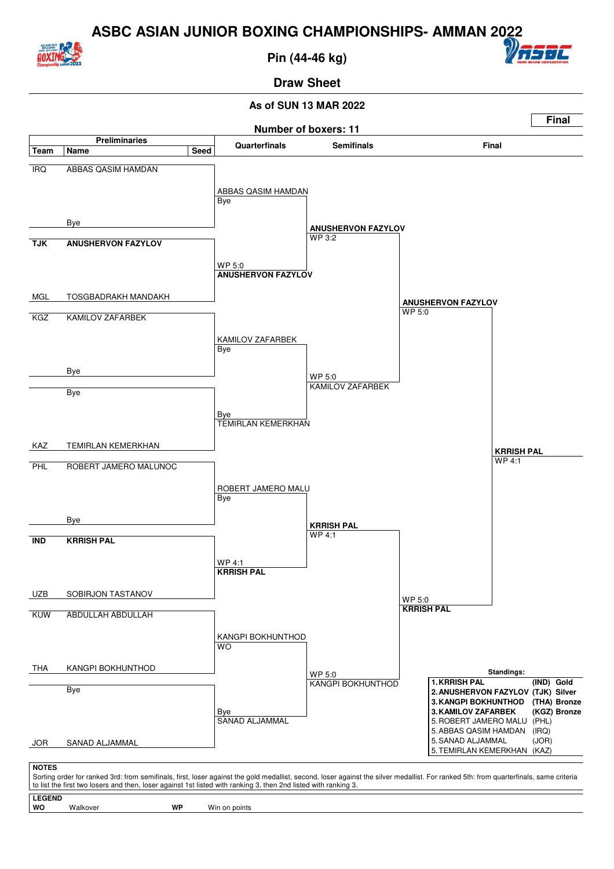

**Pin (44-46 kg)**



**Draw Sheet**

#### **As of SUN 13 MAR 2022**



Walkover **WP** Win on points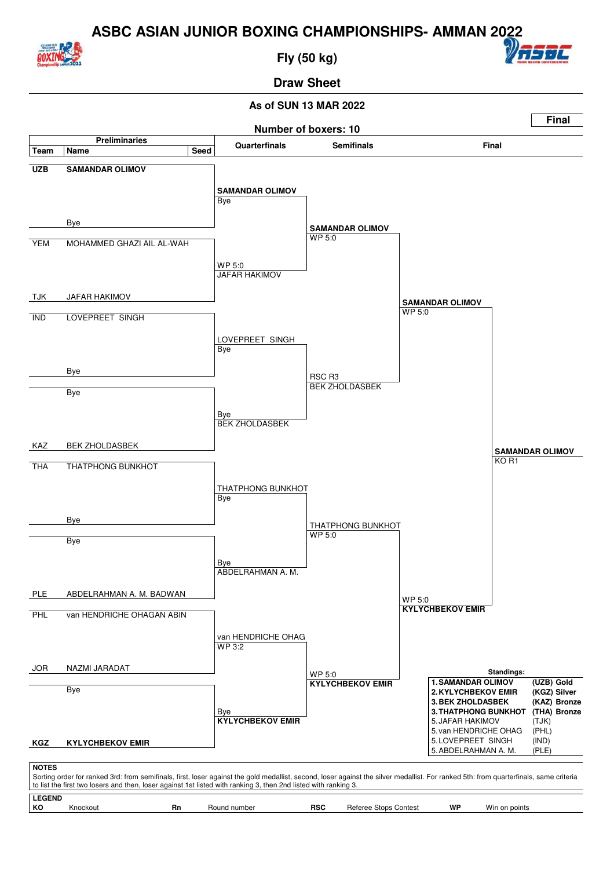

**Fly (50 kg)**



#### **Draw Sheet**

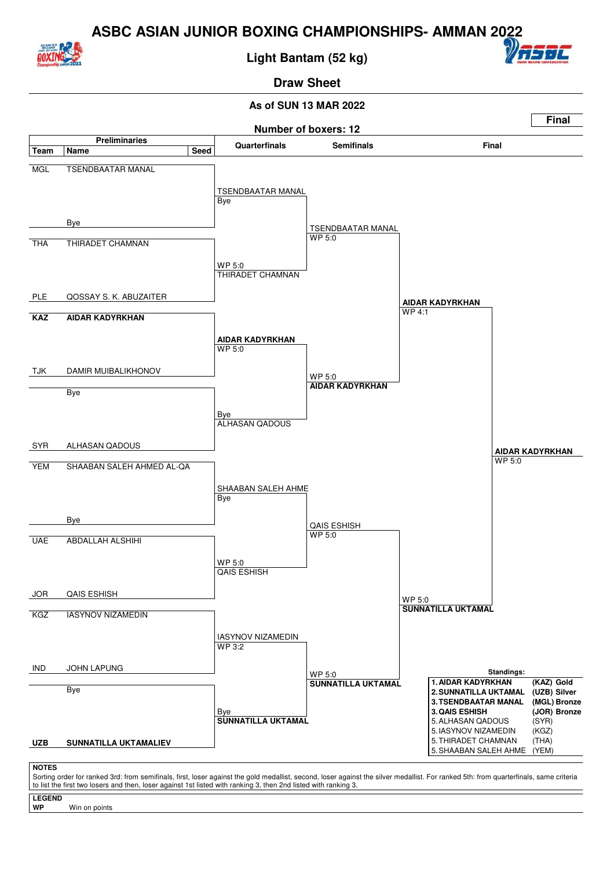

**Light Bantam (52 kg)**



### **Draw Sheet**

#### **As of SUN 13 MAR 2022**



Sorting order for ranked 3rd: from semifinals, first, loser against the gold medallist, second, loser against the silver medallist. For ranked 5th: from quarterfinals, same criteria to list the first two losers and then, loser against 1st listed with ranking 3, then 2nd listed with ranking 3.

**LEGEND**

Win on points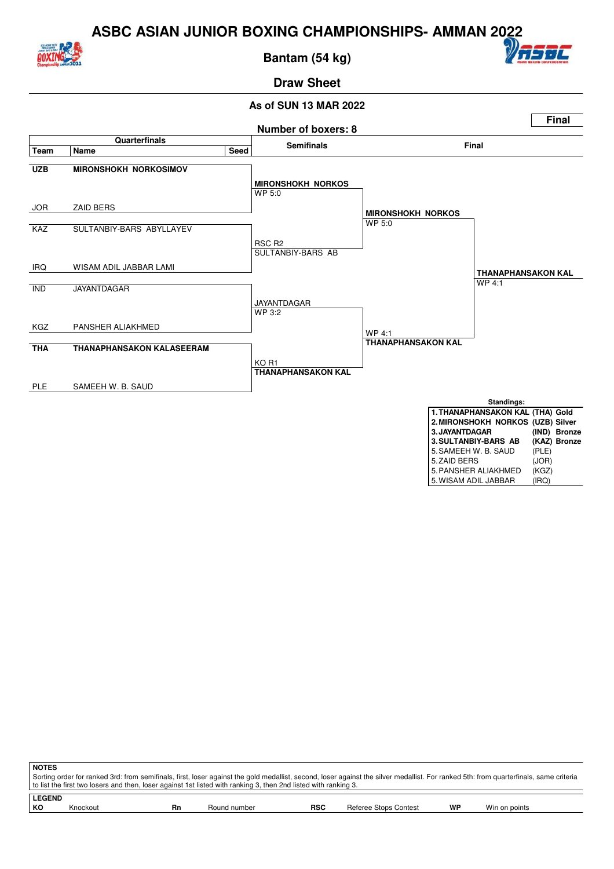

**Bantam (54 kg)**



# **Draw Sheet**



| 0. SAMEEH W. B. SAUL | (PLE) |
|----------------------|-------|
| 5. ZAID BERS         | (JOR) |
| 5. PANSHER ALIAKHMED | (KGZ) |
| 5. WISAM ADIL JABBAR | (IRQ) |

| <b>NOTES</b> |                                                                                                                                                                                                                                                                                                          |    |              |            |                       |    |               |  |  |  |
|--------------|----------------------------------------------------------------------------------------------------------------------------------------------------------------------------------------------------------------------------------------------------------------------------------------------------------|----|--------------|------------|-----------------------|----|---------------|--|--|--|
|              | Sorting order for ranked 3rd: from semifinals, first, loser against the gold medallist, second, loser against the silver medallist. For ranked 5th: from quarterfinals, same criteria<br>to list the first two losers and then, loser against 1st listed with ranking 3, then 2nd listed with ranking 3. |    |              |            |                       |    |               |  |  |  |
|              | <b>LEGEND</b>                                                                                                                                                                                                                                                                                            |    |              |            |                       |    |               |  |  |  |
| КO           | Knockout                                                                                                                                                                                                                                                                                                 | Rn | Round number | <b>RSC</b> | Referee Stops Contest | WP | Win on points |  |  |  |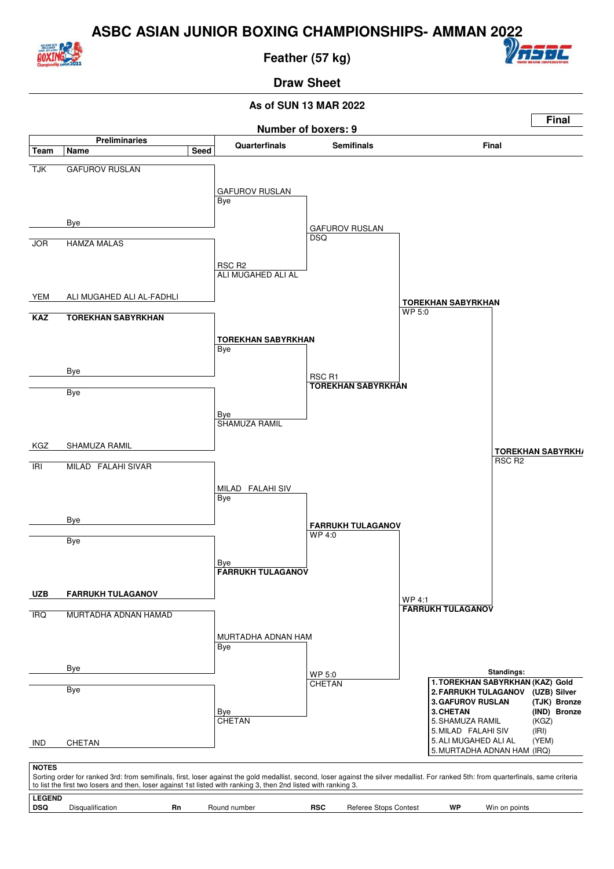

**Feather (57 kg)**



**Draw Sheet**

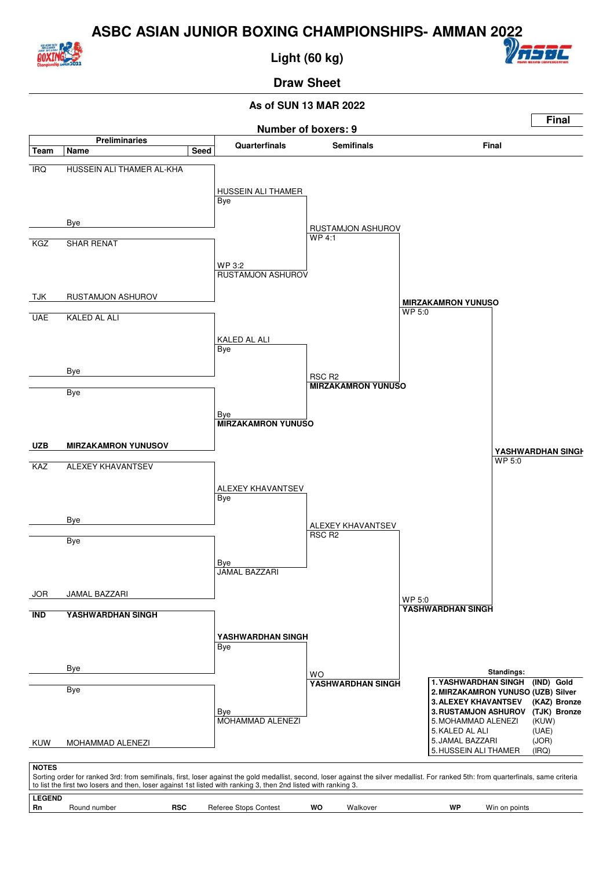

**Light (60 kg)**



# **Draw Sheet**

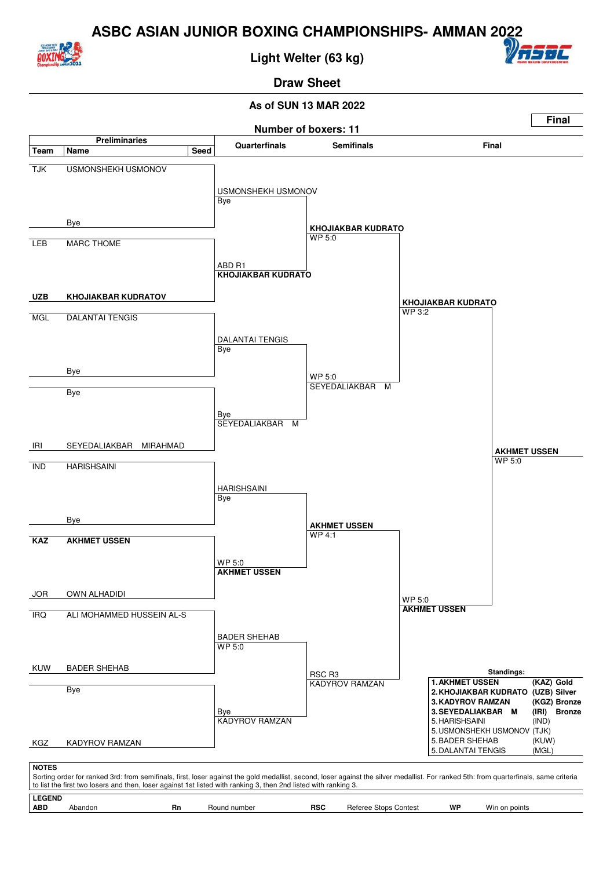

**Light Welter (63 kg)**



#### **Draw Sheet**

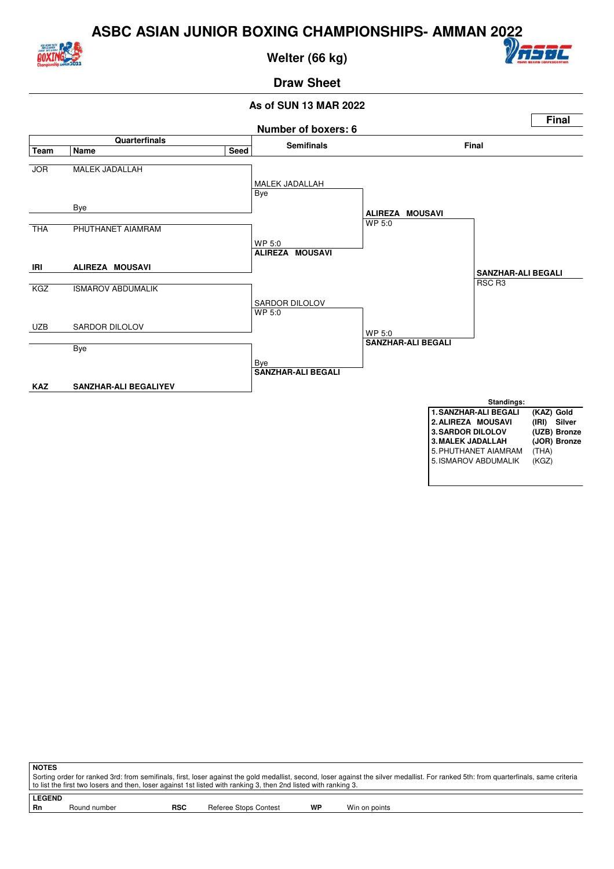

**Welter (66 kg)**



## **Draw Sheet**

#### **As of SUN 13 MAR 2022**



**NOTES** Sorting order for ranked 3rd: from semifinals, first, loser against the gold medallist, second, loser against the silver medallist. For ranked 5th: from quarterfinals, same criteria to list the first two losers and then, loser against 1st listed with ranking 3, then 2nd listed with ranking 3.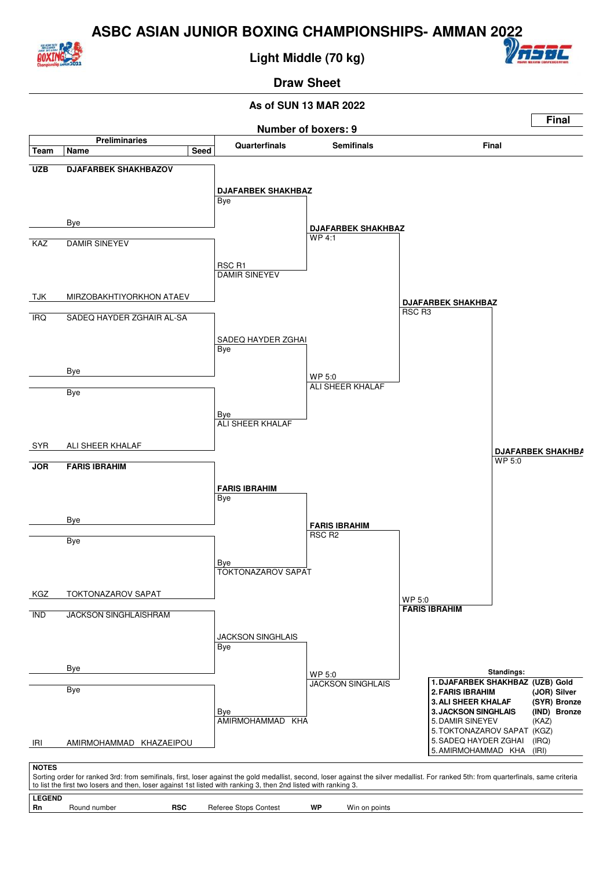

**Light Middle (70 kg)**



### **Draw Sheet**

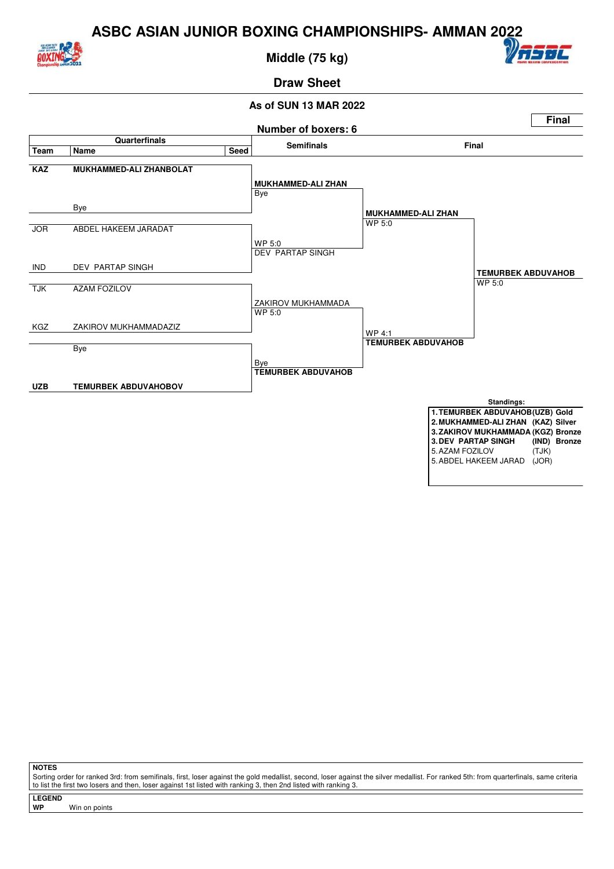

**Middle (75 kg)**



### **Draw Sheet**

#### **As of SUN 13 MAR 2022**



**NOTES**

Sorting order for ranked 3rd: from semifinals, first, loser against the gold medallist, second, loser against the silver medallist. For ranked 5th: from quarterfinals, same criteria to list the first two losers and then, loser against 1st listed with ranking 3, then 2nd listed with ranking 3.

**LEGEND**

**Win on points**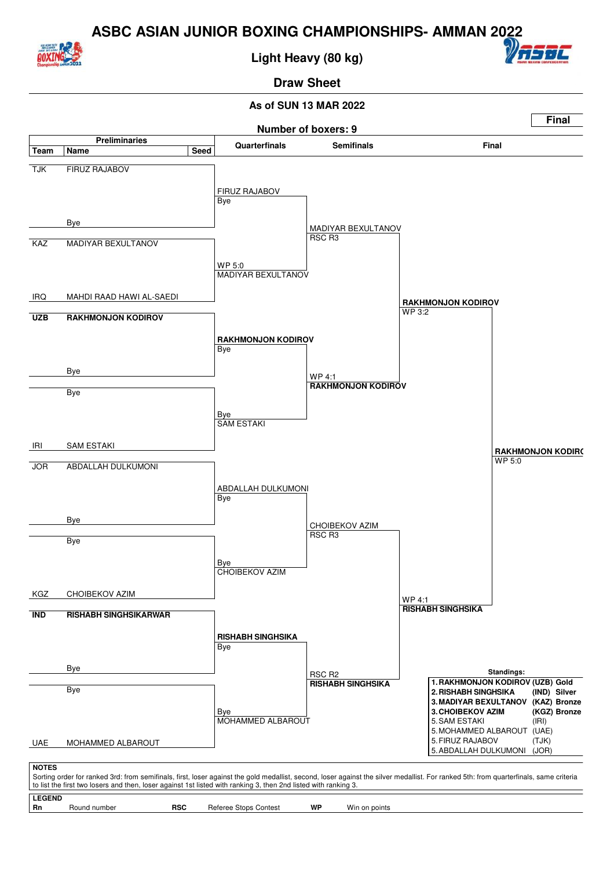

**Light Heavy (80 kg)**



### **Draw Sheet**

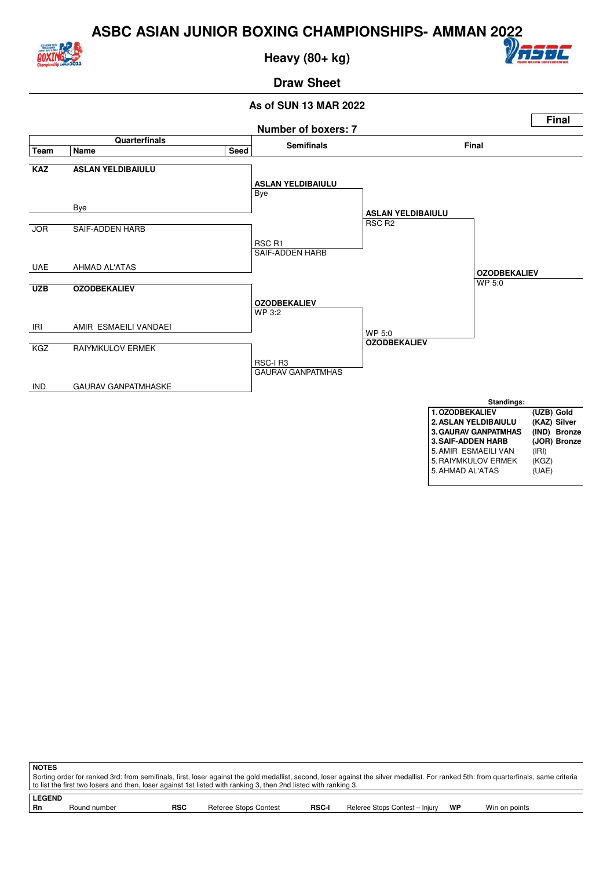

**Heavy (80+ kg)**



## **Draw Sheet**



| <b>NOTES</b>                                                                                                                                                                          |              |            |                       |              |                                |    |               |  |  |
|---------------------------------------------------------------------------------------------------------------------------------------------------------------------------------------|--------------|------------|-----------------------|--------------|--------------------------------|----|---------------|--|--|
| Sorting order for ranked 3rd: from semifinals, first, loser against the gold medallist, second, loser against the silver medallist. For ranked 5th: from quarterfinals, same criteria |              |            |                       |              |                                |    |               |  |  |
| to list the first two losers and then, loser against 1st listed with ranking 3, then 2nd listed with ranking 3.                                                                       |              |            |                       |              |                                |    |               |  |  |
|                                                                                                                                                                                       |              |            |                       |              |                                |    |               |  |  |
| <b>LEGEND</b>                                                                                                                                                                         |              |            |                       |              |                                |    |               |  |  |
| Rn                                                                                                                                                                                    | Round number | <b>RSC</b> | Referee Stops Contest | <b>RSC-I</b> | Referee Stops Contest - Injury | WP | Win on points |  |  |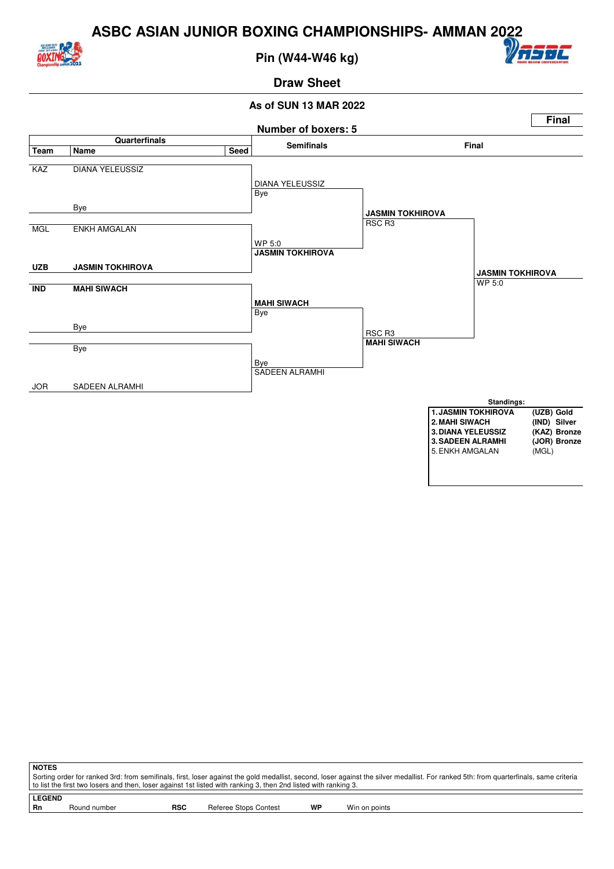

**Pin (W44-W46 kg)**



#### **Draw Sheet**



| NOTES                                                                                                                                                                                 |              |            |                       |    |               |  |  |  |  |
|---------------------------------------------------------------------------------------------------------------------------------------------------------------------------------------|--------------|------------|-----------------------|----|---------------|--|--|--|--|
| Sorting order for ranked 3rd: from semifinals, first, loser against the gold medallist, second, loser against the silver medallist. For ranked 5th: from quarterfinals, same criteria |              |            |                       |    |               |  |  |  |  |
| to list the first two losers and then, loser against 1st listed with ranking 3, then 2nd listed with ranking 3.                                                                       |              |            |                       |    |               |  |  |  |  |
|                                                                                                                                                                                       |              |            |                       |    |               |  |  |  |  |
| <b>LEGEND</b>                                                                                                                                                                         |              |            |                       |    |               |  |  |  |  |
| Rn                                                                                                                                                                                    | Round number | <b>RSC</b> | Referee Stops Contest | WP | Win on points |  |  |  |  |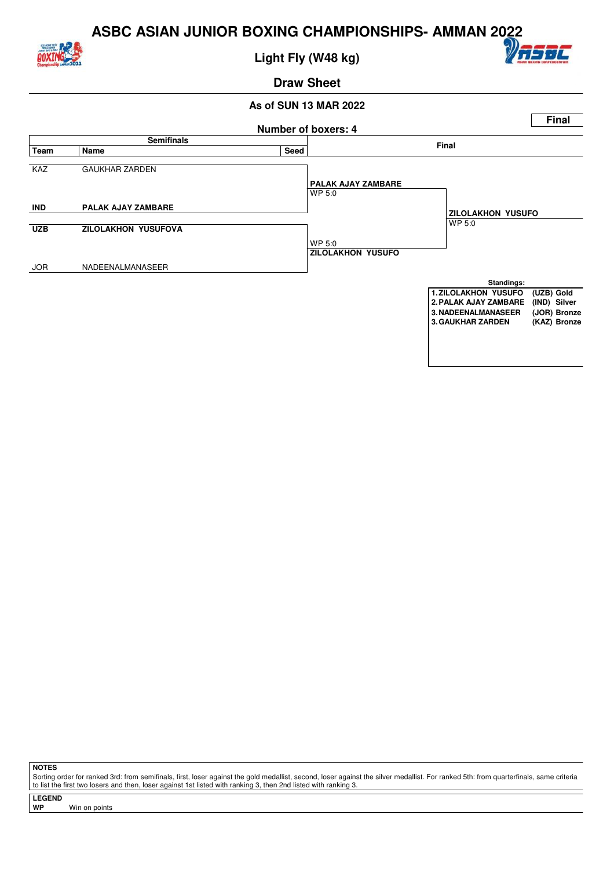

**Light Fly (W48 kg)**



**Draw Sheet**

#### **As of SUN 13 MAR 2022**



**NOTES**

Sorting order for ranked 3rd: from semifinals, first, loser against the gold medallist, second, loser against the silver medallist. For ranked 5th: from quarterfinals, same criteria to list the first two losers and then, loser against 1st listed with ranking 3, then 2nd listed with ranking 3.

**LEGEND**

**Win on points**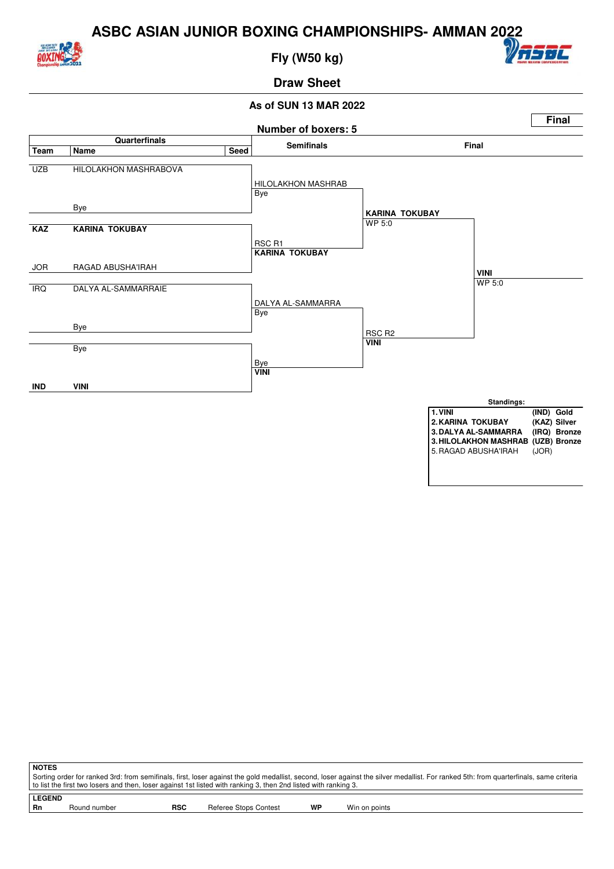

**Fly (W50 kg)**



## **Draw Sheet**



| <b>NOTES</b>  |                                                                                                                                                                                       |            |                       |    |               |  |  |  |  |  |
|---------------|---------------------------------------------------------------------------------------------------------------------------------------------------------------------------------------|------------|-----------------------|----|---------------|--|--|--|--|--|
|               | Sorting order for ranked 3rd: from semifinals, first, loser against the gold medallist, second, loser against the silver medallist. For ranked 5th: from quarterfinals, same criteria |            |                       |    |               |  |  |  |  |  |
|               | to list the first two losers and then, loser against 1st listed with ranking 3, then 2nd listed with ranking 3.                                                                       |            |                       |    |               |  |  |  |  |  |
| <b>LEGEND</b> |                                                                                                                                                                                       |            |                       |    |               |  |  |  |  |  |
|               |                                                                                                                                                                                       |            |                       |    |               |  |  |  |  |  |
| - Rn          | Round number                                                                                                                                                                          | <b>RSC</b> | Referee Stops Contest | WP | Win on points |  |  |  |  |  |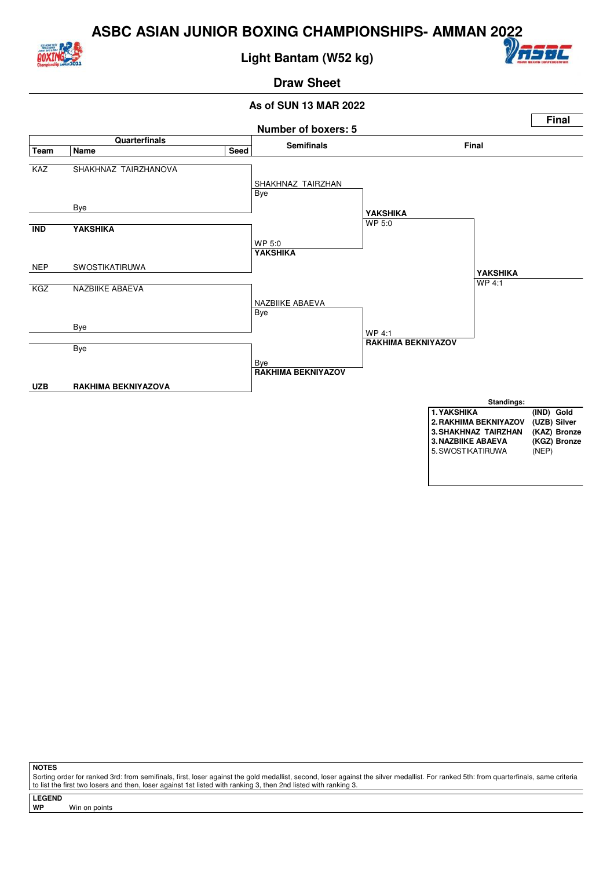

#### **Light Bantam (W52 kg)**



# **Draw Sheet**

#### **As of SUN 13 MAR 2022**



**NOTES**

Sorting order for ranked 3rd: from semifinals, first, loser against the gold medallist, second, loser against the silver medallist. For ranked 5th: from quarterfinals, same criteria to list the first two losers and then, loser against 1st listed with ranking 3, then 2nd listed with ranking 3.

**LEGEND**

**Win on points**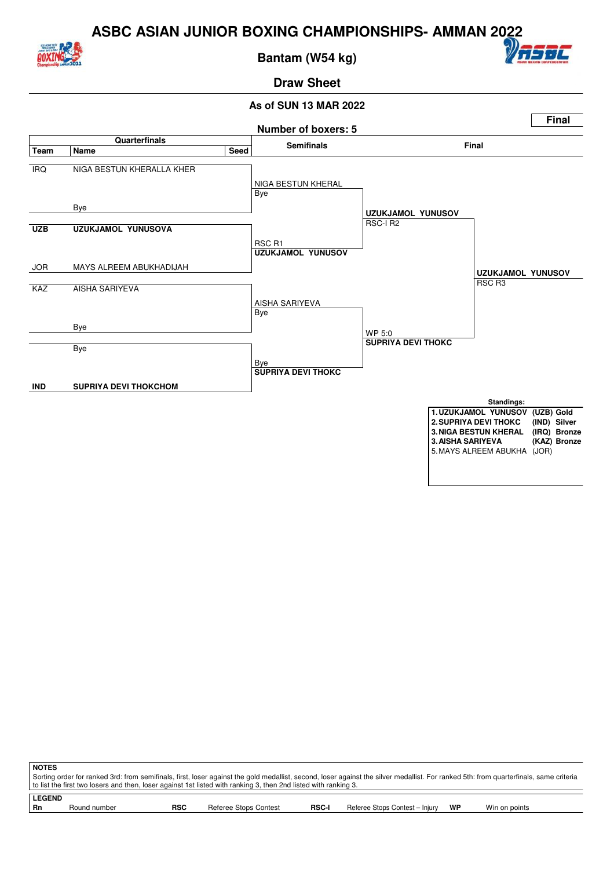

**Bantam (W54 kg)**



## **Draw Sheet**



| <b>NOTES</b> |                                                                                                                                                                                                                                                                                                          |            |                       |              |                                |    |               |  |  |
|--------------|----------------------------------------------------------------------------------------------------------------------------------------------------------------------------------------------------------------------------------------------------------------------------------------------------------|------------|-----------------------|--------------|--------------------------------|----|---------------|--|--|
|              | Sorting order for ranked 3rd: from semifinals, first, loser against the gold medallist, second, loser against the silver medallist. For ranked 5th: from quarterfinals, same criteria<br>to list the first two losers and then, loser against 1st listed with ranking 3, then 2nd listed with ranking 3. |            |                       |              |                                |    |               |  |  |
|              | <b>LEGEND</b>                                                                                                                                                                                                                                                                                            |            |                       |              |                                |    |               |  |  |
| Rn           | Round number                                                                                                                                                                                                                                                                                             | <b>RSC</b> | Referee Stops Contest | <b>RSC-I</b> | Referee Stops Contest - Injury | WP | Win on points |  |  |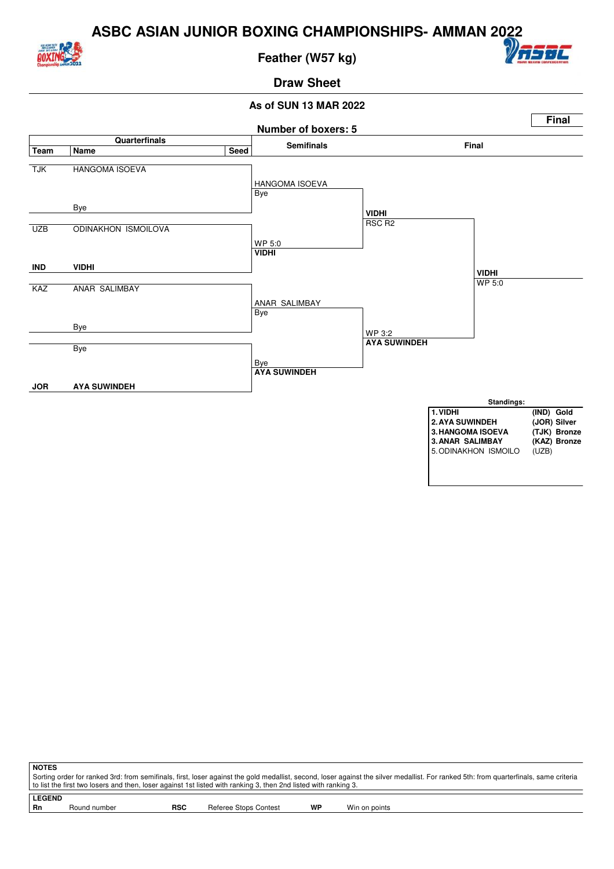

**Feather (W57 kg)**



#### **Draw Sheet**



| I NOTES                                                                                                                                                                               |  |            |                       |    |               |  |  |  |  |
|---------------------------------------------------------------------------------------------------------------------------------------------------------------------------------------|--|------------|-----------------------|----|---------------|--|--|--|--|
| Sorting order for ranked 3rd: from semifinals, first, loser against the gold medallist, second, loser against the silver medallist. For ranked 5th: from quarterfinals, same criteria |  |            |                       |    |               |  |  |  |  |
| to list the first two losers and then, loser against 1st listed with ranking 3, then 2nd listed with ranking 3.                                                                       |  |            |                       |    |               |  |  |  |  |
|                                                                                                                                                                                       |  |            |                       |    |               |  |  |  |  |
| <b>LEGEND</b>                                                                                                                                                                         |  |            |                       |    |               |  |  |  |  |
| Round number<br>- Rn                                                                                                                                                                  |  | <b>RSC</b> | Referee Stops Contest | WP | Win on points |  |  |  |  |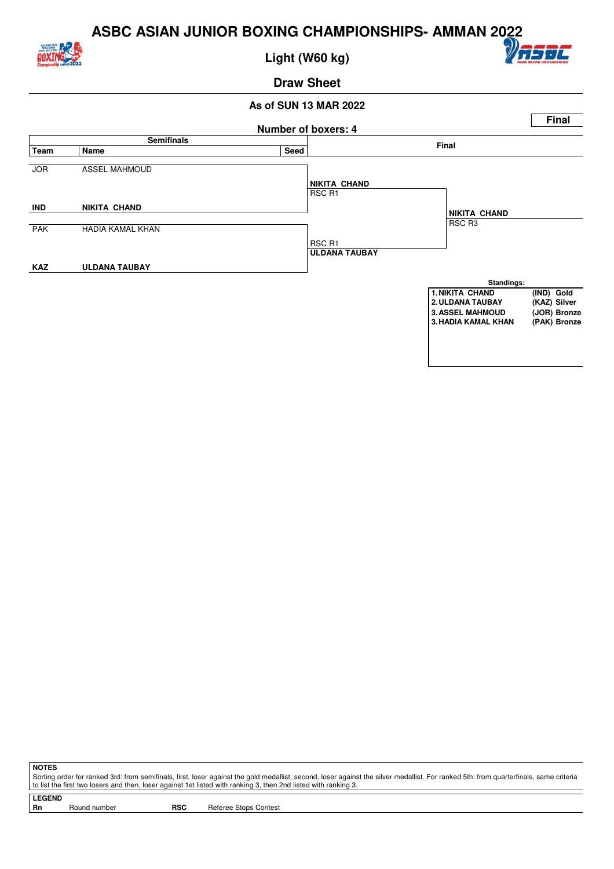

**Light (W60 kg)**



**Draw Sheet**

#### **As of SUN 13 MAR 2022**



**NOTES**

Sorting order for ranked 3rd: from semifinals, first, loser against the gold medallist, second, loser against the silver medallist. For ranked 5th: from quarterfinals, same criteria to list the first two losers and then, loser against 1st listed with ranking 3, then 2nd listed with ranking 3.

**LEGEND**

Round number **RSC** Referee Stops Contest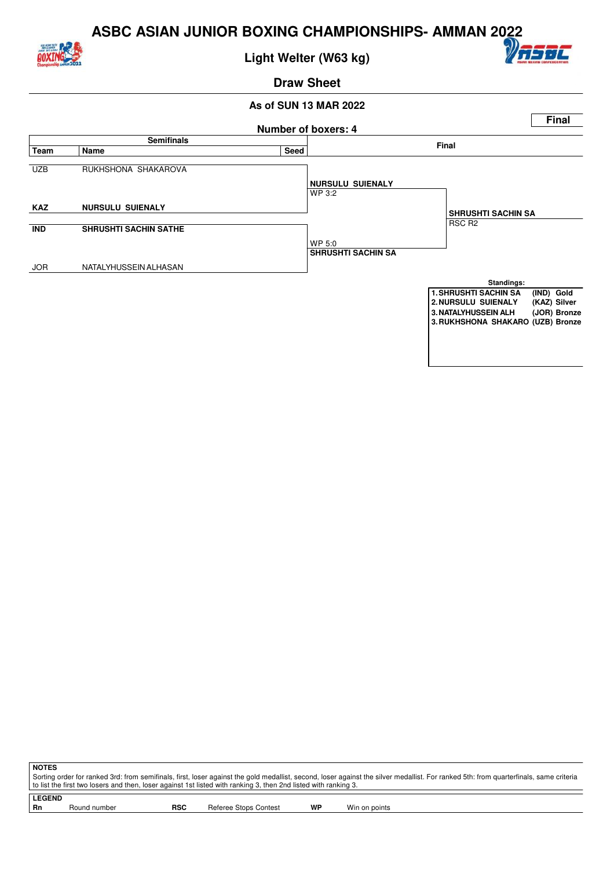

**Light Welter (W63 kg)**



**Draw Sheet**

#### **As of SUN 13 MAR 2022**



**NOTES** Sorting order for ranked 3rd: from semifinals, first, loser against the gold medallist, second, loser against the silver medallist. For ranked 5th: from quarterfinals, same criteria to list the first two losers and then, loser against 1st listed with ranking 3, then 2nd listed with ranking 3.

**LEGEND** Round number **RSC** Referee Stops Contest **WP** Win on points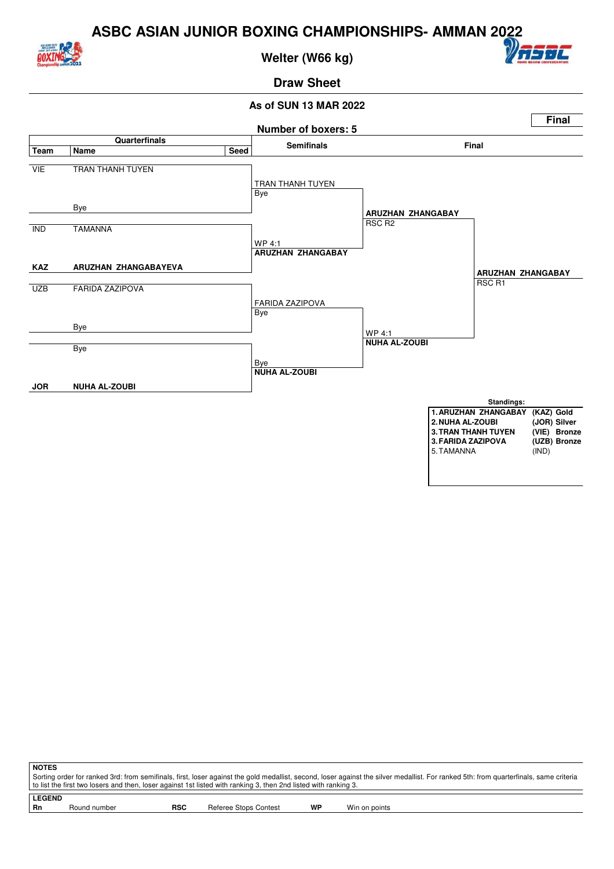

**Welter (W66 kg)**



### **Draw Sheet**



| <b>NOTES</b>                                                                                                                                                                          |            |                       |    |               |  |  |  |  |  |
|---------------------------------------------------------------------------------------------------------------------------------------------------------------------------------------|------------|-----------------------|----|---------------|--|--|--|--|--|
| Sorting order for ranked 3rd: from semifinals, first, loser against the gold medallist, second, loser against the silver medallist. For ranked 5th: from quarterfinals, same criteria |            |                       |    |               |  |  |  |  |  |
| to list the first two losers and then, loser against 1st listed with ranking 3, then 2nd listed with ranking 3.                                                                       |            |                       |    |               |  |  |  |  |  |
|                                                                                                                                                                                       |            |                       |    |               |  |  |  |  |  |
| <b>LEGEND</b>                                                                                                                                                                         |            |                       |    |               |  |  |  |  |  |
| Round number<br>- Rn                                                                                                                                                                  | <b>RSC</b> | Referee Stops Contest | WP | Win on points |  |  |  |  |  |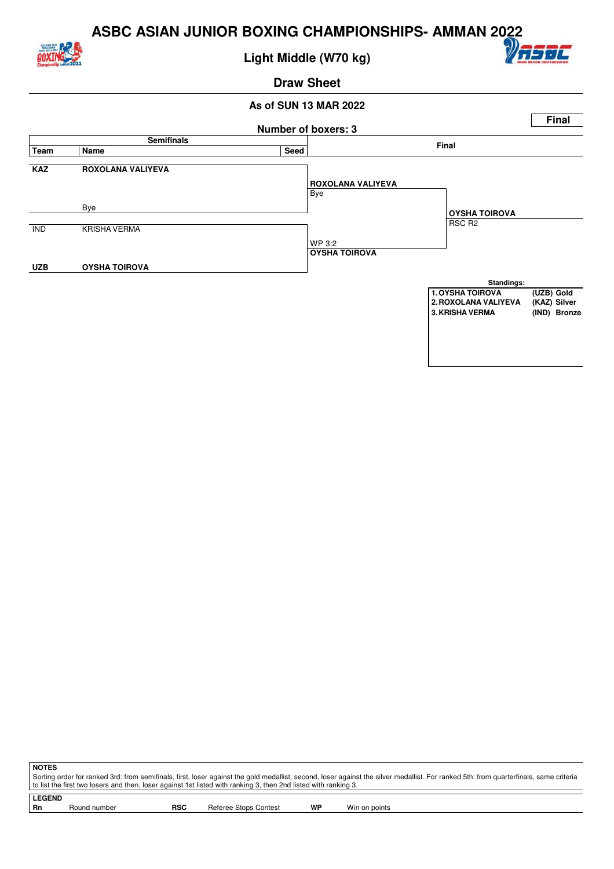

**Light Middle (W70 kg)**



**Draw Sheet**

#### **As of SUN 13 MAR 2022**



**NOTES** Sorting order for ranked 3rd: from semifinals, first, loser against the gold medallist, second, loser against the silver medallist. For ranked 5th: from quarterfinals, same criteria to list the first two losers and then, loser against 1st listed with ranking 3, then 2nd listed with ranking 3.

**LEGEND** Round number **RSC** Referee Stops Contest **WP** Win on points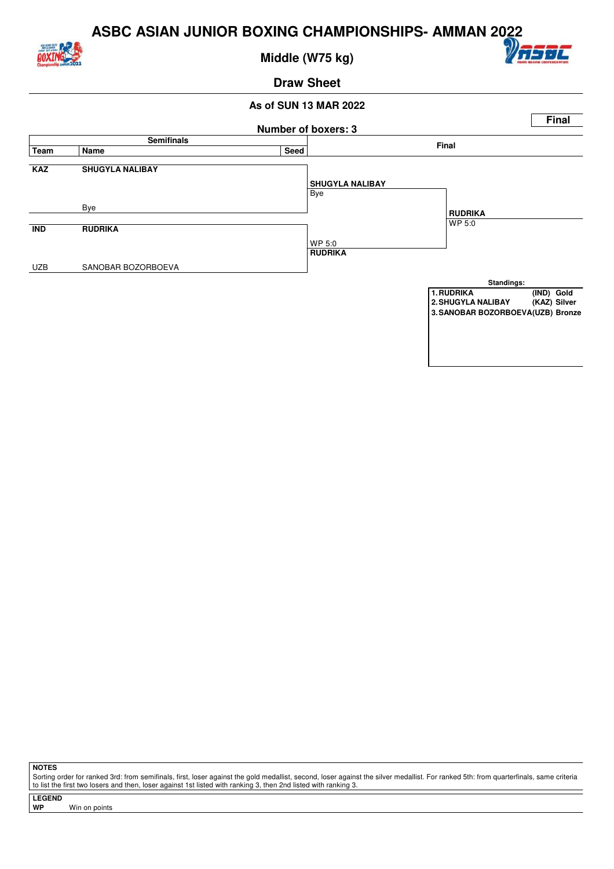

**Middle (W75 kg)**



#### **Draw Sheet**

#### **As of SUN 13 MAR 2022**



**NOTES**

Sorting order for ranked 3rd: from semifinals, first, loser against the gold medallist, second, loser against the silver medallist. For ranked 5th: from quarterfinals, same criteria to list the first two losers and then, loser against 1st listed with ranking 3, then 2nd listed with ranking 3.

**LEGEND**

**Win on points**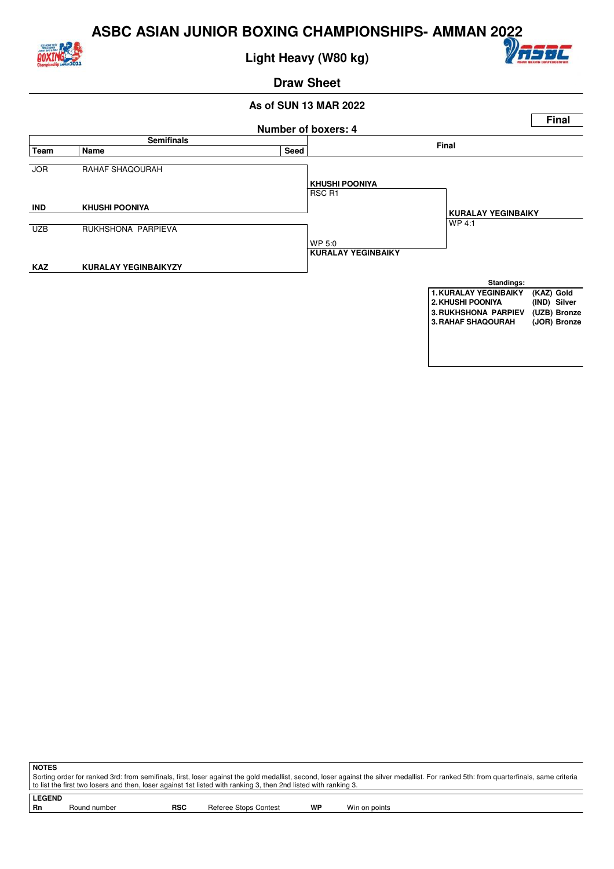

**Light Heavy (W80 kg)**



**Draw Sheet**

#### **As of SUN 13 MAR 2022**



**NOTES** Sorting order for ranked 3rd: from semifinals, first, loser against the gold medallist, second, loser against the silver medallist. For ranked 5th: from quarterfinals, same criteria to list the first two losers and then, loser against 1st listed with ranking 3, then 2nd listed with ranking 3.

**LEGEND** Round number **RSC** Referee Stops Contest **WP** Win on points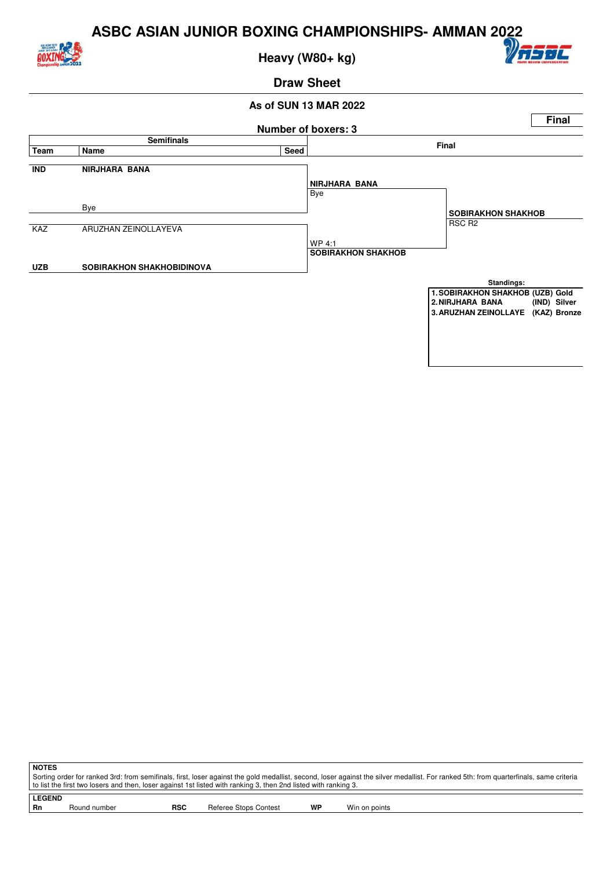

**Heavy (W80+ kg)**



**Draw Sheet**

#### **As of SUN 13 MAR 2022**



**NOTES** Sorting order for ranked 3rd: from semifinals, first, loser against the gold medallist, second, loser against the silver medallist. For ranked 5th: from quarterfinals, same criteria to list the first two losers and then, loser against 1st listed with ranking 3, then 2nd listed with ranking 3.

**LEGEND** Round number **RSC** Referee Stops Contest **WP** Win on points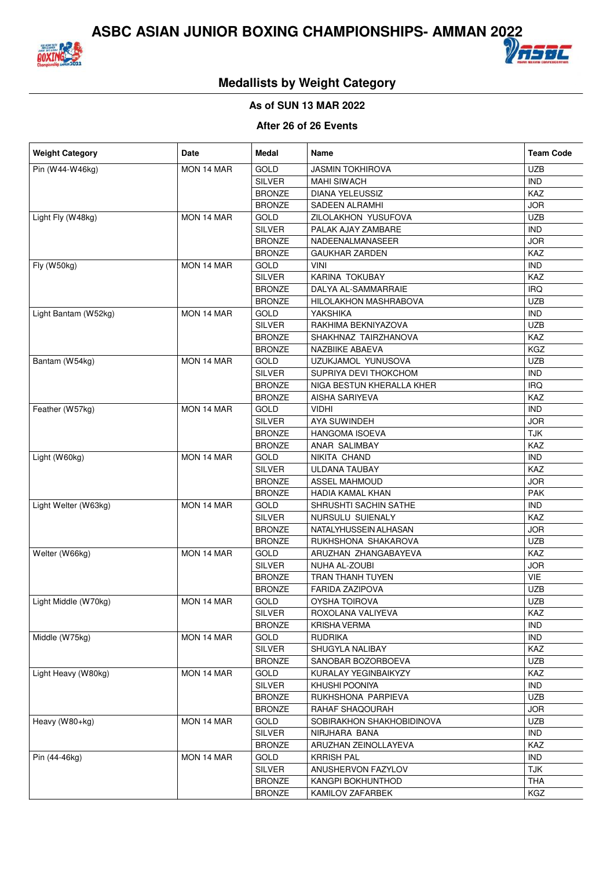



## **Medallists by Weight Category**

#### **As of SUN 13 MAR 2022**

#### **After 26 of 26 Events**

| <b>Weight Category</b> | Date       | <b>Medal</b>  | Name                      | <b>Team Code</b> |
|------------------------|------------|---------------|---------------------------|------------------|
| Pin (W44-W46kg)        | MON 14 MAR | <b>GOLD</b>   | <b>JASMIN TOKHIROVA</b>   | <b>UZB</b>       |
|                        |            | <b>SILVER</b> | <b>MAHI SIWACH</b>        | <b>IND</b>       |
|                        |            | <b>BRONZE</b> | <b>DIANA YELEUSSIZ</b>    | <b>KAZ</b>       |
|                        |            | <b>BRONZE</b> | SADEEN ALRAMHI            | <b>JOR</b>       |
| Light Fly (W48kg)      | MON 14 MAR | GOLD          | ZILOLAKHON YUSUFOVA       | <b>UZB</b>       |
|                        |            | <b>SILVER</b> | PALAK AJAY ZAMBARE        | <b>IND</b>       |
|                        |            | <b>BRONZE</b> | NADEENALMANASEER          | <b>JOR</b>       |
|                        |            | <b>BRONZE</b> | <b>GAUKHAR ZARDEN</b>     | KAZ              |
| Fly (W50kg)            | MON 14 MAR | <b>GOLD</b>   | <b>VINI</b>               | <b>IND</b>       |
|                        |            | <b>SILVER</b> | KARINA TOKUBAY            | KAZ              |
|                        |            | <b>BRONZE</b> | DALYA AL-SAMMARRAIE       | <b>IRQ</b>       |
|                        |            | <b>BRONZE</b> | HILOLAKHON MASHRABOVA     | <b>UZB</b>       |
| Light Bantam (W52kg)   | MON 14 MAR | GOLD          | YAKSHIKA                  | <b>IND</b>       |
|                        |            | <b>SILVER</b> | RAKHIMA BEKNIYAZOVA       | <b>UZB</b>       |
|                        |            | <b>BRONZE</b> | SHAKHNAZ TAIRZHANOVA      | KAZ              |
|                        |            | <b>BRONZE</b> | <b>NAZBIIKE ABAEVA</b>    | KGZ              |
| Bantam (W54kg)         | MON 14 MAR | GOLD          | UZUKJAMOL YUNUSOVA        | <b>UZB</b>       |
|                        |            | <b>SILVER</b> | SUPRIYA DEVI THOKCHOM     | <b>IND</b>       |
|                        |            | <b>BRONZE</b> | NIGA BESTUN KHERALLA KHER | <b>IRQ</b>       |
|                        |            | <b>BRONZE</b> | <b>AISHA SARIYEVA</b>     | KAZ              |
| Feather (W57kg)        | MON 14 MAR | GOLD          | VIDHI                     | <b>IND</b>       |
|                        |            | <b>SILVER</b> | <b>AYA SUWINDEH</b>       | <b>JOR</b>       |
|                        |            | <b>BRONZE</b> | <b>HANGOMA ISOEVA</b>     | <b>TJK</b>       |
|                        |            | <b>BRONZE</b> | ANAR SALIMBAY             | KAZ              |
| Light (W60kg)          | MON 14 MAR | GOLD          | NIKITA CHAND              | <b>IND</b>       |
|                        |            | <b>SILVER</b> | <b>ULDANA TAUBAY</b>      | KAZ              |
|                        |            | <b>BRONZE</b> | <b>ASSEL MAHMOUD</b>      | <b>JOR</b>       |
|                        |            | <b>BRONZE</b> | HADIA KAMAL KHAN          | PAK              |
| Light Welter (W63kg)   | MON 14 MAR | GOLD          | SHRUSHTI SACHIN SATHE     | <b>IND</b>       |
|                        |            | <b>SILVER</b> | NURSULU SUIENALY          | KAZ              |
|                        |            | <b>BRONZE</b> | NATALYHUSSEIN ALHASAN     | <b>JOR</b>       |
|                        |            | <b>BRONZE</b> | RUKHSHONA SHAKAROVA       | <b>UZB</b>       |
| Welter (W66kg)         | MON 14 MAR | GOLD          | ARUZHAN ZHANGABAYEVA      | KAZ              |
|                        |            | <b>SILVER</b> | NUHA AL-ZOUBI             | <b>JOR</b>       |
|                        |            | <b>BRONZE</b> | TRAN THANH TUYEN          | VIE              |
|                        |            | <b>BRONZE</b> | <b>FARIDA ZAZIPOVA</b>    | <b>UZB</b>       |
| Light Middle (W70kg)   | MON 14 MAR | <b>GOLD</b>   | <b>OYSHA TOIROVA</b>      | <b>UZB</b>       |
|                        |            | SILVER        | ROXOLANA VALIYEVA         | KAZ              |
|                        |            | <b>BRONZE</b> | <b>KRISHA VERMA</b>       | <b>IND</b>       |
| Middle (W75kg)         | MON 14 MAR | GOLD          | <b>RUDRIKA</b>            | <b>IND</b>       |
|                        |            | SILVER        | SHUGYLA NALIBAY           | KAZ              |
|                        |            | <b>BRONZE</b> | SANOBAR BOZORBOEVA        | <b>UZB</b>       |
| Light Heavy (W80kg)    | MON 14 MAR | GOLD          | KURALAY YEGINBAIKYZY      | KAZ              |
|                        |            | <b>SILVER</b> | KHUSHI POONIYA            | <b>IND</b>       |
|                        |            | <b>BRONZE</b> | RUKHSHONA PARPIEVA        | <b>UZB</b>       |
|                        |            | <b>BRONZE</b> | RAHAF SHAQOURAH           | <b>JOR</b>       |
| Heavy (W80+kg)         | MON 14 MAR | <b>GOLD</b>   | SOBIRAKHON SHAKHOBIDINOVA | <b>UZB</b>       |
|                        |            | SILVER        | NIRJHARA BANA             | <b>IND</b>       |
|                        |            | <b>BRONZE</b> | ARUZHAN ZEINOLLAYEVA      | KAZ              |
| Pin (44-46kg)          | MON 14 MAR | <b>GOLD</b>   | <b>KRRISH PAL</b>         | <b>IND</b>       |
|                        |            | SILVER        | ANUSHERVON FAZYLOV        | <b>TJK</b>       |
|                        |            | <b>BRONZE</b> | KANGPI BOKHUNTHOD         | <b>THA</b>       |
|                        |            | <b>BRONZE</b> | KAMILOV ZAFARBEK          | <b>KGZ</b>       |
|                        |            |               |                           |                  |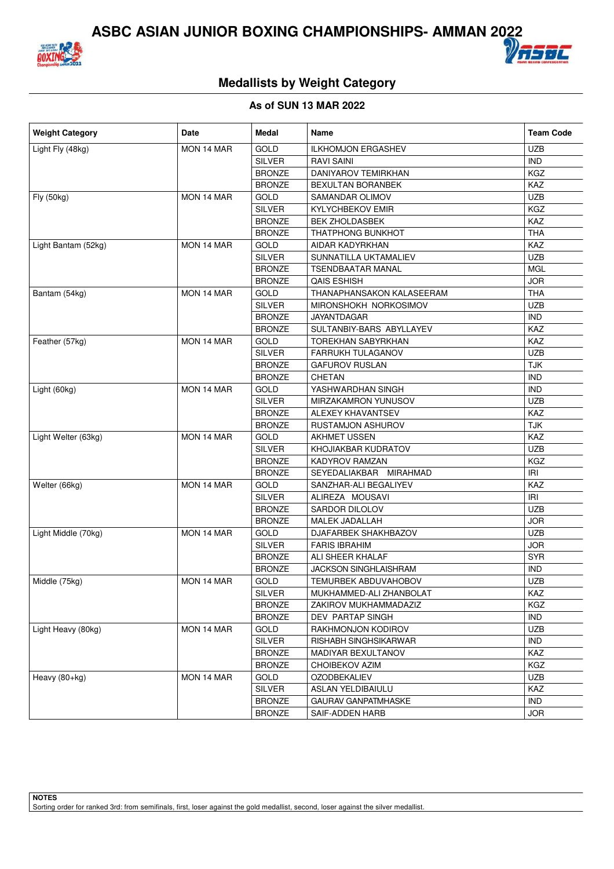



## **Medallists by Weight Category**

#### **As of SUN 13 MAR 2022**

| <b>Weight Category</b> | <b>Date</b> | Medal         | Name                         | <b>Team Code</b> |
|------------------------|-------------|---------------|------------------------------|------------------|
| Light Fly (48kg)       | MON 14 MAR  | <b>GOLD</b>   | <b>ILKHOMJON ERGASHEV</b>    | <b>UZB</b>       |
|                        |             | <b>SILVER</b> | <b>RAVI SAINI</b>            | <b>IND</b>       |
|                        |             | <b>BRONZE</b> | DANIYAROV TEMIRKHAN          | <b>KGZ</b>       |
|                        |             | <b>BRONZE</b> | BEXULTAN BORANBEK            | KAZ              |
| Fly (50kg)             | MON 14 MAR  | GOLD          | SAMANDAR OLIMOV              | <b>UZB</b>       |
|                        |             | <b>SILVER</b> | <b>KYLYCHBEKOV EMIR</b>      | <b>KGZ</b>       |
|                        |             | <b>BRONZE</b> | <b>BEK ZHOLDASBEK</b>        | KAZ              |
|                        |             | <b>BRONZE</b> | <b>THATPHONG BUNKHOT</b>     | <b>THA</b>       |
| Light Bantam (52kg)    | MON 14 MAR  | <b>GOLD</b>   | AIDAR KADYRKHAN              | KAZ              |
|                        |             | <b>SILVER</b> | SUNNATILLA UKTAMALIEV        | <b>UZB</b>       |
|                        |             | <b>BRONZE</b> | <b>TSENDBAATAR MANAL</b>     | MGL              |
|                        |             | <b>BRONZE</b> | <b>QAIS ESHISH</b>           | <b>JOR</b>       |
| Bantam (54kg)          | MON 14 MAR  | GOLD          | THANAPHANSAKON KALASEERAM    | <b>THA</b>       |
|                        |             | <b>SILVER</b> | MIRONSHOKH NORKOSIMOV        | <b>UZB</b>       |
|                        |             | <b>BRONZE</b> | <b>JAYANTDAGAR</b>           | <b>IND</b>       |
|                        |             | <b>BRONZE</b> | SULTANBIY-BARS ABYLLAYEV     | KAZ              |
| Feather (57kg)         | MON 14 MAR  | GOLD          | TOREKHAN SABYRKHAN           | KAZ              |
|                        |             | <b>SILVER</b> | FARRUKH TULAGANOV            | <b>UZB</b>       |
|                        |             | <b>BRONZE</b> | <b>GAFUROV RUSLAN</b>        | <b>TJK</b>       |
|                        |             | <b>BRONZE</b> | CHETAN                       | <b>IND</b>       |
| Light (60kg)           | MON 14 MAR  | <b>GOLD</b>   | YASHWARDHAN SINGH            | <b>IND</b>       |
|                        |             | <b>SILVER</b> | <b>MIRZAKAMRON YUNUSOV</b>   | <b>UZB</b>       |
|                        |             | <b>BRONZE</b> | <b>ALEXEY KHAVANTSEV</b>     | KAZ              |
|                        |             | <b>BRONZE</b> | <b>RUSTAMJON ASHUROV</b>     | <b>TJK</b>       |
| Light Welter (63kg)    | MON 14 MAR  | <b>GOLD</b>   | <b>AKHMET USSEN</b>          | KAZ              |
|                        |             | <b>SILVER</b> | KHOJIAKBAR KUDRATOV          | <b>UZB</b>       |
|                        |             | <b>BRONZE</b> | KADYROV RAMZAN               | KGZ              |
|                        |             | <b>BRONZE</b> | SEYEDALIAKBAR MIRAHMAD       | <b>IRI</b>       |
| Welter (66kg)          | MON 14 MAR  | GOLD          | SANZHAR-ALI BEGALIYEV        | <b>KAZ</b>       |
|                        |             | <b>SILVER</b> | ALIREZA MOUSAVI              | IRI              |
|                        |             | <b>BRONZE</b> | SARDOR DILOLOV               | <b>UZB</b>       |
|                        |             | <b>BRONZE</b> | MALEK JADALLAH               | <b>JOR</b>       |
| Light Middle (70kg)    | MON 14 MAR  | GOLD          | DJAFARBEK SHAKHBAZOV         | <b>UZB</b>       |
|                        |             | <b>SILVER</b> | <b>FARIS IBRAHIM</b>         | <b>JOR</b>       |
|                        |             | <b>BRONZE</b> | ALI SHEER KHALAF             | SYR              |
|                        |             | <b>BRONZE</b> | <b>JACKSON SINGHLAISHRAM</b> | <b>IND</b>       |
| Middle (75kg)          | MON 14 MAR  | GOLD          | <b>TEMURBEK ABDUVAHOBOV</b>  | <b>UZB</b>       |
|                        |             | <b>SILVER</b> | MUKHAMMED-ALI ZHANBOLAT      | <b>KAZ</b>       |
|                        |             | <b>BRONZE</b> | ZAKIROV MUKHAMMADAZIZ        | KGZ              |
|                        |             | <b>BRONZE</b> | <b>DEV PARTAP SINGH</b>      | IND.             |
| Light Heavy (80kg)     | MON 14 MAR  | <b>GOLD</b>   | RAKHMONJON KODIROV           | <b>UZB</b>       |
|                        |             | <b>SILVER</b> | RISHABH SINGHSIKARWAR        | <b>IND</b>       |
|                        |             | <b>BRONZE</b> | MADIYAR BEXULTANOV           | KAZ              |
|                        |             | <b>BRONZE</b> | CHOIBEKOV AZIM               | <b>KGZ</b>       |
| Heavy (80+kg)          | MON 14 MAR  | GOLD          | <b>OZODBEKALIEV</b>          | <b>UZB</b>       |
|                        |             | <b>SILVER</b> | ASLAN YELDIBAIULU            | <b>KAZ</b>       |
|                        |             | <b>BRONZE</b> | <b>GAURAV GANPATMHASKE</b>   | <b>IND</b>       |
|                        |             | <b>BRONZE</b> | SAIF-ADDEN HARB              | JOR              |

**NOTES** Sorting order for ranked 3rd: from semifinals, first, loser against the gold medallist, second, loser against the silver medallist.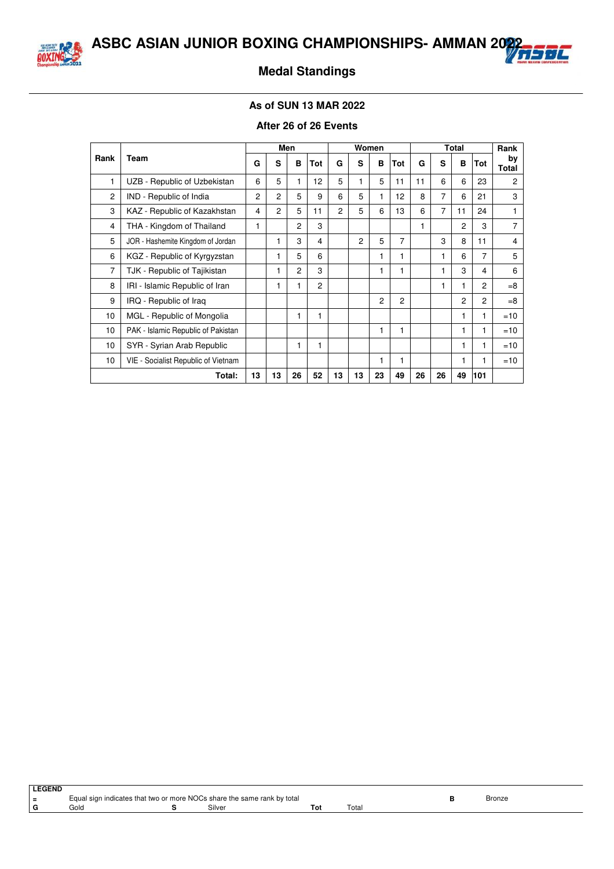



## **Medal Standings**

#### **As of SUN 13 MAR 2022**

#### **After 26 of 26 Events**

|                |                                     |                |                | Men            |                | Women          |                |    |                |    |    | <b>Total</b>   |                | Rank           |
|----------------|-------------------------------------|----------------|----------------|----------------|----------------|----------------|----------------|----|----------------|----|----|----------------|----------------|----------------|
| Rank           | Team                                | G              | S              | в              | Tot            | G              | s              | B  | Tot            | G  | s  | B              | Tot            | by<br>Total    |
| 1              | UZB - Republic of Uzbekistan        | 6              | 5              | 1              | 12             | 5              | 1              | 5  | 11             | 11 | 6  | 6              | 23             | 2              |
| $\overline{c}$ | IND - Republic of India             | $\overline{2}$ | 2              | 5              | 9              | 6              | 5              | 1  | 12             | 8  | 7  | 6              | 21             | 3              |
| 3              | KAZ - Republic of Kazakhstan        | 4              | $\overline{c}$ | 5              | 11             | $\overline{2}$ | 5              | 6  | 13             | 6  | 7  | 11             | 24             |                |
| 4              | THA - Kingdom of Thailand           | 1              |                | $\overline{c}$ | 3              |                |                |    |                | 1  |    | 2              | 3              | $\overline{7}$ |
| 5              | JOR - Hashemite Kingdom of Jordan   |                |                | 3              | 4              |                | $\overline{2}$ | 5  | 7              |    | 3  | 8              | 11             | 4              |
| 6              | KGZ - Republic of Kyrgyzstan        |                | 1              | 5              | 6              |                |                | 1  | 1              |    |    | 6              | 7              | 5              |
| $\overline{7}$ | TJK - Republic of Tajikistan        |                | 1              | $\overline{c}$ | 3              |                |                | 1  | 1              |    | 1  | 3              | 4              | 6              |
| 8              | IRI - Islamic Republic of Iran      |                | 1              | 1              | $\overline{c}$ |                |                |    |                |    |    | 1              | $\overline{c}$ | $=8$           |
| 9              | IRQ - Republic of Iraq              |                |                |                |                |                |                | 2  | $\overline{2}$ |    |    | $\overline{c}$ | $\overline{c}$ | $=8$           |
| 10             | MGL - Republic of Mongolia          |                |                | 1              | 1              |                |                |    |                |    |    | 1              | 1              | $=10$          |
| 10             | PAK - Islamic Republic of Pakistan  |                |                |                |                |                |                | 1  | 1              |    |    |                | 1              | $=10$          |
| 10             | SYR - Syrian Arab Republic          |                |                | 1              | 1              |                |                |    |                |    |    | 1              | 1              | $=10$          |
| 10             | VIE - Socialist Republic of Vietnam |                |                |                |                |                |                | 1  | 1              |    |    | 1              | 1              | $=10$          |
|                | Total:                              | 13             | 13             | 26             | 52             | 13             | 13             | 23 | 49             | 26 | 26 | 49             | 101            |                |

| LEGEND |      |                                                                         |                       |        |
|--------|------|-------------------------------------------------------------------------|-----------------------|--------|
| $=$    |      | Equal sign indicates that two or more NOCs share the same rank by total |                       | Bronze |
| l G    | Gold | Silver                                                                  | $\tau$ <sub>ota</sub> |        |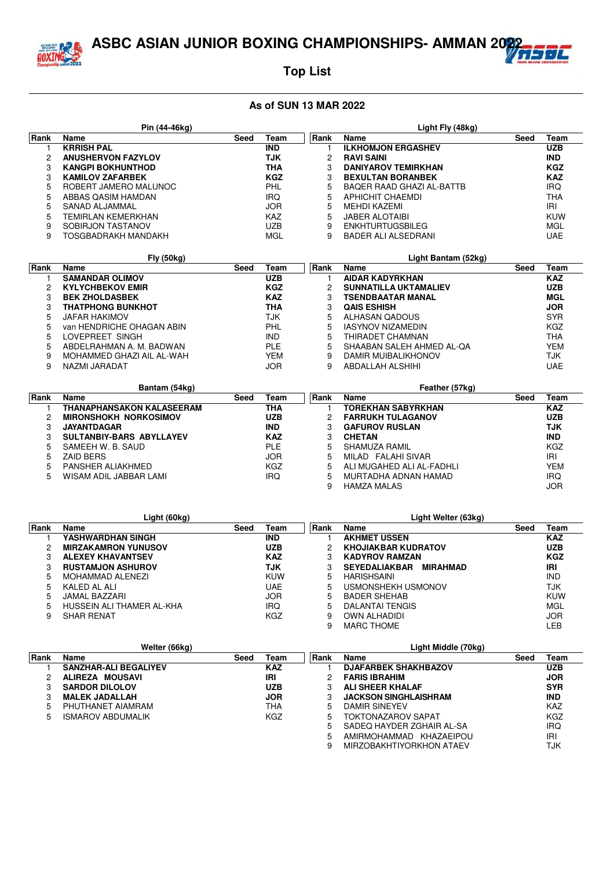

## **Top List**

|      | Pin (44-46kg)             |      |            |             | Light Fly (48kg)           |      |            |
|------|---------------------------|------|------------|-------------|----------------------------|------|------------|
| Rank | <b>Name</b>               | Seed | Team       | <b>Rank</b> | <b>Name</b>                | Seed | Team       |
|      | <b>KRRISH PAL</b>         |      | <b>IND</b> |             | <b>ILKHOMJON ERGASHEV</b>  |      | <b>UZB</b> |
| 2    | <b>ANUSHERVON FAZYLOV</b> |      | TJK        | 2           | <b>RAVI SAINI</b>          |      | <b>IND</b> |
| 3    | <b>KANGPI BOKHUNTHOD</b>  |      | THA        | 3           | <b>DANIYAROV TEMIRKHAN</b> |      | <b>KGZ</b> |
| 3    | <b>KAMILOV ZAFARBEK</b>   |      | <b>KGZ</b> | 3           | <b>BEXULTAN BORANBEK</b>   |      | <b>KAZ</b> |
| 5    | ROBERT JAMERO MALUNOC     |      | PHL        | 5           | BAQER RAAD GHAZI AL-BATTB  |      | <b>IRQ</b> |
| 5    | ABBAS QASIM HAMDAN        |      | <b>IRQ</b> | 5           | APHICHIT CHAEMDI           |      | <b>THA</b> |
| 5    | SANAD ALJAMMAL            |      | <b>JOR</b> | 5           | MEHDI KAZEMI               |      | IRI        |
| 5    | TEMIRLAN KEMERKHAN        |      | KAZ        | 5           | <b>JABER ALOTAIBI</b>      |      | KUW        |
| 9    | SOBIRJON TASTANOV         |      | UZB        | 9           | <b>ENKHTURTUGSBILEG</b>    |      | MGL        |
| 9    | TOSGBADRAKH MANDAKH       |      | MGL        | 9           | <b>BADER ALI ALSEDRANI</b> |      | UAE        |

|      | <b>Fly (50kg)</b>         |      |            |      | Light Bantam (52kg)          |      |            |
|------|---------------------------|------|------------|------|------------------------------|------|------------|
| Rank | Name                      | Seed | Геаm       | Rank | <b>Name</b>                  | Seed | Team       |
|      | <b>SAMANDAR OLIMOV</b>    |      | UZB        |      | <b>AIDAR KADYRKHAN</b>       |      | <b>KAZ</b> |
|      | <b>KYLYCHBEKOV EMIR</b>   |      | <b>KGZ</b> |      | <b>SUNNATILLA UKTAMALIEV</b> |      | <b>UZB</b> |
|      | <b>BEK ZHOLDASBEK</b>     |      | KAZ        |      | <b>TSENDBAATAR MANAL</b>     |      | <b>MGL</b> |
|      | <b>THATPHONG BUNKHOT</b>  |      | THA        |      | <b>QAIS ESHISH</b>           |      | <b>JOR</b> |
|      | <b>JAFAR HAKIMOV</b>      |      | TJK        | 5.   | ALHASAN QADOUS               |      | <b>SYR</b> |
|      | van HENDRICHE OHAGAN ABIN |      | PHL        | 5    | <b>IASYNOV NIZAMEDIN</b>     |      | <b>KGZ</b> |
|      | LOVEPREET SINGH           |      | <b>IND</b> | 5    | THIRADET CHAMNAN             |      | THA        |
|      | ABDELRAHMAN A. M. BADWAN  |      | <b>PLE</b> | 5    | SHAABAN SALEH AHMED AL-QA    |      | <b>YEM</b> |
| 9    | MOHAMMED GHAZI AIL AL-WAH |      | YEM        | 9    | DAMIR MUIBALIKHONOV          |      | TJK        |
| 9    | NAZMI JARADAT             |      | JOR        |      | ABDALLAH ALSHIHI             |      | UAE        |

|      | Bantam (54kg)                |      |            |             | Feather (57kg)            |      |            |
|------|------------------------------|------|------------|-------------|---------------------------|------|------------|
| Rank | Name                         | Seed | Team       | <b>Rank</b> | Name                      | Seed | Team       |
|      | THANAPHANSAKON KALASEERAM    |      | THA        |             | TOREKHAN SABYRKHAN        |      | <b>KAZ</b> |
|      | <b>MIRONSHOKH NORKOSIMOV</b> |      | <b>UZB</b> | 2           | <b>FARRUKH TULAGANOV</b>  |      | <b>UZB</b> |
|      | <b>JAYANTDAGAR</b>           |      | <b>IND</b> |             | <b>GAFUROV RUSLAN</b>     |      | TJK        |
|      | SULTANBIY-BARS ABYLLAYEV     |      | <b>KAZ</b> | 3           | <b>CHETAN</b>             |      | <b>IND</b> |
| 5    | SAMEEH W. B. SAUD            |      | <b>PLE</b> | 5           | SHAMUZA RAMIL             |      | <b>KGZ</b> |
| 5    | <b>ZAID BERS</b>             |      | <b>JOR</b> | 5           | MILAD FALAHI SIVAR        |      | IRI        |
|      | PANSHER ALIAKHMED            |      | KGZ        | 5           | ALI MUGAHED ALI AL-FADHLI |      | YEM        |
| 5    | WISAM ADIL JABBAR LAMI       |      | <b>IRQ</b> | 5           | MURTADHA ADNAN HAMAD      |      | <b>IRQ</b> |
|      |                              |      |            | 9           | <b>HAMZA MALAS</b>        |      | JOR        |

|       | Light (60kg)               |      |            |             | Light Welter (63kg)              |      |            |
|-------|----------------------------|------|------------|-------------|----------------------------------|------|------------|
| ∣Rank | Name                       | Seed | Team       | <b>Rank</b> | <b>Name</b>                      | Seed | Team       |
|       | <b>YASHWARDHAN SINGH</b>   |      | <b>IND</b> |             | <b>AKHMET USSEN</b>              |      | <b>KAZ</b> |
|       | <b>MIRZAKAMRON YUNUSOV</b> |      | <b>UZB</b> |             | <b>KHOJIAKBAR KUDRATOV</b>       |      | <b>UZB</b> |
|       | <b>ALEXEY KHAVANTSEV</b>   |      | <b>KAZ</b> | З           | <b>KADYROV RAMZAN</b>            |      | <b>KGZ</b> |
|       | <b>RUSTAMJON ASHUROV</b>   |      | TJK        | 3           | <b>SEYEDALIAKBAR</b><br>MIRAHMAD |      | IRI        |
|       | MOHAMMAD ALENEZI           |      | <b>KUW</b> | 5           | <b>HARISHSAINI</b>               |      | <b>IND</b> |
|       | KALED AL ALI               |      | <b>UAE</b> | 5           | USMONSHEKH USMONOV               |      | <b>TJK</b> |
|       | JAMAL BAZZARI              |      | <b>JOR</b> | 5           | <b>BADER SHEHAB</b>              |      | <b>KUW</b> |
| 5     | HUSSEIN ALI THAMER AL-KHA  |      | IRQ        | 5           | DALANTAI TENGIS                  |      | <b>MGL</b> |
| 9     | <b>SHAR RENAT</b>          |      | KGZ        | 9           | <b>OWN ALHADIDI</b>              |      | <b>JOR</b> |
|       |                            |      |            | 9           | <b>MARC THOME</b>                |      | LEB        |

|             | Welter (66kg)                |      |            |       | Light Middle (70kg)          |      |            |
|-------------|------------------------------|------|------------|-------|------------------------------|------|------------|
| <b>Rank</b> | Name                         | Seed | Team       | ∣Rank | <b>Name</b>                  | Seed | Team       |
|             | <b>SANZHAR-ALI BEGALIYEV</b> |      | <b>KAZ</b> |       | <b>DJAFARBEK SHAKHBAZOV</b>  |      | <b>UZB</b> |
|             | ALIREZA MOUSAVI              |      | IRI        | 2     | <b>FARIS IBRAHIM</b>         |      | <b>JOR</b> |
| 3           | <b>SARDOR DILOLOV</b>        |      | <b>UZB</b> | 3     | <b>ALI SHEER KHALAF</b>      |      | <b>SYR</b> |
| 3           | <b>MALEK JADALLAH</b>        |      | <b>JOR</b> | З     | <b>JACKSON SINGHLAISHRAM</b> |      | <b>IND</b> |
| 5           | PHUTHANET AIAMRAM            |      | THA        | 5     | DAMIR SINEYEV                |      | KAZ        |
| 5           | <b>ISMAROV ABDUMALIK</b>     |      | KGZ        | 5     | <b>TOKTONAZAROV SAPAT</b>    |      | <b>KGZ</b> |
|             |                              |      |            | 5     | SADEQ HAYDER ZGHAIR AL-SA    |      | <b>IRQ</b> |
|             |                              |      |            | 5     | AMIRMOHAMMAD KHAZAEIPOU      |      | IRI        |
|             |                              |      |            | 9     | MIRZOBAKHTIYORKHON ATAEV     |      | TJK        |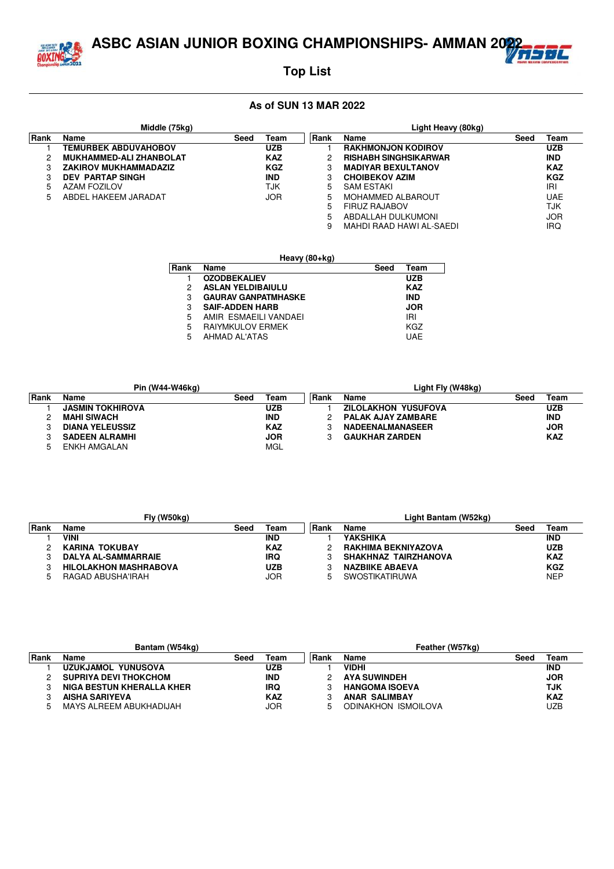ASBC ASIAN JUNIOR BOXING CHAMPIONSHIPS- AMMAN 2022**7 RESIDE** 



## **Top List**

|      | Middle (75kg)                  |      |            |       | Light Heavy (80kg)           |      |            |
|------|--------------------------------|------|------------|-------|------------------------------|------|------------|
| Rank | Name                           | Seed | Team       | ∣Rank | Name                         | Seed | Team       |
|      | <b>TEMURBEK ABDUVAHOBOV</b>    |      | UZB        |       | <b>RAKHMONJON KODIROV</b>    |      | <b>UZB</b> |
|      | <b>MUKHAMMED-ALI ZHANBOLAT</b> |      | <b>KAZ</b> | 2     | <b>RISHABH SINGHSIKARWAR</b> |      | <b>IND</b> |
|      | <b>ZAKIROV MUKHAMMADAZIZ</b>   |      | <b>KGZ</b> | 3     | <b>MADIYAR BEXULTANOV</b>    |      | <b>KAZ</b> |
|      | <b>DEV PARTAP SINGH</b>        |      | <b>IND</b> | 3     | <b>CHOIBEKOV AZIM</b>        |      | <b>KGZ</b> |
|      | AZAM FOZILOV                   |      | TJK        | 5     | <b>SAM ESTAKI</b>            |      | IRI        |
| 5    | ABDEL HAKEEM JARADAT           |      | JOR        | 5     | <b>MOHAMMED ALBAROUT</b>     |      | UAE        |
|      |                                |      |            | 5     | FIRUZ RAJABOV                |      | <b>TJK</b> |
|      |                                |      |            | 5     | ABDALLAH DULKUMONI           |      | <b>JOR</b> |
|      |                                |      |            | 9     | MAHDI RAAD HAWI AL-SAEDI     |      | IRQ        |

|      | Heavy (80+kg)              |      |            |  |  |  |  |  |  |  |  |  |  |
|------|----------------------------|------|------------|--|--|--|--|--|--|--|--|--|--|
| Rank | Name                       | Seed | Team       |  |  |  |  |  |  |  |  |  |  |
|      | <b>OZODBEKALIEV</b>        |      | <b>UZB</b> |  |  |  |  |  |  |  |  |  |  |
| 2    | <b>ASLAN YELDIBAIULU</b>   |      | <b>KAZ</b> |  |  |  |  |  |  |  |  |  |  |
| 3    | <b>GAURAV GANPATMHASKE</b> |      | <b>IND</b> |  |  |  |  |  |  |  |  |  |  |
| 3    | <b>SAIF-ADDEN HARB</b>     |      | <b>JOR</b> |  |  |  |  |  |  |  |  |  |  |
| 5    | AMIR ESMAEILI VANDAEI      |      | IRI        |  |  |  |  |  |  |  |  |  |  |
| 5    | <b>RAIYMKULOV ERMEK</b>    |      | KGZ        |  |  |  |  |  |  |  |  |  |  |
| 5    | AHMAD AL'ATAS              |      | <b>UAE</b> |  |  |  |  |  |  |  |  |  |  |

|       | Pin (W44-W46ka)         |      |            |      | Light Fly (W48kg)         |      |            |
|-------|-------------------------|------|------------|------|---------------------------|------|------------|
| ∣Rank | Name                    | Seed | Геаm       | Rank | Name                      | Seed | Геаm       |
|       | <b>JASMIN TOKHIROVA</b> |      | <b>UZB</b> |      | ZILOLAKHON YUSUFOVA       |      | <b>UZB</b> |
|       | <b>MAHI SIWACH</b>      |      | <b>IND</b> |      | <b>PALAK AJAY ZAMBARE</b> |      | <b>IND</b> |
|       | <b>DIANA YELEUSSIZ</b>  |      | <b>KAZ</b> |      | <b>NADEENALMANASEER</b>   |      | <b>JOR</b> |
|       | <b>SADEEN ALRAMHI</b>   |      | <b>JOR</b> |      | <b>GAUKHAR ZARDEN</b>     |      | <b>KAZ</b> |
|       | ENKH AMGALAN            |      | MGL        |      |                           |      |            |

|             | Fly (W50kg)                  |      |            |        | Light Bantam (W52kg)   |      |            |
|-------------|------------------------------|------|------------|--------|------------------------|------|------------|
| <b>Rank</b> | Name                         | Seed | Геаm       | l Rank | Name                   | Seed | Team       |
|             | <b>VINI</b>                  |      | <b>IND</b> |        | <b>YAKSHIKA</b>        |      | <b>IND</b> |
|             | <b>KARINA TOKUBAY</b>        |      | <b>KAZ</b> |        | RAKHIMA BEKNIYAZOVA    |      | <b>UZB</b> |
|             | <b>DALYA AL-SAMMARRAIE</b>   |      | IRQ        |        | SHAKHNAZ TAIRZHANOVA   |      | <b>KAZ</b> |
|             | <b>HILOLAKHON MASHRABOVA</b> |      | UZB        |        | <b>NAZBIIKE ABAEVA</b> |      | <b>KGZ</b> |
|             | RAGAD ABUSHA'IRAH            |      | JOR.       |        | <b>SWOSTIKATIRUWA</b>  |      | <b>NEP</b> |

|             | Bantam (W54kg)               |      |            | Feather (W57kg) |                       |      |            |  |  |
|-------------|------------------------------|------|------------|-----------------|-----------------------|------|------------|--|--|
| <b>Rank</b> | Name                         | Seed | Геаm       | l Rank          | Name                  | Seec | Team       |  |  |
|             | UZUKJAMOL YUNUSOVA           |      | UZB        |                 | <b>VIDHI</b>          |      | <b>IND</b> |  |  |
|             | <b>SUPRIYA DEVI THOKCHOM</b> |      | <b>IND</b> |                 | <b>AYA SUWINDEH</b>   |      | <b>JOR</b> |  |  |
|             | NIGA BESTUN KHERALLA KHER    |      | IRQ        |                 | <b>HANGOMA ISOEVA</b> |      | TJK        |  |  |
|             | <b>AISHA SARIYEVA</b>        |      | <b>KAZ</b> |                 | <b>ANAR SALIMBAY</b>  |      | <b>KAZ</b> |  |  |
|             | MAYS ALREEM ABUKHADIJAH      |      | JOR.       |                 | ODINAKHON ISMOILOVA   |      | UZB        |  |  |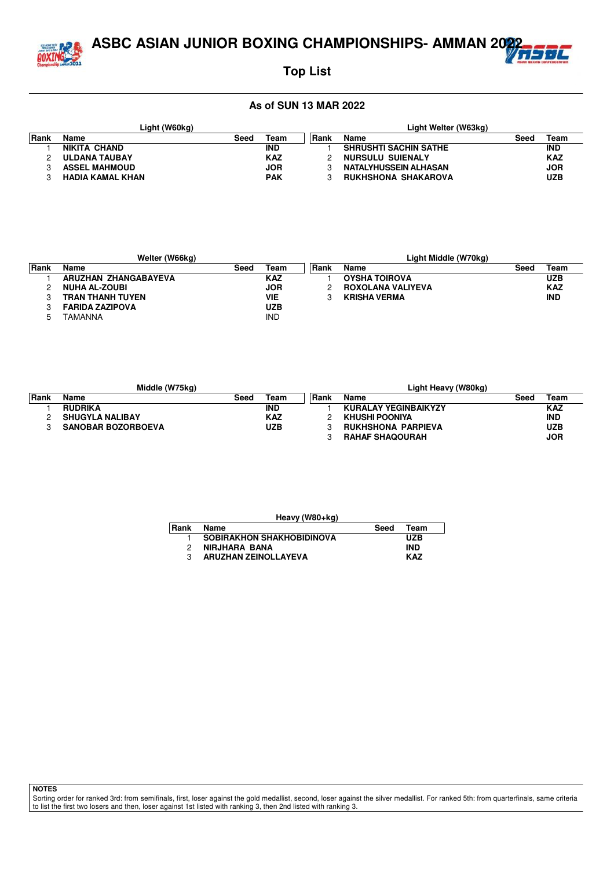

# लंट

## **Top List**

#### **As of SUN 13 MAR 2022**

|      | Light (W60kg)           |      | Light Welter (W63kg) |      |                              |      |            |  |
|------|-------------------------|------|----------------------|------|------------------------------|------|------------|--|
| Rank | Name                    | Seed | Team                 | Rank | Name                         | Seed | Team       |  |
|      | NIKITA CHAND            |      | <b>IND</b>           |      | <b>SHRUSHTI SACHIN SATHE</b> |      | <b>IND</b> |  |
|      | <b>ULDANA TAUBAY</b>    |      | <b>KAZ</b>           |      | NURSULU SUIENALY             |      | <b>KAZ</b> |  |
|      | <b>ASSEL MAHMOUD</b>    |      | <b>JOR</b>           |      | NATALYHUSSEIN ALHASAN        |      | <b>JOR</b> |  |
|      | <b>HADIA KAMAL KHAN</b> |      | <b>PAK</b>           |      | <b>RUKHSHONA SHAKAROVA</b>   |      | <b>UZB</b> |  |

|       | Welter (W66kg)         |      |            | Light Middle (W70kg) |                      |      |            |  |  |
|-------|------------------------|------|------------|----------------------|----------------------|------|------------|--|--|
| ∣Rank | Name                   | Seed | Team       | Rank                 | <b>Name</b>          | Seed | Team       |  |  |
|       | ARUZHAN ZHANGABAYEVA   |      | <b>KAZ</b> |                      | <b>OYSHA TOIROVA</b> |      | <b>UZB</b> |  |  |
|       | <b>NUHA AL-ZOUBI</b>   |      | <b>JOR</b> |                      | ROXOLANA VALIYEVA    |      | <b>KAZ</b> |  |  |
|       | TRAN THANH TUYEN       |      | VIE        |                      | <b>KRISHA VERMA</b>  |      | <b>IND</b> |  |  |
|       | <b>FARIDA ZAZIPOVA</b> |      | UZB        |                      |                      |      |            |  |  |
|       | TAMANNA                |      | <b>IND</b> |                      |                      |      |            |  |  |

|        | Middle (W75ka)            |      |            | Light Heavy (W80kg) |                             |      |            |  |  |
|--------|---------------------------|------|------------|---------------------|-----------------------------|------|------------|--|--|
| l Rank | Name                      | Seed | Team       | Rank                | Name                        | Seed | Team       |  |  |
|        | <b>RUDRIKA</b>            |      | <b>IND</b> |                     | <b>KURALAY YEGINBAIKYZY</b> |      | <b>KAZ</b> |  |  |
|        | <b>SHUGYLA NALIBAY</b>    |      | KAZ        |                     | KHUSHI POONIYA              |      | <b>IND</b> |  |  |
|        | <b>SANOBAR BOZORBOEVA</b> |      | UZB        |                     | <b>RUKHSHONA PARPIEVA</b>   |      | <b>UZB</b> |  |  |
|        |                           |      |            |                     | <b>RAHAF SHAQOURAH</b>      |      | <b>JOR</b> |  |  |

| Heavy (W80+kg) |                                  |      |            |  |  |  |  |  |  |  |
|----------------|----------------------------------|------|------------|--|--|--|--|--|--|--|
| ∣Rank          | Name                             | Seed | Team       |  |  |  |  |  |  |  |
|                | <b>SOBIRAKHON SHAKHOBIDINOVA</b> |      | <b>UZB</b> |  |  |  |  |  |  |  |
| 2              | <b>NIRJHARA BANA</b>             |      | IND        |  |  |  |  |  |  |  |
| 3              | <b>ARUZHAN ZEINOLLAYEVA</b>      |      | <b>KAZ</b> |  |  |  |  |  |  |  |
|                |                                  |      |            |  |  |  |  |  |  |  |

**NOTES**

Sorting order for ranked 3rd: from semifinals, first, loser against the gold medallist, second, loser against the silver medallist. For ranked 5th: from quarterfinals, same criteria to list the first two losers and then, loser against 1st listed with ranking 3, then 2nd listed with ranking 3.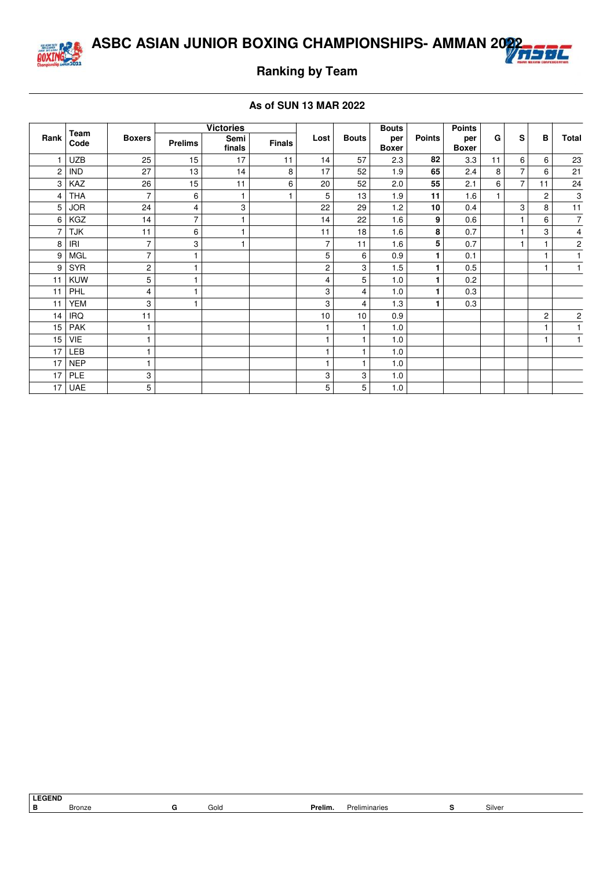



## **Ranking by Team**

|                |              |                         |                | <b>Victories</b> |               |                |              | <b>Bouts</b>        |               | <b>Points</b>       |    |                |                |                         |
|----------------|--------------|-------------------------|----------------|------------------|---------------|----------------|--------------|---------------------|---------------|---------------------|----|----------------|----------------|-------------------------|
| Rank           | Team<br>Code | <b>Boxers</b>           | <b>Prelims</b> | Semi<br>finals   | <b>Finals</b> | Lost           | <b>Bouts</b> | per<br><b>Boxer</b> | <b>Points</b> | per<br><b>Boxer</b> | G  | S              | B              | <b>Total</b>            |
|                | UZB          | 25                      | 15             | 17               | 11            | 14             | 57           | 2.3                 | 82            | 3.3                 | 11 | 6              | 6              | 23                      |
| $\overline{c}$ | <b>IND</b>   | 27                      | 13             | 14               | 8             | 17             | 52           | 1.9                 | 65            | 2.4                 | 8  | $\overline{7}$ | 6              | 21                      |
| 3              | KAZ          | 26                      | 15             | 11               | 6             | 20             | 52           | 2.0                 | 55            | 2.1                 | 6  | $\overline{7}$ | 11             | 24                      |
| 4              | <b>THA</b>   | $\overline{7}$          | 6              | 1                |               | 5              | 13           | 1.9                 | 11            | 1.6                 |    |                | 2              | 3                       |
| 5              | <b>JOR</b>   | 24                      | 4              | 3                |               | 22             | 29           | 1.2                 | 10            | 0.4                 |    | 3              | 8              | 11                      |
| 6              | KGZ          | 14                      | $\overline{7}$ | 1                |               | 14             | 22           | 1.6                 | 9             | 0.6                 |    | $\mathbf{1}$   | 6              | $\overline{7}$          |
| 7              | <b>TJK</b>   | 11                      | 6              | 1                |               | 11             | 18           | 1.6                 | 8             | 0.7                 |    | $\mathbf{1}$   | 3              | 4                       |
| 8              | IRI          | $\overline{7}$          | 3              | 1                |               | $\overline{7}$ | 11           | 1.6                 | 5             | 0.7                 |    | $\overline{1}$ |                | $\mathbf 2$             |
| 9              | MGL          | $\overline{7}$          | 1              |                  |               | 5              | 6            | 0.9                 | 1             | 0.1                 |    |                |                | 1                       |
| 9              | <b>SYR</b>   | $\overline{\mathbf{c}}$ | 1              |                  |               | 2              | 3            | 1.5                 | 1             | 0.5                 |    |                |                | 1                       |
| 11             | <b>KUW</b>   | 5                       | 1              |                  |               | $\overline{4}$ | 5            | 1.0                 | 1.            | 0.2                 |    |                |                |                         |
| 11             | PHL          | $\overline{4}$          | 1              |                  |               | 3              | 4            | 1.0                 | 1             | 0.3                 |    |                |                |                         |
| 11             | <b>YEM</b>   | 3                       | 1              |                  |               | 3              | 4            | 1.3                 | 1             | 0.3                 |    |                |                |                         |
| 14             | <b>IRQ</b>   | 11                      |                |                  |               | 10             | 10           | 0.9                 |               |                     |    |                | $\overline{c}$ | $\overline{\mathbf{c}}$ |
| 15             | <b>PAK</b>   | 1                       |                |                  |               | $\mathbf{1}$   | 1            | 1.0                 |               |                     |    |                |                | $\mathbf{1}$            |
| 15             | VIE          | 1                       |                |                  |               | $\mathbf{1}$   |              | 1.0                 |               |                     |    |                |                | 1                       |
| 17             | <b>LEB</b>   |                         |                |                  |               | 1              |              | 1.0                 |               |                     |    |                |                |                         |
| 17             | <b>NEP</b>   | 1                       |                |                  |               | $\mathbf{1}$   | 1            | 1.0                 |               |                     |    |                |                |                         |
| 17             | <b>PLE</b>   | 3                       |                |                  |               | 3              | 3            | 1.0                 |               |                     |    |                |                |                         |
| 17             | UAE          | 5                       |                |                  |               | 5              | 5            | 1.0                 |               |                     |    |                |                |                         |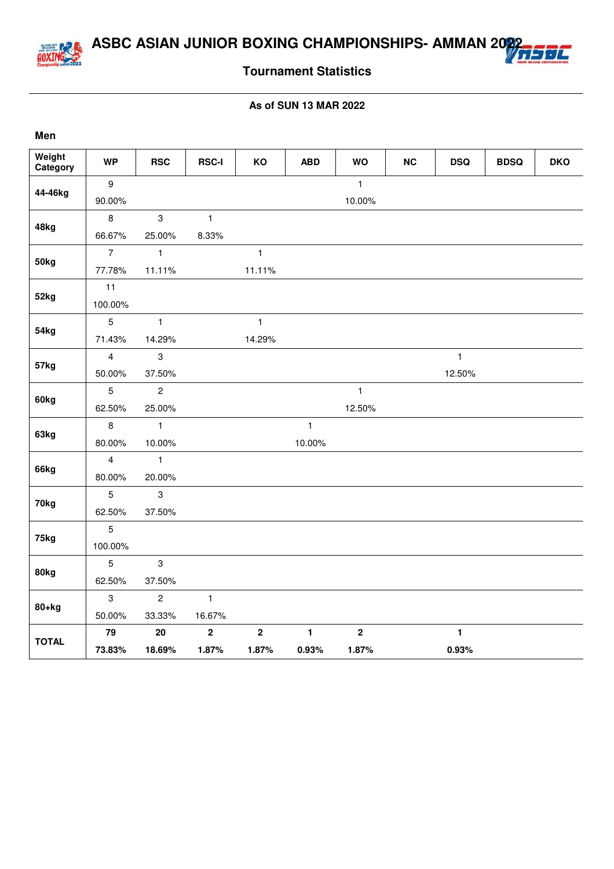

**Men**

## **Tournament Statistics**

| Weight<br>Category | <b>WP</b>        | <b>RSC</b>     | <b>RSC-I</b>   | KO             | <b>ABD</b>   | <b>WO</b>      | NC | <b>DSQ</b>   | <b>BDSQ</b> | <b>DKO</b> |
|--------------------|------------------|----------------|----------------|----------------|--------------|----------------|----|--------------|-------------|------------|
|                    | $\boldsymbol{9}$ |                |                |                |              | $\mathbf{1}$   |    |              |             |            |
| 44-46kg            | 90.00%           |                |                |                |              | 10.00%         |    |              |             |            |
|                    | $\,8\,$          | 3              | $\mathbf{1}$   |                |              |                |    |              |             |            |
| 48kg               | 66.67%           | 25.00%         | 8.33%          |                |              |                |    |              |             |            |
|                    | $\overline{7}$   | $\mathbf{1}$   |                | $\mathbf{1}$   |              |                |    |              |             |            |
| 50kg               | 77.78%           | 11.11%         |                | 11.11%         |              |                |    |              |             |            |
|                    | 11               |                |                |                |              |                |    |              |             |            |
| 52kg               | 100.00%          |                |                |                |              |                |    |              |             |            |
|                    | $\overline{5}$   | $\mathbf{1}$   |                | $\mathbf{1}$   |              |                |    |              |             |            |
| 54kg               | 71.43%           | 14.29%         |                | 14.29%         |              |                |    |              |             |            |
|                    | $\overline{4}$   | 3              |                |                |              |                |    | $\mathbf{1}$ |             |            |
| 57kg               | 50.00%           | 37.50%         |                |                |              |                |    | 12.50%       |             |            |
|                    | $\overline{5}$   | $\overline{c}$ |                |                |              | $\mathbf{1}$   |    |              |             |            |
| 60kg               | 62.50%           | 25.00%         |                |                |              | 12.50%         |    |              |             |            |
|                    | $\,8\,$          | $\mathbf{1}$   |                |                | $\mathbf{1}$ |                |    |              |             |            |
| 63kg               | 80.00%           | 10.00%         |                |                | 10.00%       |                |    |              |             |            |
|                    | $\overline{4}$   | $\mathbf{1}$   |                |                |              |                |    |              |             |            |
| 66kg               | 80.00%           | 20.00%         |                |                |              |                |    |              |             |            |
|                    | $\overline{5}$   | $\mathbf{3}$   |                |                |              |                |    |              |             |            |
| 70kg               | 62.50%           | 37.50%         |                |                |              |                |    |              |             |            |
|                    | $\overline{5}$   |                |                |                |              |                |    |              |             |            |
| 75kg               | 100.00%          |                |                |                |              |                |    |              |             |            |
|                    | 5                | $\mathbf{3}$   |                |                |              |                |    |              |             |            |
| 80kg               | 62.50%           | 37.50%         |                |                |              |                |    |              |             |            |
|                    | 3                | $\overline{2}$ | $\mathbf{1}$   |                |              |                |    |              |             |            |
| $80+kg$            | 50.00%           | 33.33%         | 16.67%         |                |              |                |    |              |             |            |
|                    | 79               | 20             | $\overline{2}$ | $\overline{2}$ | $\mathbf{1}$ | $\overline{2}$ |    | $\mathbf{1}$ |             |            |
| <b>TOTAL</b>       | 73.83%           | 18.69%         | 1.87%          | 1.87%          | 0.93%        | 1.87%          |    | 0.93%        |             |            |